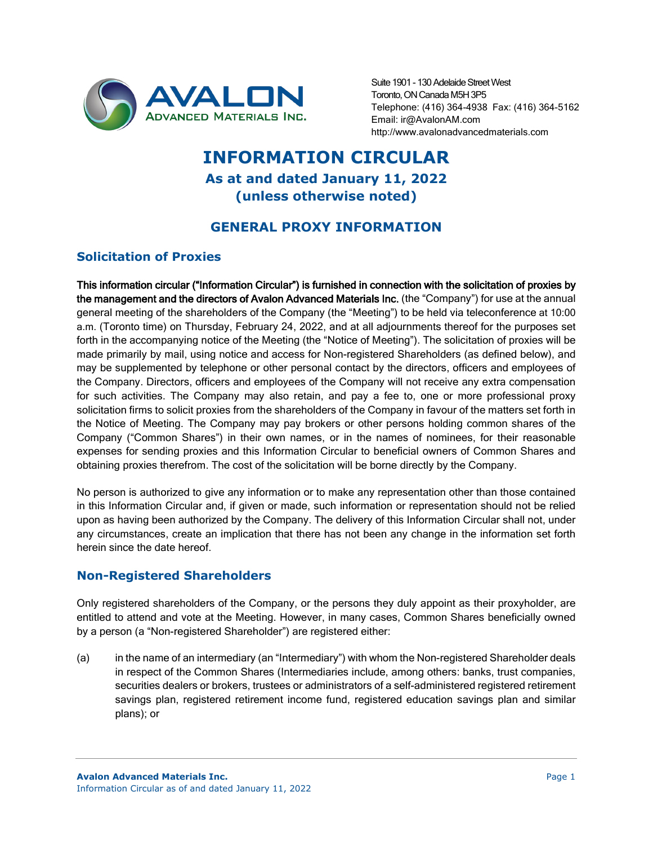

Suite 1901 - 130 Adelaide Street West Toronto, ON Canada M5H 3P5 Telephone: (416) 364-4938 Fax: (416) 364-5162 Email: ir@AvalonAM.com http://www.avalonadvancedmaterials.com

# **INFORMATION CIRCULAR As at and dated January 11, 2022 (unless otherwise noted)**

# **GENERAL PROXY INFORMATION**

# **Solicitation of Proxies**

This information circular ("Information Circular") is furnished in connection with the solicitation of proxies by the management and the directors of Avalon Advanced Materials Inc. (the "Company") for use at the annual general meeting of the shareholders of the Company (the "Meeting") to be held via teleconference at 10:00 a.m. (Toronto time) on Thursday, February 24, 2022, and at all adjournments thereof for the purposes set forth in the accompanying notice of the Meeting (the "Notice of Meeting"). The solicitation of proxies will be made primarily by mail, using notice and access for Non-registered Shareholders (as defined below), and may be supplemented by telephone or other personal contact by the directors, officers and employees of the Company. Directors, officers and employees of the Company will not receive any extra compensation for such activities. The Company may also retain, and pay a fee to, one or more professional proxy solicitation firms to solicit proxies from the shareholders of the Company in favour of the matters set forth in the Notice of Meeting. The Company may pay brokers or other persons holding common shares of the Company ("Common Shares") in their own names, or in the names of nominees, for their reasonable expenses for sending proxies and this Information Circular to beneficial owners of Common Shares and obtaining proxies therefrom. The cost of the solicitation will be borne directly by the Company.

No person is authorized to give any information or to make any representation other than those contained in this Information Circular and, if given or made, such information or representation should not be relied upon as having been authorized by the Company. The delivery of this Information Circular shall not, under any circumstances, create an implication that there has not been any change in the information set forth herein since the date hereof.

# **Non-Registered Shareholders**

Only registered shareholders of the Company, or the persons they duly appoint as their proxyholder, are entitled to attend and vote at the Meeting. However, in many cases, Common Shares beneficially owned by a person (a "Non-registered Shareholder") are registered either:

(a) in the name of an intermediary (an "Intermediary") with whom the Non-registered Shareholder deals in respect of the Common Shares (Intermediaries include, among others: banks, trust companies, securities dealers or brokers, trustees or administrators of a self-administered registered retirement savings plan, registered retirement income fund, registered education savings plan and similar plans); or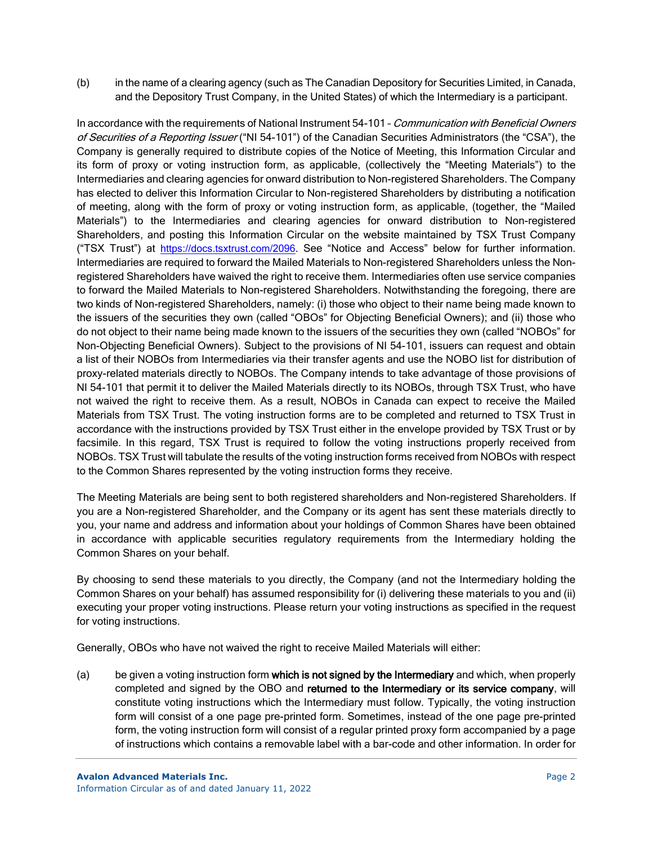(b) in the name of a clearing agency (such as The Canadian Depository for Securities Limited, in Canada, and the Depository Trust Company, in the United States) of which the Intermediary is a participant.

In accordance with the requirements of National Instrument 54-101 - Communication with Beneficial Owners of Securities of a Reporting Issuer ("NI 54-101") of the Canadian Securities Administrators (the "CSA"), the Company is generally required to distribute copies of the Notice of Meeting, this Information Circular and its form of proxy or voting instruction form, as applicable, (collectively the "Meeting Materials") to the Intermediaries and clearing agencies for onward distribution to Non-registered Shareholders. The Company has elected to deliver this Information Circular to Non-registered Shareholders by distributing a notification of meeting, along with the form of proxy or voting instruction form, as applicable, (together, the "Mailed Materials") to the Intermediaries and clearing agencies for onward distribution to Non-registered Shareholders, and posting this Information Circular on the website maintained by TSX Trust Company ("TSX Trust") at [https://docs.tsxtrust.com/2096.](https://docs.tsxtrust.com/2096) See "Notice and Access" below for further information. Intermediaries are required to forward the Mailed Materials to Non-registered Shareholders unless the Nonregistered Shareholders have waived the right to receive them. Intermediaries often use service companies to forward the Mailed Materials to Non-registered Shareholders. Notwithstanding the foregoing, there are two kinds of Non-registered Shareholders, namely: (i) those who object to their name being made known to the issuers of the securities they own (called "OBOs" for Objecting Beneficial Owners); and (ii) those who do not object to their name being made known to the issuers of the securities they own (called "NOBOs" for Non-Objecting Beneficial Owners). Subject to the provisions of NI 54-101, issuers can request and obtain a list of their NOBOs from Intermediaries via their transfer agents and use the NOBO list for distribution of proxy-related materials directly to NOBOs. The Company intends to take advantage of those provisions of NI 54-101 that permit it to deliver the Mailed Materials directly to its NOBOs, through TSX Trust, who have not waived the right to receive them. As a result, NOBOs in Canada can expect to receive the Mailed Materials from TSX Trust. The voting instruction forms are to be completed and returned to TSX Trust in accordance with the instructions provided by TSX Trust either in the envelope provided by TSX Trust or by facsimile. In this regard, TSX Trust is required to follow the voting instructions properly received from NOBOs. TSX Trust will tabulate the results of the voting instruction forms received from NOBOs with respect to the Common Shares represented by the voting instruction forms they receive.

The Meeting Materials are being sent to both registered shareholders and Non-registered Shareholders. If you are a Non-registered Shareholder, and the Company or its agent has sent these materials directly to you, your name and address and information about your holdings of Common Shares have been obtained in accordance with applicable securities regulatory requirements from the Intermediary holding the Common Shares on your behalf.

By choosing to send these materials to you directly, the Company (and not the Intermediary holding the Common Shares on your behalf) has assumed responsibility for (i) delivering these materials to you and (ii) executing your proper voting instructions. Please return your voting instructions as specified in the request for voting instructions.

Generally, OBOs who have not waived the right to receive Mailed Materials will either:

(a) be given a voting instruction form which is not signed by the Intermediary and which, when properly completed and signed by the OBO and returned to the Intermediary or its service company, will constitute voting instructions which the Intermediary must follow. Typically, the voting instruction form will consist of a one page pre-printed form. Sometimes, instead of the one page pre-printed form, the voting instruction form will consist of a regular printed proxy form accompanied by a page of instructions which contains a removable label with a bar-code and other information. In order for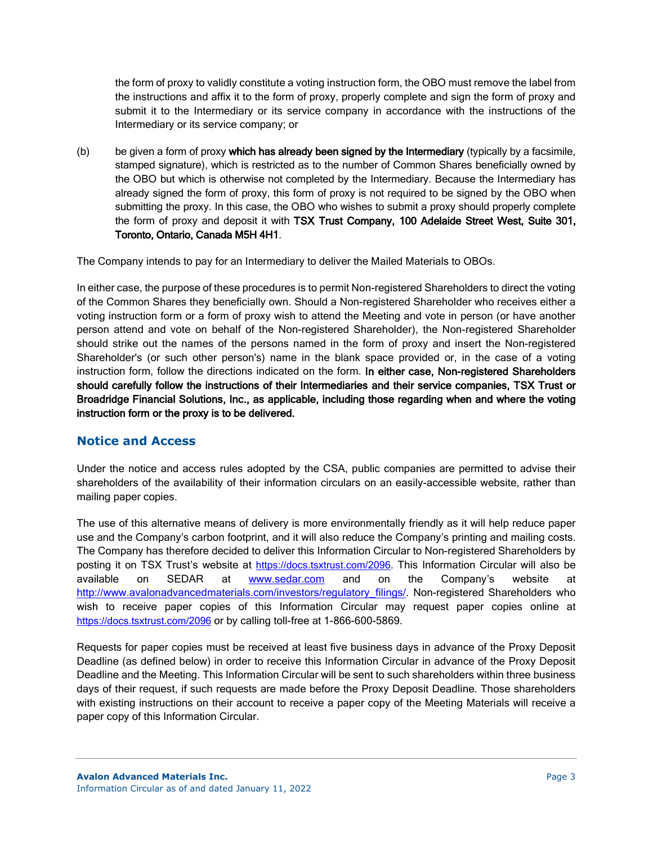the form of proxy to validly constitute a voting instruction form, the OBO must remove the label from the instructions and affix it to the form of proxy, properly complete and sign the form of proxy and submit it to the Intermediary or its service company in accordance with the instructions of the Intermediary or its service company; or

(b) be given a form of proxy which has already been signed by the Intermediary (typically by a facsimile, stamped signature), which is restricted as to the number of Common Shares beneficially owned by the OBO but which is otherwise not completed by the Intermediary. Because the Intermediary has already signed the form of proxy, this form of proxy is not required to be signed by the OBO when submitting the proxy. In this case, the OBO who wishes to submit a proxy should properly complete the form of proxy and deposit it with TSX Trust Company, 100 Adelaide Street West, Suite 301, Toronto, Ontario, Canada M5H 4H1.

The Company intends to pay for an Intermediary to deliver the Mailed Materials to OBOs.

In either case, the purpose of these procedures is to permit Non-registered Shareholders to direct the voting of the Common Shares they beneficially own. Should a Non-registered Shareholder who receives either a voting instruction form or a form of proxy wish to attend the Meeting and vote in person (or have another person attend and vote on behalf of the Non-registered Shareholder), the Non-registered Shareholder should strike out the names of the persons named in the form of proxy and insert the Non-registered Shareholder's (or such other person's) name in the blank space provided or, in the case of a voting instruction form, follow the directions indicated on the form. In either case, Non-registered Shareholders should carefully follow the instructions of their Intermediaries and their service companies, TSX Trust or Broadridge Financial Solutions, Inc., as applicable, including those regarding when and where the voting instruction form or the proxy is to be delivered.

# **Notice and Access**

Under the notice and access rules adopted by the CSA, public companies are permitted to advise their shareholders of the availability of their information circulars on an easily-accessible website, rather than mailing paper copies.

The use of this alternative means of delivery is more environmentally friendly as it will help reduce paper use and the Company's carbon footprint, and it will also reduce the Company's printing and mailing costs. The Company has therefore decided to deliver this Information Circular to Non-registered Shareholders by posting it on TSX Trust's website at [https://docs.tsxtrust.com/2096.](https://docs.tsxtrust.com/2096) This Information Circular will also be available on SEDAR at [www.sedar.com](http://www.sedar.com/) and on the Company's website at [http://www.avalonadvancedmaterials.com/investors/regulatory\\_filings/.](http://www.avalonadvancedmaterials.com/investors/regulatory_filings/) Non-registered Shareholders who wish to receive paper copies of this Information Circular may request paper copies online at <https://docs.tsxtrust.com/2096> or by calling toll-free at 1-866-600-5869.

Requests for paper copies must be received at least five business days in advance of the Proxy Deposit Deadline (as defined below) in order to receive this Information Circular in advance of the Proxy Deposit Deadline and the Meeting. This Information Circular will be sent to such shareholders within three business days of their request, if such requests are made before the Proxy Deposit Deadline. Those shareholders with existing instructions on their account to receive a paper copy of the Meeting Materials will receive a paper copy of this Information Circular.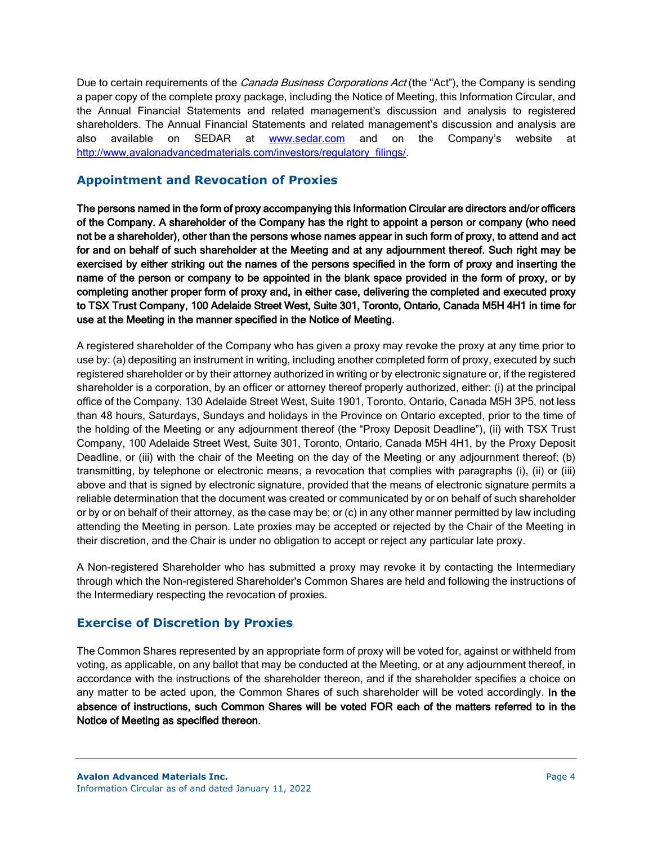Due to certain requirements of the *Canada Business Corporations Act* (the "Act"), the Company is sending a paper copy of the complete proxy package, including the Notice of Meeting, this Information Circular, and the Annual Financial Statements and related management's discussion and analysis to registered shareholders. The Annual Financial Statements and related management's discussion and analysis are also available on SEDAR at [www.sedar.com](http://www.sedar.com/) and on the Company's website at [http://www.avalonadvancedmaterials.com/investors/regulatory\\_filings/.](http://www.avalonadvancedmaterials.com/investors/regulatory_filings/)

# **Appointment and Revocation of Proxies**

The persons named in the form of proxy accompanying this Information Circular are directors and/or officers of the Company. A shareholder of the Company has the right to appoint a person or company (who need not be a shareholder), other than the persons whose names appear in such form of proxy, to attend and act for and on behalf of such shareholder at the Meeting and at any adjournment thereof. Such right may be exercised by either striking out the names of the persons specified in the form of proxy and inserting the name of the person or company to be appointed in the blank space provided in the form of proxy, or by completing another proper form of proxy and, in either case, delivering the completed and executed proxy to TSX Trust Company, 100 Adelaide Street West, Suite 301, Toronto, Ontario, Canada M5H 4H1 in time for use at the Meeting in the manner specified in the Notice of Meeting.

A registered shareholder of the Company who has given a proxy may revoke the proxy at any time prior to use by: (a) depositing an instrument in writing, including another completed form of proxy, executed by such registered shareholder or by their attorney authorized in writing or by electronic signature or, if the registered shareholder is a corporation, by an officer or attorney thereof properly authorized, either: (i) at the principal office of the Company, 130 Adelaide Street West, Suite 1901, Toronto, Ontario, Canada M5H 3P5, not less than 48 hours, Saturdays, Sundays and holidays in the Province on Ontario excepted, prior to the time of the holding of the Meeting or any adjournment thereof (the "Proxy Deposit Deadline"), (ii) with TSX Trust Company, 100 Adelaide Street West, Suite 301, Toronto, Ontario, Canada M5H 4H1, by the Proxy Deposit Deadline, or (iii) with the chair of the Meeting on the day of the Meeting or any adjournment thereof; (b) transmitting, by telephone or electronic means, a revocation that complies with paragraphs (i), (ii) or (iii) above and that is signed by electronic signature, provided that the means of electronic signature permits a reliable determination that the document was created or communicated by or on behalf of such shareholder or by or on behalf of their attorney, as the case may be; or (c) in any other manner permitted by law including attending the Meeting in person. Late proxies may be accepted or rejected by the Chair of the Meeting in their discretion, and the Chair is under no obligation to accept or reject any particular late proxy.

A Non-registered Shareholder who has submitted a proxy may revoke it by contacting the Intermediary through which the Non-registered Shareholder's Common Shares are held and following the instructions of the Intermediary respecting the revocation of proxies.

# **Exercise of Discretion by Proxies**

The Common Shares represented by an appropriate form of proxy will be voted for, against or withheld from voting, as applicable, on any ballot that may be conducted at the Meeting, or at any adjournment thereof, in accordance with the instructions of the shareholder thereon, and if the shareholder specifies a choice on any matter to be acted upon, the Common Shares of such shareholder will be voted accordingly. In the absence of instructions, such Common Shares will be voted FOR each of the matters referred to in the Notice of Meeting as specified thereon.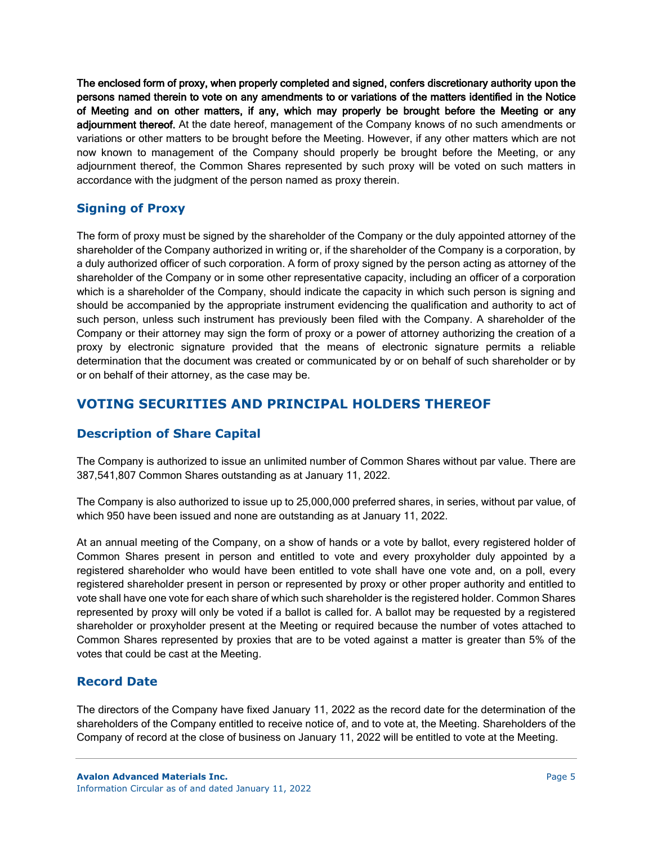The enclosed form of proxy, when properly completed and signed, confers discretionary authority upon the persons named therein to vote on any amendments to or variations of the matters identified in the Notice of Meeting and on other matters, if any, which may properly be brought before the Meeting or any adjournment thereof. At the date hereof, management of the Company knows of no such amendments or variations or other matters to be brought before the Meeting. However, if any other matters which are not now known to management of the Company should properly be brought before the Meeting, or any adjournment thereof, the Common Shares represented by such proxy will be voted on such matters in accordance with the judgment of the person named as proxy therein.

# **Signing of Proxy**

The form of proxy must be signed by the shareholder of the Company or the duly appointed attorney of the shareholder of the Company authorized in writing or, if the shareholder of the Company is a corporation, by a duly authorized officer of such corporation. A form of proxy signed by the person acting as attorney of the shareholder of the Company or in some other representative capacity, including an officer of a corporation which is a shareholder of the Company, should indicate the capacity in which such person is signing and should be accompanied by the appropriate instrument evidencing the qualification and authority to act of such person, unless such instrument has previously been filed with the Company. A shareholder of the Company or their attorney may sign the form of proxy or a power of attorney authorizing the creation of a proxy by electronic signature provided that the means of electronic signature permits a reliable determination that the document was created or communicated by or on behalf of such shareholder or by or on behalf of their attorney, as the case may be.

# **VOTING SECURITIES AND PRINCIPAL HOLDERS THEREOF**

# **Description of Share Capital**

The Company is authorized to issue an unlimited number of Common Shares without par value. There are 387,541,807 Common Shares outstanding as at January 11, 2022.

The Company is also authorized to issue up to 25,000,000 preferred shares, in series, without par value, of which 950 have been issued and none are outstanding as at January 11, 2022.

At an annual meeting of the Company, on a show of hands or a vote by ballot, every registered holder of Common Shares present in person and entitled to vote and every proxyholder duly appointed by a registered shareholder who would have been entitled to vote shall have one vote and, on a poll, every registered shareholder present in person or represented by proxy or other proper authority and entitled to vote shall have one vote for each share of which such shareholder is the registered holder. Common Shares represented by proxy will only be voted if a ballot is called for. A ballot may be requested by a registered shareholder or proxyholder present at the Meeting or required because the number of votes attached to Common Shares represented by proxies that are to be voted against a matter is greater than 5% of the votes that could be cast at the Meeting.

# **Record Date**

The directors of the Company have fixed January 11, 2022 as the record date for the determination of the shareholders of the Company entitled to receive notice of, and to vote at, the Meeting. Shareholders of the Company of record at the close of business on January 11, 2022 will be entitled to vote at the Meeting.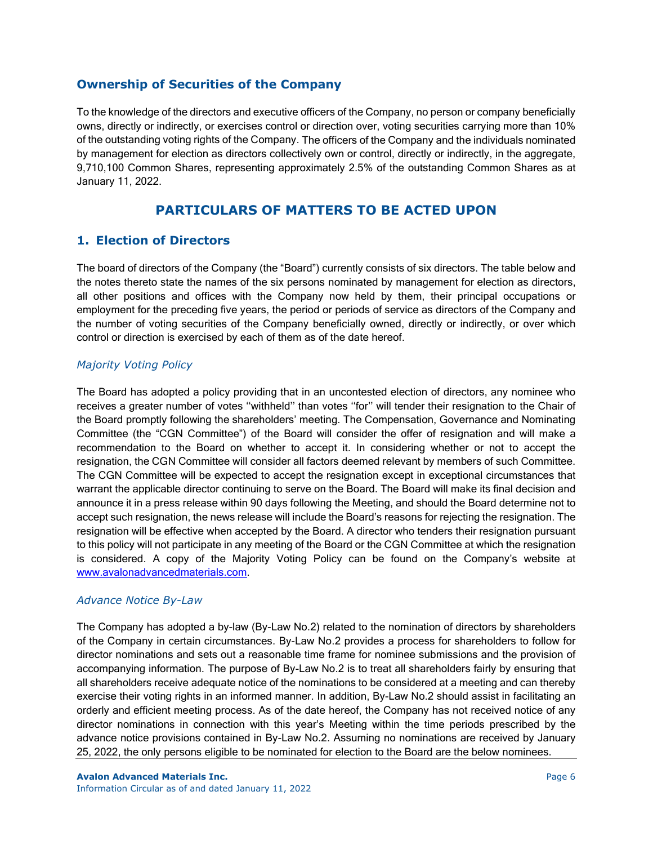## **Ownership of Securities of the Company**

To the knowledge of the directors and executive officers of the Company, no person or company beneficially owns, directly or indirectly, or exercises control or direction over, voting securities carrying more than 10% of the outstanding voting rights of the Company. The officers of the Company and the individuals nominated by management for election as directors collectively own or control, directly or indirectly, in the aggregate, 9,710,100 Common Shares, representing approximately 2.5% of the outstanding Common Shares as at January 11, 2022.

# **PARTICULARS OF MATTERS TO BE ACTED UPON**

# **1. Election of Directors**

The board of directors of the Company (the "Board") currently consists of six directors. The table below and the notes thereto state the names of the six persons nominated by management for election as directors, all other positions and offices with the Company now held by them, their principal occupations or employment for the preceding five years, the period or periods of service as directors of the Company and the number of voting securities of the Company beneficially owned, directly or indirectly, or over which control or direction is exercised by each of them as of the date hereof.

## *Majority Voting Policy*

The Board has adopted a policy providing that in an uncontested election of directors, any nominee who receives a greater number of votes ''withheld'' than votes ''for'' will tender their resignation to the Chair of the Board promptly following the shareholders' meeting. The Compensation, Governance and Nominating Committee (the "CGN Committee") of the Board will consider the offer of resignation and will make a recommendation to the Board on whether to accept it. In considering whether or not to accept the resignation, the CGN Committee will consider all factors deemed relevant by members of such Committee. The CGN Committee will be expected to accept the resignation except in exceptional circumstances that warrant the applicable director continuing to serve on the Board. The Board will make its final decision and announce it in a press release within 90 days following the Meeting, and should the Board determine not to accept such resignation, the news release will include the Board's reasons for rejecting the resignation. The resignation will be effective when accepted by the Board. A director who tenders their resignation pursuant to this policy will not participate in any meeting of the Board or the CGN Committee at which the resignation is considered. A copy of the Majority Voting Policy can be found on the Company's website at [www.avalonadvancedmaterials.com.](file://avalon-server-5/public/IR/AGM%202020/www.avalonadvancedmaterials.com)

## *Advance Notice By-Law*

The Company has adopted a by-law (By-Law No.2) related to the nomination of directors by shareholders of the Company in certain circumstances. By-Law No.2 provides a process for shareholders to follow for director nominations and sets out a reasonable time frame for nominee submissions and the provision of accompanying information. The purpose of By-Law No.2 is to treat all shareholders fairly by ensuring that all shareholders receive adequate notice of the nominations to be considered at a meeting and can thereby exercise their voting rights in an informed manner. In addition, By-Law No.2 should assist in facilitating an orderly and efficient meeting process. As of the date hereof, the Company has not received notice of any director nominations in connection with this year's Meeting within the time periods prescribed by the advance notice provisions contained in By-Law No.2. Assuming no nominations are received by January 25, 2022, the only persons eligible to be nominated for election to the Board are the below nominees.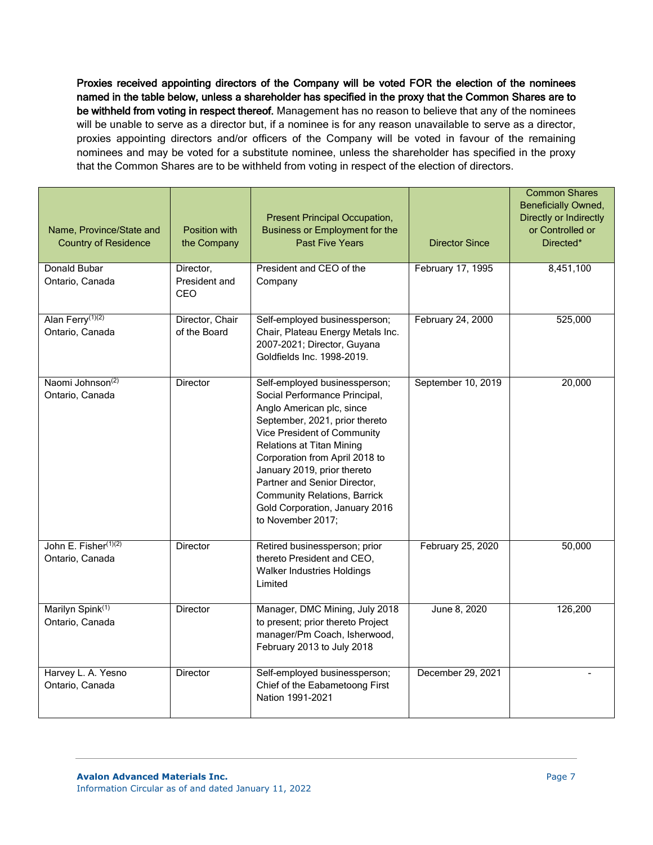Proxies received appointing directors of the Company will be voted FOR the election of the nominees named in the table below, unless a shareholder has specified in the proxy that the Common Shares are to be withheld from voting in respect thereof. Management has no reason to believe that any of the nominees will be unable to serve as a director but, if a nominee is for any reason unavailable to serve as a director, proxies appointing directors and/or officers of the Company will be voted in favour of the remaining nominees and may be voted for a substitute nominee, unless the shareholder has specified in the proxy that the Common Shares are to be withheld from voting in respect of the election of directors.

| Name, Province/State and<br><b>Country of Residence</b> | Position with<br>the Company      | Present Principal Occupation,<br><b>Business or Employment for the</b><br><b>Past Five Years</b>                                                                                                                                                                                                                                                                                                | <b>Director Since</b> | <b>Common Shares</b><br><b>Beneficially Owned,</b><br>Directly or Indirectly<br>or Controlled or<br>Directed* |
|---------------------------------------------------------|-----------------------------------|-------------------------------------------------------------------------------------------------------------------------------------------------------------------------------------------------------------------------------------------------------------------------------------------------------------------------------------------------------------------------------------------------|-----------------------|---------------------------------------------------------------------------------------------------------------|
| Donald Bubar<br>Ontario, Canada                         | Director,<br>President and<br>CEO | President and CEO of the<br>Company                                                                                                                                                                                                                                                                                                                                                             | February 17, 1995     | 8,451,100                                                                                                     |
| Alan Ferry <sup>(1)(2)</sup><br>Ontario, Canada         | Director, Chair<br>of the Board   | Self-employed businessperson;<br>Chair, Plateau Energy Metals Inc.<br>2007-2021; Director, Guyana<br>Goldfields Inc. 1998-2019.                                                                                                                                                                                                                                                                 | February 24, 2000     | 525,000                                                                                                       |
| Naomi Johnson <sup>(2)</sup><br>Ontario, Canada         | Director                          | Self-employed businessperson;<br>Social Performance Principal,<br>Anglo American plc, since<br>September, 2021, prior thereto<br>Vice President of Community<br><b>Relations at Titan Mining</b><br>Corporation from April 2018 to<br>January 2019, prior thereto<br>Partner and Senior Director,<br><b>Community Relations, Barrick</b><br>Gold Corporation, January 2016<br>to November 2017; | September 10, 2019    | 20,000                                                                                                        |
| John E. Fisher(1)(2)<br>Ontario, Canada                 | Director                          | Retired businessperson; prior<br>thereto President and CEO,<br>Walker Industries Holdings<br>Limited                                                                                                                                                                                                                                                                                            | February 25, 2020     | 50,000                                                                                                        |
| Marilyn Spink <sup>(1)</sup><br>Ontario, Canada         | <b>Director</b>                   | Manager, DMC Mining, July 2018<br>to present; prior thereto Project<br>manager/Pm Coach, Isherwood,<br>February 2013 to July 2018                                                                                                                                                                                                                                                               | June 8, 2020          | 126,200                                                                                                       |
| Harvey L. A. Yesno<br>Ontario, Canada                   | <b>Director</b>                   | Self-employed businessperson;<br>Chief of the Eabametoong First<br>Nation 1991-2021                                                                                                                                                                                                                                                                                                             | December 29, 2021     |                                                                                                               |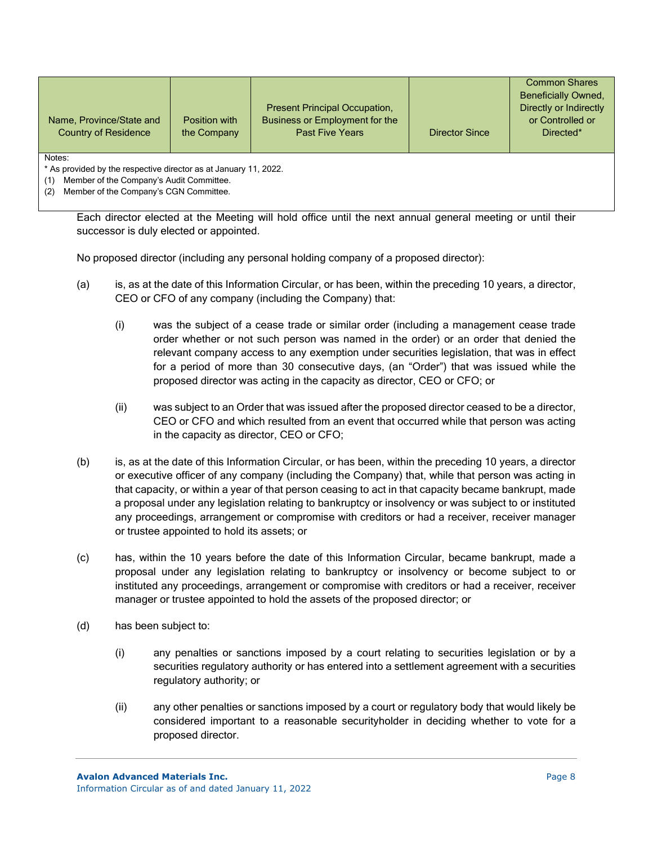|                             |               |                                      |                       | <b>Common Shares</b>       |
|-----------------------------|---------------|--------------------------------------|-----------------------|----------------------------|
|                             |               |                                      |                       | <b>Beneficially Owned.</b> |
|                             |               | <b>Present Principal Occupation,</b> |                       | Directly or Indirectly     |
| Name, Province/State and    | Position with | Business or Employment for the       |                       | or Controlled or           |
| <b>Country of Residence</b> | the Company   | <b>Past Five Years</b>               | <b>Director Since</b> | Directed*                  |
|                             |               |                                      |                       |                            |
| Notae:                      |               |                                      |                       |                            |

\* As provided by the respective director as at January 11, 2022.

(1) Member of the Company's Audit Committee.

(2) Member of the Company's CGN Committee.

Each director elected at the Meeting will hold office until the next annual general meeting or until their successor is duly elected or appointed.

No proposed director (including any personal holding company of a proposed director):

- (a) is, as at the date of this Information Circular, or has been, within the preceding 10 years, a director, CEO or CFO of any company (including the Company) that:
	- (i) was the subject of a cease trade or similar order (including a management cease trade order whether or not such person was named in the order) or an order that denied the relevant company access to any exemption under securities legislation, that was in effect for a period of more than 30 consecutive days, (an "Order") that was issued while the proposed director was acting in the capacity as director, CEO or CFO; or
	- (ii) was subject to an Order that was issued after the proposed director ceased to be a director, CEO or CFO and which resulted from an event that occurred while that person was acting in the capacity as director, CEO or CFO;
- (b) is, as at the date of this Information Circular, or has been, within the preceding 10 years, a director or executive officer of any company (including the Company) that, while that person was acting in that capacity, or within a year of that person ceasing to act in that capacity became bankrupt, made a proposal under any legislation relating to bankruptcy or insolvency or was subject to or instituted any proceedings, arrangement or compromise with creditors or had a receiver, receiver manager or trustee appointed to hold its assets; or
- (c) has, within the 10 years before the date of this Information Circular, became bankrupt, made a proposal under any legislation relating to bankruptcy or insolvency or become subject to or instituted any proceedings, arrangement or compromise with creditors or had a receiver, receiver manager or trustee appointed to hold the assets of the proposed director; or
- (d) has been subject to:
	- (i) any penalties or sanctions imposed by a court relating to securities legislation or by a securities regulatory authority or has entered into a settlement agreement with a securities regulatory authority; or
	- (ii) any other penalties or sanctions imposed by a court or regulatory body that would likely be considered important to a reasonable securityholder in deciding whether to vote for a proposed director.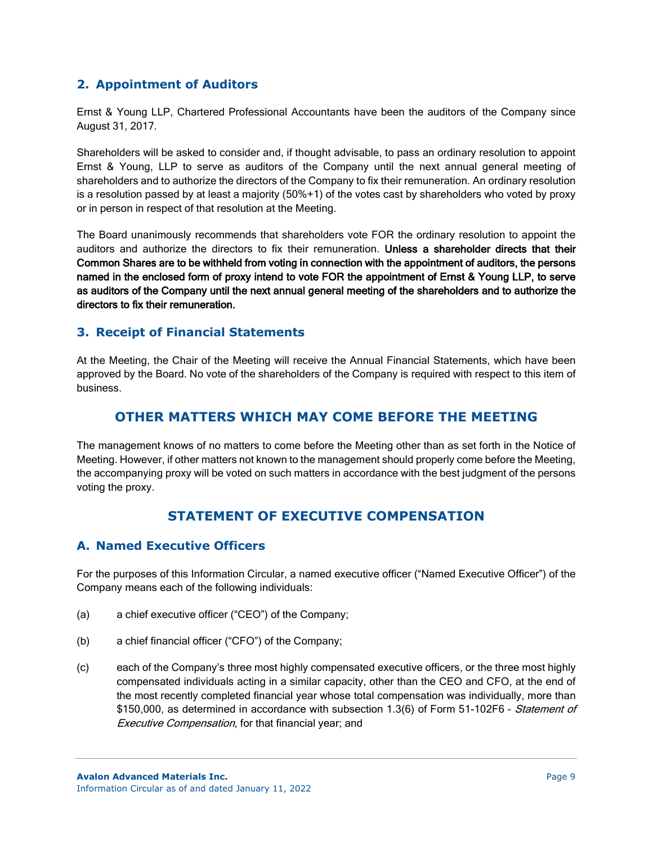# **2. Appointment of Auditors**

Ernst & Young LLP, Chartered Professional Accountants have been the auditors of the Company since August 31, 2017.

Shareholders will be asked to consider and, if thought advisable, to pass an ordinary resolution to appoint Ernst & Young, LLP to serve as auditors of the Company until the next annual general meeting of shareholders and to authorize the directors of the Company to fix their remuneration. An ordinary resolution is a resolution passed by at least a majority (50%+1) of the votes cast by shareholders who voted by proxy or in person in respect of that resolution at the Meeting.

The Board unanimously recommends that shareholders vote FOR the ordinary resolution to appoint the auditors and authorize the directors to fix their remuneration. Unless a shareholder directs that their Common Shares are to be withheld from voting in connection with the appointment of auditors, the persons named in the enclosed form of proxy intend to vote FOR the appointment of Ernst & Young LLP, to serve as auditors of the Company until the next annual general meeting of the shareholders and to authorize the directors to fix their remuneration.

# **3. Receipt of Financial Statements**

At the Meeting, the Chair of the Meeting will receive the Annual Financial Statements, which have been approved by the Board. No vote of the shareholders of the Company is required with respect to this item of business.

# **OTHER MATTERS WHICH MAY COME BEFORE THE MEETING**

The management knows of no matters to come before the Meeting other than as set forth in the Notice of Meeting. However, if other matters not known to the management should properly come before the Meeting, the accompanying proxy will be voted on such matters in accordance with the best judgment of the persons voting the proxy.

# **STATEMENT OF EXECUTIVE COMPENSATION**

# **A. Named Executive Officers**

For the purposes of this Information Circular, a named executive officer ("Named Executive Officer") of the Company means each of the following individuals:

- (a) a chief executive officer ("CEO") of the Company;
- (b) a chief financial officer ("CFO") of the Company;
- (c) each of the Company's three most highly compensated executive officers, or the three most highly compensated individuals acting in a similar capacity, other than the CEO and CFO, at the end of the most recently completed financial year whose total compensation was individually, more than \$150,000, as determined in accordance with subsection 1.3(6) of Form 51-102F6 - Statement of Executive Compensation, for that financial year; and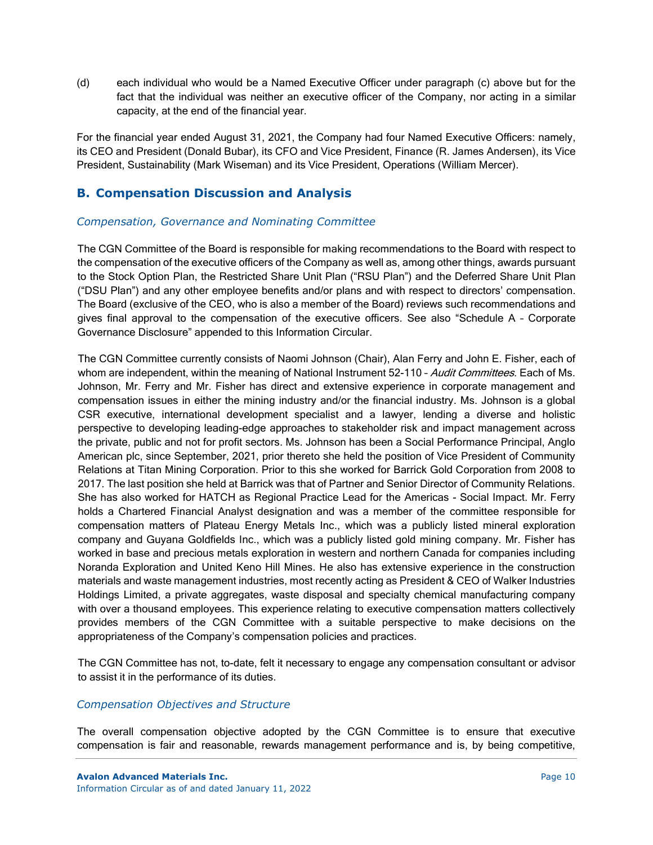(d) each individual who would be a Named Executive Officer under paragraph (c) above but for the fact that the individual was neither an executive officer of the Company, nor acting in a similar capacity, at the end of the financial year.

For the financial year ended August 31, 2021, the Company had four Named Executive Officers: namely, its CEO and President (Donald Bubar), its CFO and Vice President, Finance (R. James Andersen), its Vice President, Sustainability (Mark Wiseman) and its Vice President, Operations (William Mercer).

# **B. Compensation Discussion and Analysis**

## *Compensation, Governance and Nominating Committee*

The CGN Committee of the Board is responsible for making recommendations to the Board with respect to the compensation of the executive officers of the Company as well as, among other things, awards pursuant to the Stock Option Plan, the Restricted Share Unit Plan ("RSU Plan") and the Deferred Share Unit Plan ("DSU Plan") and any other employee benefits and/or plans and with respect to directors' compensation. The Board (exclusive of the CEO, who is also a member of the Board) reviews such recommendations and gives final approval to the compensation of the executive officers. See also "Schedule A – Corporate Governance Disclosure" appended to this Information Circular.

The CGN Committee currently consists of Naomi Johnson (Chair), Alan Ferry and John E. Fisher, each of whom are independent, within the meaning of National Instrument 52-110 - Audit Committees. Each of Ms. Johnson, Mr. Ferry and Mr. Fisher has direct and extensive experience in corporate management and compensation issues in either the mining industry and/or the financial industry. Ms. Johnson is a global CSR executive, international development specialist and a lawyer, lending a diverse and holistic perspective to developing leading-edge approaches to stakeholder risk and impact management across the private, public and not for profit sectors. Ms. Johnson has been a Social Performance Principal, Anglo American plc, since September, 2021, prior thereto she held the position of Vice President of Community Relations at Titan Mining Corporation. Prior to this she worked for Barrick Gold Corporation from 2008 to 2017. The last position she held at Barrick was that of Partner and Senior Director of Community Relations. She has also worked for HATCH as Regional Practice Lead for the Americas - Social Impact. Mr. Ferry holds a Chartered Financial Analyst designation and was a member of the committee responsible for compensation matters of Plateau Energy Metals Inc., which was a publicly listed mineral exploration company and Guyana Goldfields Inc., which was a publicly listed gold mining company. Mr. Fisher has worked in base and precious metals exploration in western and northern Canada for companies including Noranda Exploration and United Keno Hill Mines. He also has extensive experience in the construction materials and waste management industries, most recently acting as President & CEO of Walker Industries Holdings Limited, a private aggregates, waste disposal and specialty chemical manufacturing company with over a thousand employees. This experience relating to executive compensation matters collectively provides members of the CGN Committee with a suitable perspective to make decisions on the appropriateness of the Company's compensation policies and practices.

The CGN Committee has not, to-date, felt it necessary to engage any compensation consultant or advisor to assist it in the performance of its duties.

## *Compensation Objectives and Structure*

The overall compensation objective adopted by the CGN Committee is to ensure that executive compensation is fair and reasonable, rewards management performance and is, by being competitive,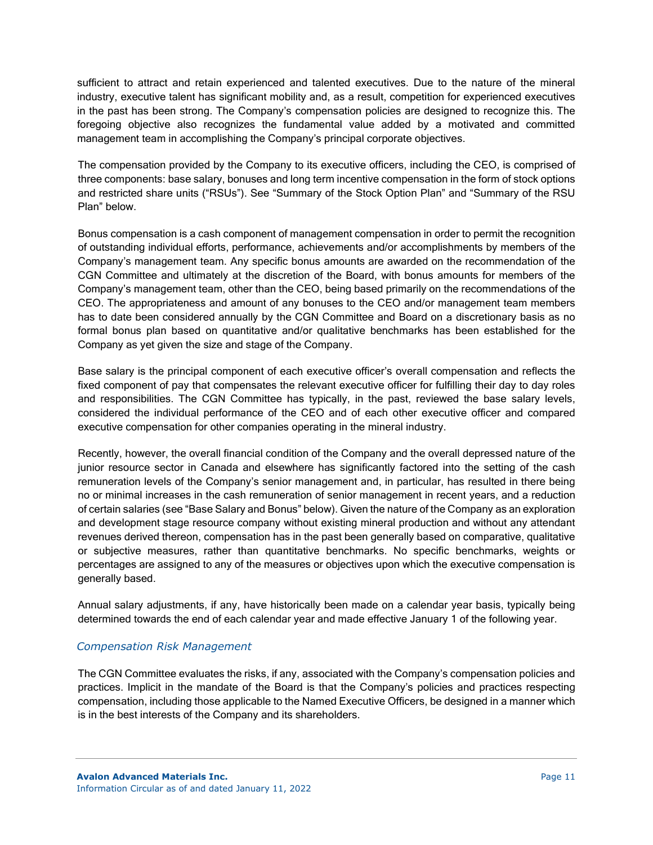sufficient to attract and retain experienced and talented executives. Due to the nature of the mineral industry, executive talent has significant mobility and, as a result, competition for experienced executives in the past has been strong. The Company's compensation policies are designed to recognize this. The foregoing objective also recognizes the fundamental value added by a motivated and committed management team in accomplishing the Company's principal corporate objectives.

The compensation provided by the Company to its executive officers, including the CEO, is comprised of three components: base salary, bonuses and long term incentive compensation in the form of stock options and restricted share units ("RSUs"). See "Summary of the Stock Option Plan" and "Summary of the RSU Plan" below.

Bonus compensation is a cash component of management compensation in order to permit the recognition of outstanding individual efforts, performance, achievements and/or accomplishments by members of the Company's management team. Any specific bonus amounts are awarded on the recommendation of the CGN Committee and ultimately at the discretion of the Board, with bonus amounts for members of the Company's management team, other than the CEO, being based primarily on the recommendations of the CEO. The appropriateness and amount of any bonuses to the CEO and/or management team members has to date been considered annually by the CGN Committee and Board on a discretionary basis as no formal bonus plan based on quantitative and/or qualitative benchmarks has been established for the Company as yet given the size and stage of the Company.

Base salary is the principal component of each executive officer's overall compensation and reflects the fixed component of pay that compensates the relevant executive officer for fulfilling their day to day roles and responsibilities. The CGN Committee has typically, in the past, reviewed the base salary levels, considered the individual performance of the CEO and of each other executive officer and compared executive compensation for other companies operating in the mineral industry.

Recently, however, the overall financial condition of the Company and the overall depressed nature of the junior resource sector in Canada and elsewhere has significantly factored into the setting of the cash remuneration levels of the Company's senior management and, in particular, has resulted in there being no or minimal increases in the cash remuneration of senior management in recent years, and a reduction of certain salaries (see "Base Salary and Bonus" below). Given the nature of the Company as an exploration and development stage resource company without existing mineral production and without any attendant revenues derived thereon, compensation has in the past been generally based on comparative, qualitative or subjective measures, rather than quantitative benchmarks. No specific benchmarks, weights or percentages are assigned to any of the measures or objectives upon which the executive compensation is generally based.

Annual salary adjustments, if any, have historically been made on a calendar year basis, typically being determined towards the end of each calendar year and made effective January 1 of the following year.

## *Compensation Risk Management*

The CGN Committee evaluates the risks, if any, associated with the Company's compensation policies and practices. Implicit in the mandate of the Board is that the Company's policies and practices respecting compensation, including those applicable to the Named Executive Officers, be designed in a manner which is in the best interests of the Company and its shareholders.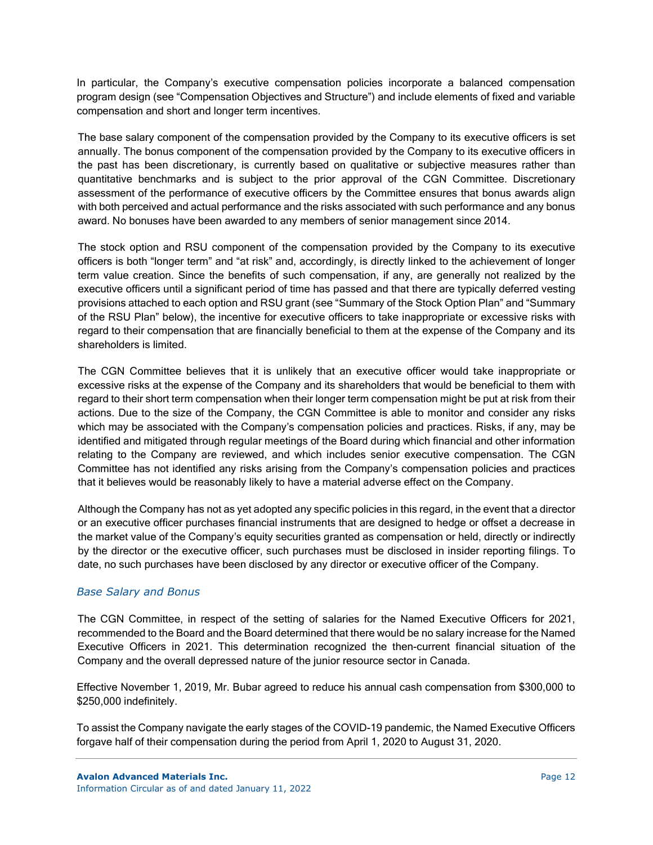In particular, the Company's executive compensation policies incorporate a balanced compensation program design (see "Compensation Objectives and Structure") and include elements of fixed and variable compensation and short and longer term incentives.

The base salary component of the compensation provided by the Company to its executive officers is set annually. The bonus component of the compensation provided by the Company to its executive officers in the past has been discretionary, is currently based on qualitative or subjective measures rather than quantitative benchmarks and is subject to the prior approval of the CGN Committee. Discretionary assessment of the performance of executive officers by the Committee ensures that bonus awards align with both perceived and actual performance and the risks associated with such performance and any bonus award. No bonuses have been awarded to any members of senior management since 2014.

The stock option and RSU component of the compensation provided by the Company to its executive officers is both "longer term" and "at risk" and, accordingly, is directly linked to the achievement of longer term value creation. Since the benefits of such compensation, if any, are generally not realized by the executive officers until a significant period of time has passed and that there are typically deferred vesting provisions attached to each option and RSU grant (see "Summary of the Stock Option Plan" and "Summary of the RSU Plan" below), the incentive for executive officers to take inappropriate or excessive risks with regard to their compensation that are financially beneficial to them at the expense of the Company and its shareholders is limited.

The CGN Committee believes that it is unlikely that an executive officer would take inappropriate or excessive risks at the expense of the Company and its shareholders that would be beneficial to them with regard to their short term compensation when their longer term compensation might be put at risk from their actions. Due to the size of the Company, the CGN Committee is able to monitor and consider any risks which may be associated with the Company's compensation policies and practices. Risks, if any, may be identified and mitigated through regular meetings of the Board during which financial and other information relating to the Company are reviewed, and which includes senior executive compensation. The CGN Committee has not identified any risks arising from the Company's compensation policies and practices that it believes would be reasonably likely to have a material adverse effect on the Company.

Although the Company has not as yet adopted any specific policies in this regard, in the event that a director or an executive officer purchases financial instruments that are designed to hedge or offset a decrease in the market value of the Company's equity securities granted as compensation or held, directly or indirectly by the director or the executive officer, such purchases must be disclosed in insider reporting filings. To date, no such purchases have been disclosed by any director or executive officer of the Company.

# *Base Salary and Bonus*

The CGN Committee, in respect of the setting of salaries for the Named Executive Officers for 2021, recommended to the Board and the Board determined that there would be no salary increase for the Named Executive Officers in 2021. This determination recognized the then-current financial situation of the Company and the overall depressed nature of the junior resource sector in Canada.

Effective November 1, 2019, Mr. Bubar agreed to reduce his annual cash compensation from \$300,000 to \$250,000 indefinitely.

To assist the Company navigate the early stages of the COVID-19 pandemic, the Named Executive Officers forgave half of their compensation during the period from April 1, 2020 to August 31, 2020.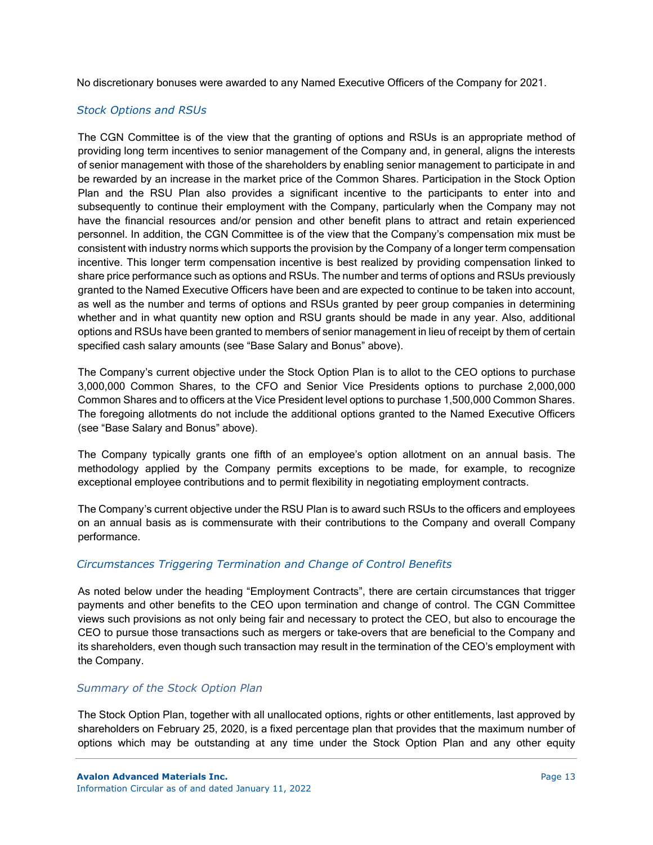No discretionary bonuses were awarded to any Named Executive Officers of the Company for 2021.

## *Stock Options and RSUs*

The CGN Committee is of the view that the granting of options and RSUs is an appropriate method of providing long term incentives to senior management of the Company and, in general, aligns the interests of senior management with those of the shareholders by enabling senior management to participate in and be rewarded by an increase in the market price of the Common Shares. Participation in the Stock Option Plan and the RSU Plan also provides a significant incentive to the participants to enter into and subsequently to continue their employment with the Company, particularly when the Company may not have the financial resources and/or pension and other benefit plans to attract and retain experienced personnel. In addition, the CGN Committee is of the view that the Company's compensation mix must be consistent with industry norms which supports the provision by the Company of a longer term compensation incentive. This longer term compensation incentive is best realized by providing compensation linked to share price performance such as options and RSUs. The number and terms of options and RSUs previously granted to the Named Executive Officers have been and are expected to continue to be taken into account, as well as the number and terms of options and RSUs granted by peer group companies in determining whether and in what quantity new option and RSU grants should be made in any year. Also, additional options and RSUs have been granted to members of senior management in lieu of receipt by them of certain specified cash salary amounts (see "Base Salary and Bonus" above).

The Company's current objective under the Stock Option Plan is to allot to the CEO options to purchase 3,000,000 Common Shares, to the CFO and Senior Vice Presidents options to purchase 2,000,000 Common Shares and to officers at the Vice President level options to purchase 1,500,000 Common Shares. The foregoing allotments do not include the additional options granted to the Named Executive Officers (see "Base Salary and Bonus" above).

The Company typically grants one fifth of an employee's option allotment on an annual basis. The methodology applied by the Company permits exceptions to be made, for example, to recognize exceptional employee contributions and to permit flexibility in negotiating employment contracts.

The Company's current objective under the RSU Plan is to award such RSUs to the officers and employees on an annual basis as is commensurate with their contributions to the Company and overall Company performance.

# *Circumstances Triggering Termination and Change of Control Benefits*

As noted below under the heading "Employment Contracts", there are certain circumstances that trigger payments and other benefits to the CEO upon termination and change of control. The CGN Committee views such provisions as not only being fair and necessary to protect the CEO, but also to encourage the CEO to pursue those transactions such as mergers or take-overs that are beneficial to the Company and its shareholders, even though such transaction may result in the termination of the CEO's employment with the Company.

## *Summary of the Stock Option Plan*

The Stock Option Plan, together with all unallocated options, rights or other entitlements, last approved by shareholders on February 25, 2020, is a fixed percentage plan that provides that the maximum number of options which may be outstanding at any time under the Stock Option Plan and any other equity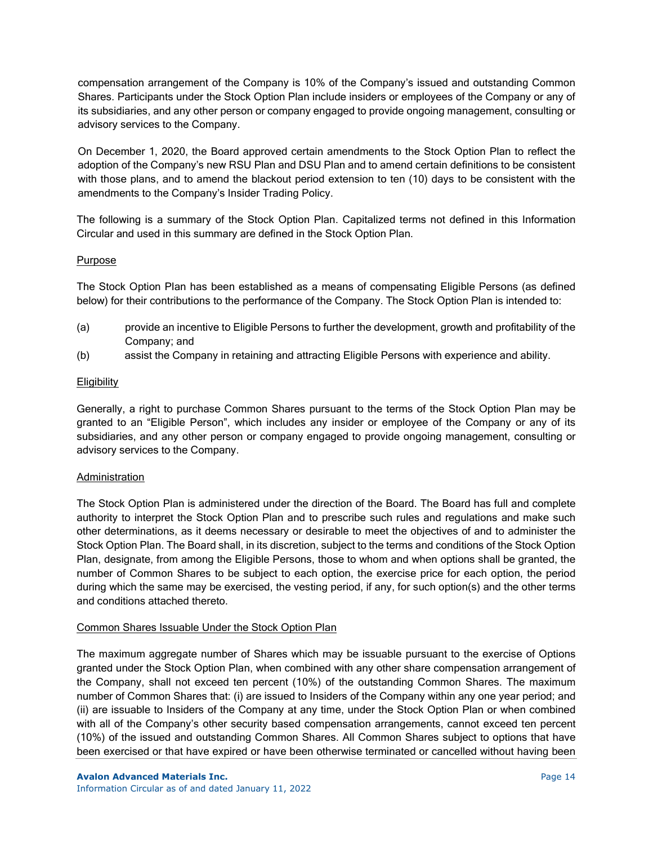compensation arrangement of the Company is 10% of the Company's issued and outstanding Common Shares. Participants under the Stock Option Plan include insiders or employees of the Company or any of its subsidiaries, and any other person or company engaged to provide ongoing management, consulting or advisory services to the Company.

On December 1, 2020, the Board approved certain amendments to the Stock Option Plan to reflect the adoption of the Company's new RSU Plan and DSU Plan and to amend certain definitions to be consistent with those plans, and to amend the blackout period extension to ten (10) days to be consistent with the amendments to the Company's Insider Trading Policy.

The following is a summary of the Stock Option Plan. Capitalized terms not defined in this Information Circular and used in this summary are defined in the Stock Option Plan.

### Purpose

The Stock Option Plan has been established as a means of compensating Eligible Persons (as defined below) for their contributions to the performance of the Company. The Stock Option Plan is intended to:

- (a) provide an incentive to Eligible Persons to further the development, growth and profitability of the Company; and
- (b) assist the Company in retaining and attracting Eligible Persons with experience and ability.

## **Eligibility**

Generally, a right to purchase Common Shares pursuant to the terms of the Stock Option Plan may be granted to an "Eligible Person", which includes any insider or employee of the Company or any of its subsidiaries, and any other person or company engaged to provide ongoing management, consulting or advisory services to the Company.

#### **Administration**

The Stock Option Plan is administered under the direction of the Board. The Board has full and complete authority to interpret the Stock Option Plan and to prescribe such rules and regulations and make such other determinations, as it deems necessary or desirable to meet the objectives of and to administer the Stock Option Plan. The Board shall, in its discretion, subject to the terms and conditions of the Stock Option Plan, designate, from among the Eligible Persons, those to whom and when options shall be granted, the number of Common Shares to be subject to each option, the exercise price for each option, the period during which the same may be exercised, the vesting period, if any, for such option(s) and the other terms and conditions attached thereto.

## Common Shares Issuable Under the Stock Option Plan

The maximum aggregate number of Shares which may be issuable pursuant to the exercise of Options granted under the Stock Option Plan, when combined with any other share compensation arrangement of the Company, shall not exceed ten percent (10%) of the outstanding Common Shares. The maximum number of Common Shares that: (i) are issued to Insiders of the Company within any one year period; and (ii) are issuable to Insiders of the Company at any time, under the Stock Option Plan or when combined with all of the Company's other security based compensation arrangements, cannot exceed ten percent (10%) of the issued and outstanding Common Shares. All Common Shares subject to options that have been exercised or that have expired or have been otherwise terminated or cancelled without having been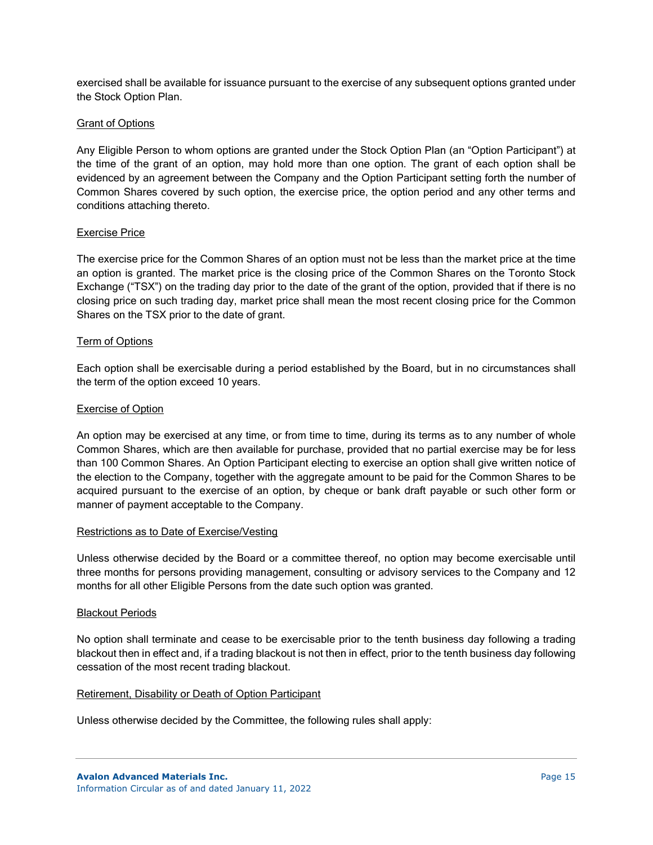exercised shall be available for issuance pursuant to the exercise of any subsequent options granted under the Stock Option Plan.

#### Grant of Options

Any Eligible Person to whom options are granted under the Stock Option Plan (an "Option Participant") at the time of the grant of an option, may hold more than one option. The grant of each option shall be evidenced by an agreement between the Company and the Option Participant setting forth the number of Common Shares covered by such option, the exercise price, the option period and any other terms and conditions attaching thereto.

### Exercise Price

The exercise price for the Common Shares of an option must not be less than the market price at the time an option is granted. The market price is the closing price of the Common Shares on the Toronto Stock Exchange ("TSX") on the trading day prior to the date of the grant of the option, provided that if there is no closing price on such trading day, market price shall mean the most recent closing price for the Common Shares on the TSX prior to the date of grant.

### Term of Options

Each option shall be exercisable during a period established by the Board, but in no circumstances shall the term of the option exceed 10 years.

### Exercise of Option

An option may be exercised at any time, or from time to time, during its terms as to any number of whole Common Shares, which are then available for purchase, provided that no partial exercise may be for less than 100 Common Shares. An Option Participant electing to exercise an option shall give written notice of the election to the Company, together with the aggregate amount to be paid for the Common Shares to be acquired pursuant to the exercise of an option, by cheque or bank draft payable or such other form or manner of payment acceptable to the Company.

#### Restrictions as to Date of Exercise/Vesting

Unless otherwise decided by the Board or a committee thereof, no option may become exercisable until three months for persons providing management, consulting or advisory services to the Company and 12 months for all other Eligible Persons from the date such option was granted.

#### Blackout Periods

No option shall terminate and cease to be exercisable prior to the tenth business day following a trading blackout then in effect and, if a trading blackout is not then in effect, prior to the tenth business day following cessation of the most recent trading blackout.

#### Retirement, Disability or Death of Option Participant

Unless otherwise decided by the Committee, the following rules shall apply: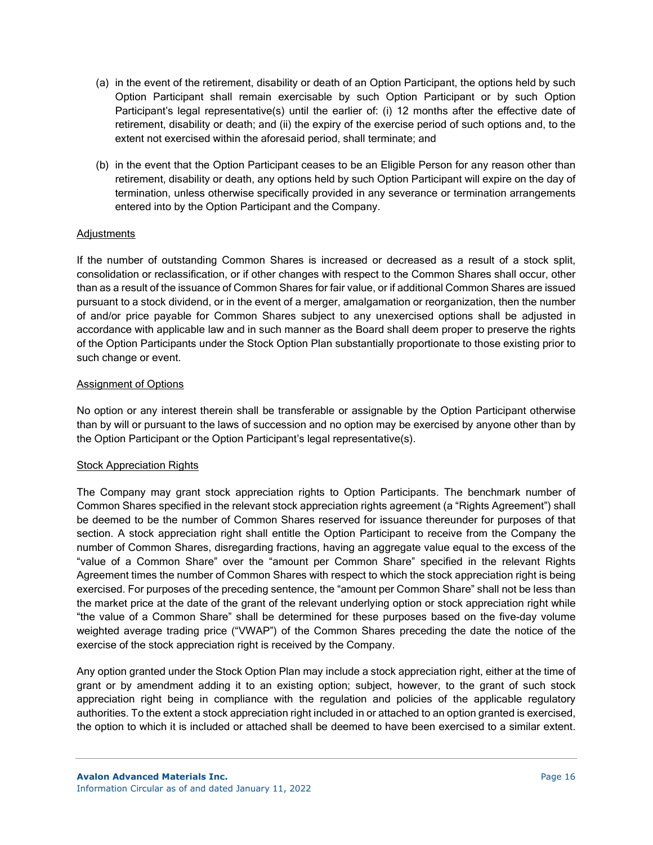- (a) in the event of the retirement, disability or death of an Option Participant, the options held by such Option Participant shall remain exercisable by such Option Participant or by such Option Participant's legal representative(s) until the earlier of: (i) 12 months after the effective date of retirement, disability or death; and (ii) the expiry of the exercise period of such options and, to the extent not exercised within the aforesaid period, shall terminate; and
- (b) in the event that the Option Participant ceases to be an Eligible Person for any reason other than retirement, disability or death, any options held by such Option Participant will expire on the day of termination, unless otherwise specifically provided in any severance or termination arrangements entered into by the Option Participant and the Company.

### **Adjustments**

If the number of outstanding Common Shares is increased or decreased as a result of a stock split, consolidation or reclassification, or if other changes with respect to the Common Shares shall occur, other than as a result of the issuance of Common Shares for fair value, or if additional Common Shares are issued pursuant to a stock dividend, or in the event of a merger, amalgamation or reorganization, then the number of and/or price payable for Common Shares subject to any unexercised options shall be adjusted in accordance with applicable law and in such manner as the Board shall deem proper to preserve the rights of the Option Participants under the Stock Option Plan substantially proportionate to those existing prior to such change or event.

### Assignment of Options

No option or any interest therein shall be transferable or assignable by the Option Participant otherwise than by will or pursuant to the laws of succession and no option may be exercised by anyone other than by the Option Participant or the Option Participant's legal representative(s).

#### Stock Appreciation Rights

The Company may grant stock appreciation rights to Option Participants. The benchmark number of Common Shares specified in the relevant stock appreciation rights agreement (a "Rights Agreement") shall be deemed to be the number of Common Shares reserved for issuance thereunder for purposes of that section. A stock appreciation right shall entitle the Option Participant to receive from the Company the number of Common Shares, disregarding fractions, having an aggregate value equal to the excess of the "value of a Common Share" over the "amount per Common Share" specified in the relevant Rights Agreement times the number of Common Shares with respect to which the stock appreciation right is being exercised. For purposes of the preceding sentence, the "amount per Common Share" shall not be less than the market price at the date of the grant of the relevant underlying option or stock appreciation right while "the value of a Common Share" shall be determined for these purposes based on the five-day volume weighted average trading price ("VWAP") of the Common Shares preceding the date the notice of the exercise of the stock appreciation right is received by the Company.

Any option granted under the Stock Option Plan may include a stock appreciation right, either at the time of grant or by amendment adding it to an existing option; subject, however, to the grant of such stock appreciation right being in compliance with the regulation and policies of the applicable regulatory authorities. To the extent a stock appreciation right included in or attached to an option granted is exercised, the option to which it is included or attached shall be deemed to have been exercised to a similar extent.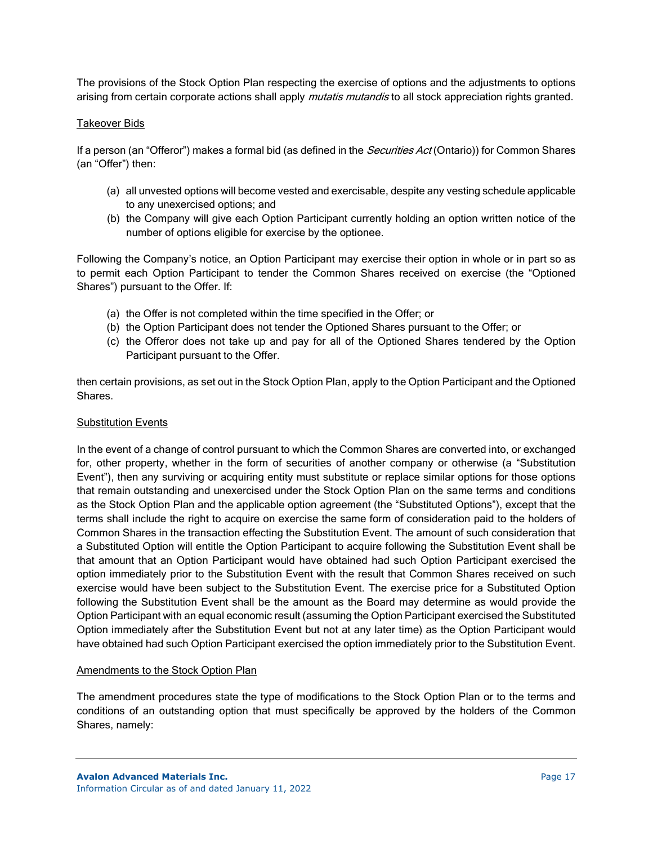The provisions of the Stock Option Plan respecting the exercise of options and the adjustments to options arising from certain corporate actions shall apply *mutatis mutandis* to all stock appreciation rights granted.

## Takeover Bids

If a person (an "Offeror") makes a formal bid (as defined in the *Securities Act* (Ontario)) for Common Shares (an "Offer") then:

- (a) all unvested options will become vested and exercisable, despite any vesting schedule applicable to any unexercised options; and
- (b) the Company will give each Option Participant currently holding an option written notice of the number of options eligible for exercise by the optionee.

Following the Company's notice, an Option Participant may exercise their option in whole or in part so as to permit each Option Participant to tender the Common Shares received on exercise (the "Optioned Shares") pursuant to the Offer. If:

- (a) the Offer is not completed within the time specified in the Offer; or
- (b) the Option Participant does not tender the Optioned Shares pursuant to the Offer; or
- (c) the Offeror does not take up and pay for all of the Optioned Shares tendered by the Option Participant pursuant to the Offer.

then certain provisions, as set out in the Stock Option Plan, apply to the Option Participant and the Optioned Shares.

## Substitution Events

In the event of a change of control pursuant to which the Common Shares are converted into, or exchanged for, other property, whether in the form of securities of another company or otherwise (a "Substitution Event"), then any surviving or acquiring entity must substitute or replace similar options for those options that remain outstanding and unexercised under the Stock Option Plan on the same terms and conditions as the Stock Option Plan and the applicable option agreement (the "Substituted Options"), except that the terms shall include the right to acquire on exercise the same form of consideration paid to the holders of Common Shares in the transaction effecting the Substitution Event. The amount of such consideration that a Substituted Option will entitle the Option Participant to acquire following the Substitution Event shall be that amount that an Option Participant would have obtained had such Option Participant exercised the option immediately prior to the Substitution Event with the result that Common Shares received on such exercise would have been subject to the Substitution Event. The exercise price for a Substituted Option following the Substitution Event shall be the amount as the Board may determine as would provide the Option Participant with an equal economic result (assuming the Option Participant exercised the Substituted Option immediately after the Substitution Event but not at any later time) as the Option Participant would have obtained had such Option Participant exercised the option immediately prior to the Substitution Event.

#### Amendments to the Stock Option Plan

The amendment procedures state the type of modifications to the Stock Option Plan or to the terms and conditions of an outstanding option that must specifically be approved by the holders of the Common Shares, namely: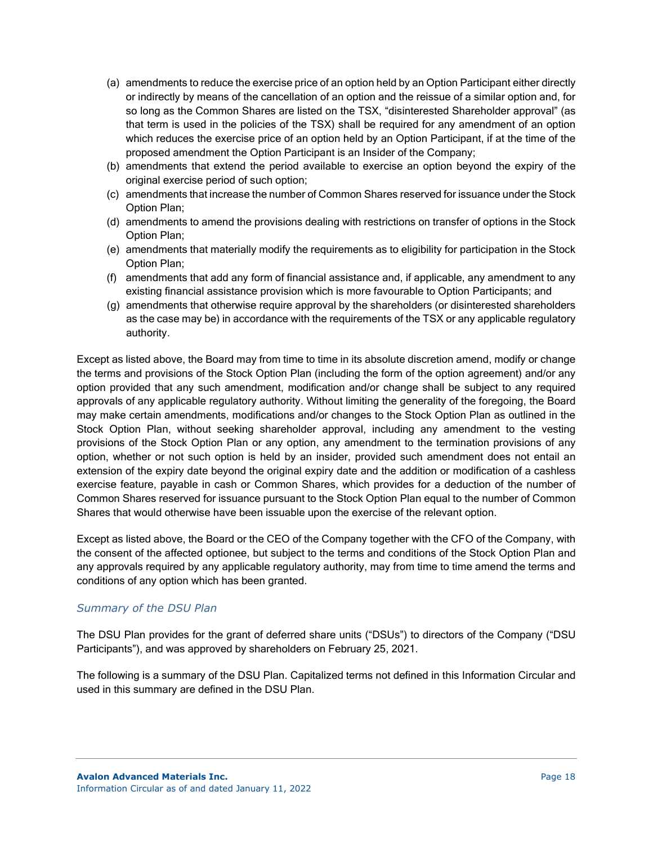- (a) amendments to reduce the exercise price of an option held by an Option Participant either directly or indirectly by means of the cancellation of an option and the reissue of a similar option and, for so long as the Common Shares are listed on the TSX, "disinterested Shareholder approval" (as that term is used in the policies of the TSX) shall be required for any amendment of an option which reduces the exercise price of an option held by an Option Participant, if at the time of the proposed amendment the Option Participant is an Insider of the Company;
- (b) amendments that extend the period available to exercise an option beyond the expiry of the original exercise period of such option;
- (c) amendments that increase the number of Common Shares reserved for issuance under the Stock Option Plan;
- (d) amendments to amend the provisions dealing with restrictions on transfer of options in the Stock Option Plan;
- (e) amendments that materially modify the requirements as to eligibility for participation in the Stock Option Plan;
- (f) amendments that add any form of financial assistance and, if applicable, any amendment to any existing financial assistance provision which is more favourable to Option Participants; and
- (g) amendments that otherwise require approval by the shareholders (or disinterested shareholders as the case may be) in accordance with the requirements of the TSX or any applicable regulatory authority.

Except as listed above, the Board may from time to time in its absolute discretion amend, modify or change the terms and provisions of the Stock Option Plan (including the form of the option agreement) and/or any option provided that any such amendment, modification and/or change shall be subject to any required approvals of any applicable regulatory authority. Without limiting the generality of the foregoing, the Board may make certain amendments, modifications and/or changes to the Stock Option Plan as outlined in the Stock Option Plan, without seeking shareholder approval, including any amendment to the vesting provisions of the Stock Option Plan or any option, any amendment to the termination provisions of any option, whether or not such option is held by an insider, provided such amendment does not entail an extension of the expiry date beyond the original expiry date and the addition or modification of a cashless exercise feature, payable in cash or Common Shares, which provides for a deduction of the number of Common Shares reserved for issuance pursuant to the Stock Option Plan equal to the number of Common Shares that would otherwise have been issuable upon the exercise of the relevant option.

Except as listed above, the Board or the CEO of the Company together with the CFO of the Company, with the consent of the affected optionee, but subject to the terms and conditions of the Stock Option Plan and any approvals required by any applicable regulatory authority, may from time to time amend the terms and conditions of any option which has been granted.

# *Summary of the DSU Plan*

The DSU Plan provides for the grant of deferred share units ("DSUs") to directors of the Company ("DSU Participants"), and was approved by shareholders on February 25, 2021.

The following is a summary of the DSU Plan. Capitalized terms not defined in this Information Circular and used in this summary are defined in the DSU Plan.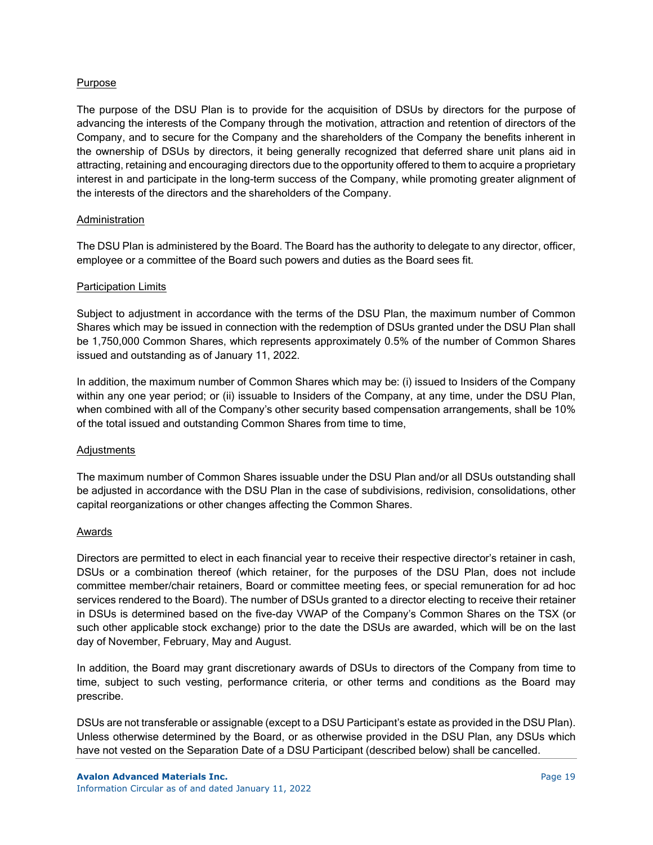### **Purpose**

The purpose of the DSU Plan is to provide for the acquisition of DSUs by directors for the purpose of advancing the interests of the Company through the motivation, attraction and retention of directors of the Company, and to secure for the Company and the shareholders of the Company the benefits inherent in the ownership of DSUs by directors, it being generally recognized that deferred share unit plans aid in attracting, retaining and encouraging directors due to the opportunity offered to them to acquire a proprietary interest in and participate in the long-term success of the Company, while promoting greater alignment of the interests of the directors and the shareholders of the Company.

### Administration

The DSU Plan is administered by the Board. The Board has the authority to delegate to any director, officer, employee or a committee of the Board such powers and duties as the Board sees fit.

#### Participation Limits

Subject to adjustment in accordance with the terms of the DSU Plan, the maximum number of Common Shares which may be issued in connection with the redemption of DSUs granted under the DSU Plan shall be 1,750,000 Common Shares, which represents approximately 0.5% of the number of Common Shares issued and outstanding as of January 11, 2022.

In addition, the maximum number of Common Shares which may be: (i) issued to Insiders of the Company within any one year period; or (ii) issuable to Insiders of the Company, at any time, under the DSU Plan, when combined with all of the Company's other security based compensation arrangements, shall be 10% of the total issued and outstanding Common Shares from time to time,

#### **Adjustments**

The maximum number of Common Shares issuable under the DSU Plan and/or all DSUs outstanding shall be adjusted in accordance with the DSU Plan in the case of subdivisions, redivision, consolidations, other capital reorganizations or other changes affecting the Common Shares.

#### Awards

Directors are permitted to elect in each financial year to receive their respective director's retainer in cash, DSUs or a combination thereof (which retainer, for the purposes of the DSU Plan, does not include committee member/chair retainers, Board or committee meeting fees, or special remuneration for ad hoc services rendered to the Board). The number of DSUs granted to a director electing to receive their retainer in DSUs is determined based on the five-day VWAP of the Company's Common Shares on the TSX (or such other applicable stock exchange) prior to the date the DSUs are awarded, which will be on the last day of November, February, May and August.

In addition, the Board may grant discretionary awards of DSUs to directors of the Company from time to time, subject to such vesting, performance criteria, or other terms and conditions as the Board may prescribe.

DSUs are not transferable or assignable (except to a DSU Participant's estate as provided in the DSU Plan). Unless otherwise determined by the Board, or as otherwise provided in the DSU Plan, any DSUs which have not vested on the Separation Date of a DSU Participant (described below) shall be cancelled.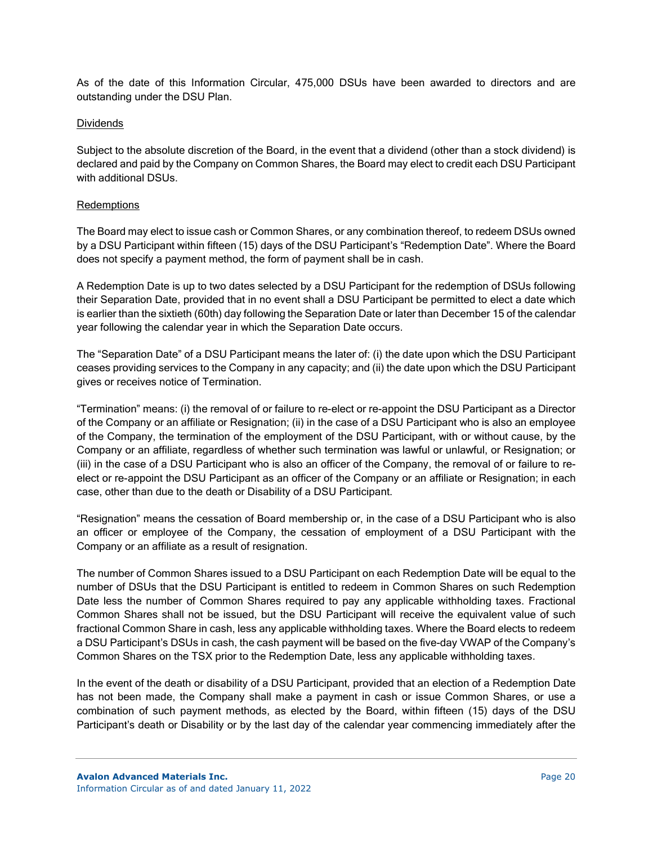As of the date of this Information Circular, 475,000 DSUs have been awarded to directors and are outstanding under the DSU Plan.

### Dividends

Subject to the absolute discretion of the Board, in the event that a dividend (other than a stock dividend) is declared and paid by the Company on Common Shares, the Board may elect to credit each DSU Participant with additional DSUs.

### **Redemptions**

The Board may elect to issue cash or Common Shares, or any combination thereof, to redeem DSUs owned by a DSU Participant within fifteen (15) days of the DSU Participant's "Redemption Date". Where the Board does not specify a payment method, the form of payment shall be in cash.

A Redemption Date is up to two dates selected by a DSU Participant for the redemption of DSUs following their Separation Date, provided that in no event shall a DSU Participant be permitted to elect a date which is earlier than the sixtieth (60th) day following the Separation Date or later than December 15 of the calendar year following the calendar year in which the Separation Date occurs.

The "Separation Date" of a DSU Participant means the later of: (i) the date upon which the DSU Participant ceases providing services to the Company in any capacity; and (ii) the date upon which the DSU Participant gives or receives notice of Termination.

"Termination" means: (i) the removal of or failure to re-elect or re-appoint the DSU Participant as a Director of the Company or an affiliate or Resignation; (ii) in the case of a DSU Participant who is also an employee of the Company, the termination of the employment of the DSU Participant, with or without cause, by the Company or an affiliate, regardless of whether such termination was lawful or unlawful, or Resignation; or (iii) in the case of a DSU Participant who is also an officer of the Company, the removal of or failure to reelect or re-appoint the DSU Participant as an officer of the Company or an affiliate or Resignation; in each case, other than due to the death or Disability of a DSU Participant.

"Resignation" means the cessation of Board membership or, in the case of a DSU Participant who is also an officer or employee of the Company, the cessation of employment of a DSU Participant with the Company or an affiliate as a result of resignation.

The number of Common Shares issued to a DSU Participant on each Redemption Date will be equal to the number of DSUs that the DSU Participant is entitled to redeem in Common Shares on such Redemption Date less the number of Common Shares required to pay any applicable withholding taxes. Fractional Common Shares shall not be issued, but the DSU Participant will receive the equivalent value of such fractional Common Share in cash, less any applicable withholding taxes. Where the Board elects to redeem a DSU Participant's DSUs in cash, the cash payment will be based on the five-day VWAP of the Company's Common Shares on the TSX prior to the Redemption Date, less any applicable withholding taxes.

In the event of the death or disability of a DSU Participant, provided that an election of a Redemption Date has not been made, the Company shall make a payment in cash or issue Common Shares, or use a combination of such payment methods, as elected by the Board, within fifteen (15) days of the DSU Participant's death or Disability or by the last day of the calendar year commencing immediately after the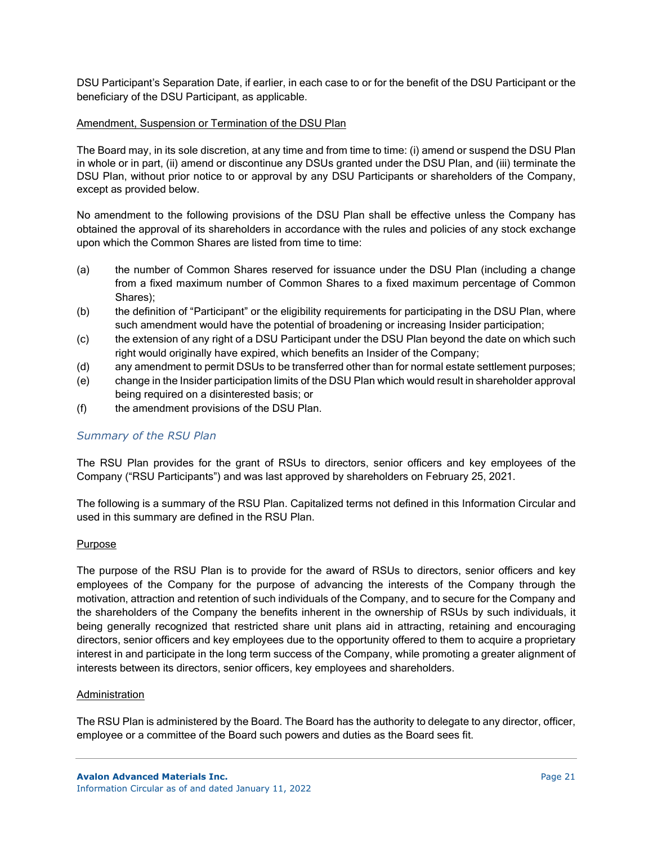DSU Participant's Separation Date, if earlier, in each case to or for the benefit of the DSU Participant or the beneficiary of the DSU Participant, as applicable.

### Amendment, Suspension or Termination of the DSU Plan

The Board may, in its sole discretion, at any time and from time to time: (i) amend or suspend the DSU Plan in whole or in part, (ii) amend or discontinue any DSUs granted under the DSU Plan, and (iii) terminate the DSU Plan, without prior notice to or approval by any DSU Participants or shareholders of the Company, except as provided below.

No amendment to the following provisions of the DSU Plan shall be effective unless the Company has obtained the approval of its shareholders in accordance with the rules and policies of any stock exchange upon which the Common Shares are listed from time to time:

- (a) the number of Common Shares reserved for issuance under the DSU Plan (including a change from a fixed maximum number of Common Shares to a fixed maximum percentage of Common Shares);
- (b) the definition of "Participant" or the eligibility requirements for participating in the DSU Plan, where such amendment would have the potential of broadening or increasing Insider participation;
- (c) the extension of any right of a DSU Participant under the DSU Plan beyond the date on which such right would originally have expired, which benefits an Insider of the Company;
- (d) any amendment to permit DSUs to be transferred other than for normal estate settlement purposes;
- (e) change in the Insider participation limits of the DSU Plan which would result in shareholder approval being required on a disinterested basis; or
- (f) the amendment provisions of the DSU Plan.

## *Summary of the RSU Plan*

The RSU Plan provides for the grant of RSUs to directors, senior officers and key employees of the Company ("RSU Participants") and was last approved by shareholders on February 25, 2021.

The following is a summary of the RSU Plan. Capitalized terms not defined in this Information Circular and used in this summary are defined in the RSU Plan.

#### Purpose

The purpose of the RSU Plan is to provide for the award of RSUs to directors, senior officers and key employees of the Company for the purpose of advancing the interests of the Company through the motivation, attraction and retention of such individuals of the Company, and to secure for the Company and the shareholders of the Company the benefits inherent in the ownership of RSUs by such individuals, it being generally recognized that restricted share unit plans aid in attracting, retaining and encouraging directors, senior officers and key employees due to the opportunity offered to them to acquire a proprietary interest in and participate in the long term success of the Company, while promoting a greater alignment of interests between its directors, senior officers, key employees and shareholders.

#### Administration

The RSU Plan is administered by the Board. The Board has the authority to delegate to any director, officer, employee or a committee of the Board such powers and duties as the Board sees fit.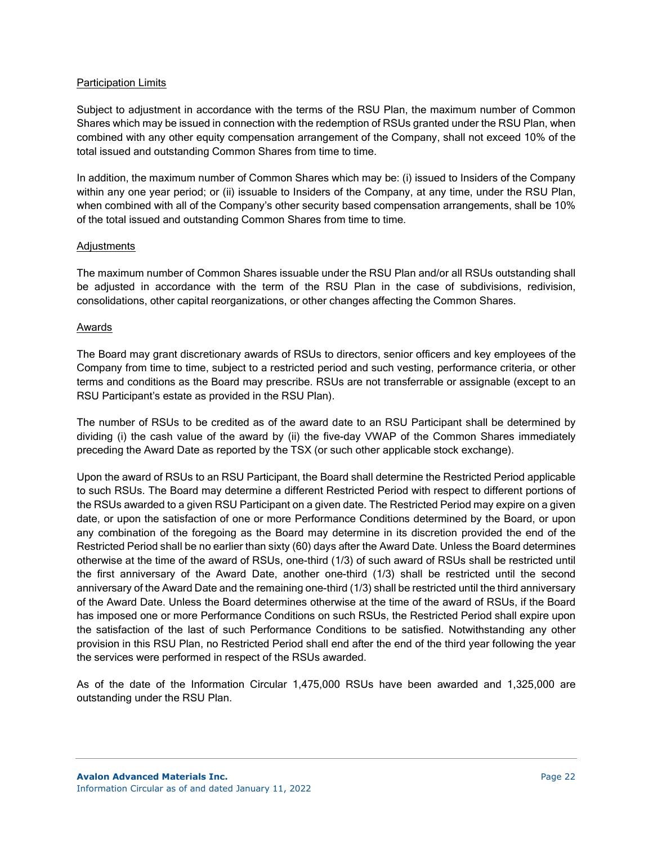### **Participation Limits**

Subject to adjustment in accordance with the terms of the RSU Plan, the maximum number of Common Shares which may be issued in connection with the redemption of RSUs granted under the RSU Plan, when combined with any other equity compensation arrangement of the Company, shall not exceed 10% of the total issued and outstanding Common Shares from time to time.

In addition, the maximum number of Common Shares which may be: (i) issued to Insiders of the Company within any one year period; or (ii) issuable to Insiders of the Company, at any time, under the RSU Plan, when combined with all of the Company's other security based compensation arrangements, shall be 10% of the total issued and outstanding Common Shares from time to time.

### **Adjustments**

The maximum number of Common Shares issuable under the RSU Plan and/or all RSUs outstanding shall be adjusted in accordance with the term of the RSU Plan in the case of subdivisions, redivision, consolidations, other capital reorganizations, or other changes affecting the Common Shares.

### Awards

The Board may grant discretionary awards of RSUs to directors, senior officers and key employees of the Company from time to time, subject to a restricted period and such vesting, performance criteria, or other terms and conditions as the Board may prescribe. RSUs are not transferrable or assignable (except to an RSU Participant's estate as provided in the RSU Plan).

The number of RSUs to be credited as of the award date to an RSU Participant shall be determined by dividing (i) the cash value of the award by (ii) the five-day VWAP of the Common Shares immediately preceding the Award Date as reported by the TSX (or such other applicable stock exchange).

Upon the award of RSUs to an RSU Participant, the Board shall determine the Restricted Period applicable to such RSUs. The Board may determine a different Restricted Period with respect to different portions of the RSUs awarded to a given RSU Participant on a given date. The Restricted Period may expire on a given date, or upon the satisfaction of one or more Performance Conditions determined by the Board, or upon any combination of the foregoing as the Board may determine in its discretion provided the end of the Restricted Period shall be no earlier than sixty (60) days after the Award Date. Unless the Board determines otherwise at the time of the award of RSUs, one-third (1/3) of such award of RSUs shall be restricted until the first anniversary of the Award Date, another one-third (1/3) shall be restricted until the second anniversary of the Award Date and the remaining one-third (1/3) shall be restricted until the third anniversary of the Award Date. Unless the Board determines otherwise at the time of the award of RSUs, if the Board has imposed one or more Performance Conditions on such RSUs, the Restricted Period shall expire upon the satisfaction of the last of such Performance Conditions to be satisfied. Notwithstanding any other provision in this RSU Plan, no Restricted Period shall end after the end of the third year following the year the services were performed in respect of the RSUs awarded.

As of the date of the Information Circular 1,475,000 RSUs have been awarded and 1,325,000 are outstanding under the RSU Plan.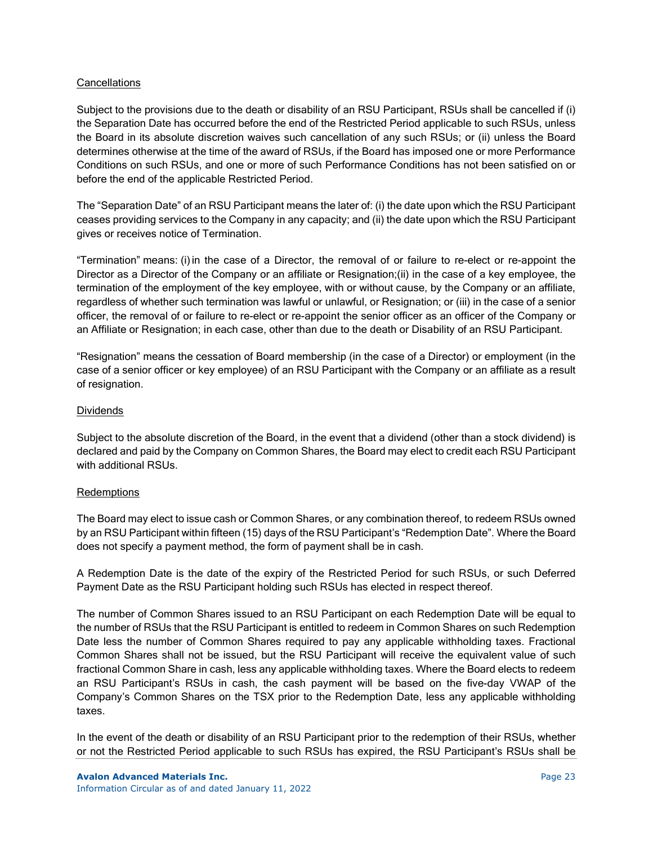## **Cancellations**

Subject to the provisions due to the death or disability of an RSU Participant, RSUs shall be cancelled if (i) the Separation Date has occurred before the end of the Restricted Period applicable to such RSUs, unless the Board in its absolute discretion waives such cancellation of any such RSUs; or (ii) unless the Board determines otherwise at the time of the award of RSUs, if the Board has imposed one or more Performance Conditions on such RSUs, and one or more of such Performance Conditions has not been satisfied on or before the end of the applicable Restricted Period.

The "Separation Date" of an RSU Participant means the later of: (i) the date upon which the RSU Participant ceases providing services to the Company in any capacity; and (ii) the date upon which the RSU Participant gives or receives notice of Termination.

"Termination" means: (i)in the case of a Director, the removal of or failure to re-elect or re-appoint the Director as a Director of the Company or an affiliate or Resignation;(ii) in the case of a key employee, the termination of the employment of the key employee, with or without cause, by the Company or an affiliate, regardless of whether such termination was lawful or unlawful, or Resignation; or (iii) in the case of a senior officer, the removal of or failure to re-elect or re-appoint the senior officer as an officer of the Company or an Affiliate or Resignation; in each case, other than due to the death or Disability of an RSU Participant.

"Resignation" means the cessation of Board membership (in the case of a Director) or employment (in the case of a senior officer or key employee) of an RSU Participant with the Company or an affiliate as a result of resignation.

### **Dividends**

Subject to the absolute discretion of the Board, in the event that a dividend (other than a stock dividend) is declared and paid by the Company on Common Shares, the Board may elect to credit each RSU Participant with additional RSUs.

#### Redemptions

The Board may elect to issue cash or Common Shares, or any combination thereof, to redeem RSUs owned by an RSU Participant within fifteen (15) days of the RSU Participant's "Redemption Date". Where the Board does not specify a payment method, the form of payment shall be in cash.

A Redemption Date is the date of the expiry of the Restricted Period for such RSUs, or such Deferred Payment Date as the RSU Participant holding such RSUs has elected in respect thereof.

The number of Common Shares issued to an RSU Participant on each Redemption Date will be equal to the number of RSUs that the RSU Participant is entitled to redeem in Common Shares on such Redemption Date less the number of Common Shares required to pay any applicable withholding taxes. Fractional Common Shares shall not be issued, but the RSU Participant will receive the equivalent value of such fractional Common Share in cash, less any applicable withholding taxes. Where the Board elects to redeem an RSU Participant's RSUs in cash, the cash payment will be based on the five-day VWAP of the Company's Common Shares on the TSX prior to the Redemption Date, less any applicable withholding taxes.

In the event of the death or disability of an RSU Participant prior to the redemption of their RSUs, whether or not the Restricted Period applicable to such RSUs has expired, the RSU Participant's RSUs shall be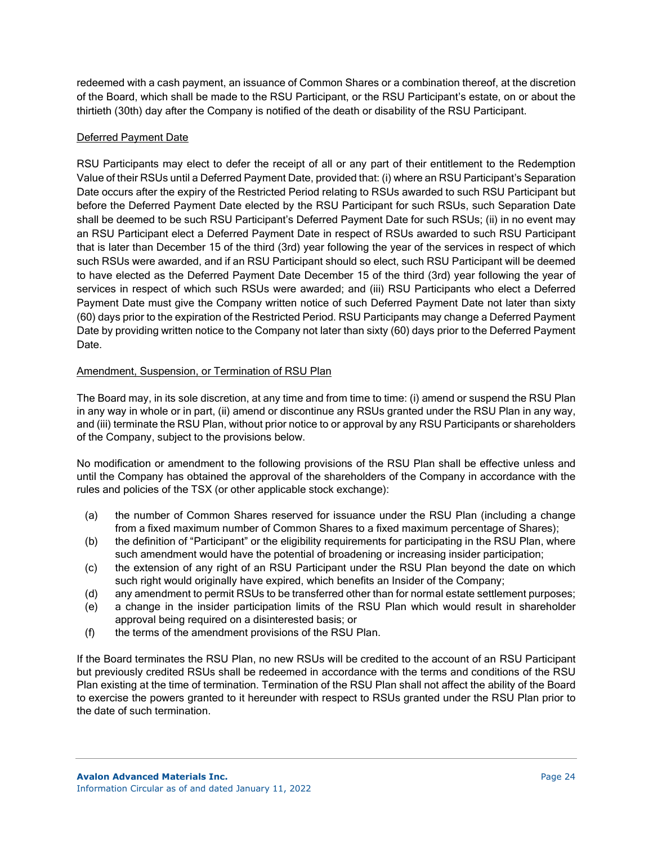redeemed with a cash payment, an issuance of Common Shares or a combination thereof, at the discretion of the Board, which shall be made to the RSU Participant, or the RSU Participant's estate, on or about the thirtieth (30th) day after the Company is notified of the death or disability of the RSU Participant.

## Deferred Payment Date

RSU Participants may elect to defer the receipt of all or any part of their entitlement to the Redemption Value of their RSUs until a Deferred Payment Date, provided that: (i) where an RSU Participant's Separation Date occurs after the expiry of the Restricted Period relating to RSUs awarded to such RSU Participant but before the Deferred Payment Date elected by the RSU Participant for such RSUs, such Separation Date shall be deemed to be such RSU Participant's Deferred Payment Date for such RSUs; (ii) in no event may an RSU Participant elect a Deferred Payment Date in respect of RSUs awarded to such RSU Participant that is later than December 15 of the third (3rd) year following the year of the services in respect of which such RSUs were awarded, and if an RSU Participant should so elect, such RSU Participant will be deemed to have elected as the Deferred Payment Date December 15 of the third (3rd) year following the year of services in respect of which such RSUs were awarded; and (iii) RSU Participants who elect a Deferred Payment Date must give the Company written notice of such Deferred Payment Date not later than sixty (60) days prior to the expiration of the Restricted Period. RSU Participants may change a Deferred Payment Date by providing written notice to the Company not later than sixty (60) days prior to the Deferred Payment Date.

## Amendment, Suspension, or Termination of RSU Plan

The Board may, in its sole discretion, at any time and from time to time: (i) amend or suspend the RSU Plan in any way in whole or in part, (ii) amend or discontinue any RSUs granted under the RSU Plan in any way, and (iii) terminate the RSU Plan, without prior notice to or approval by any RSU Participants or shareholders of the Company, subject to the provisions below.

No modification or amendment to the following provisions of the RSU Plan shall be effective unless and until the Company has obtained the approval of the shareholders of the Company in accordance with the rules and policies of the TSX (or other applicable stock exchange):

- (a) the number of Common Shares reserved for issuance under the RSU Plan (including a change from a fixed maximum number of Common Shares to a fixed maximum percentage of Shares);
- (b) the definition of "Participant" or the eligibility requirements for participating in the RSU Plan, where such amendment would have the potential of broadening or increasing insider participation;
- (c) the extension of any right of an RSU Participant under the RSU Plan beyond the date on which such right would originally have expired, which benefits an Insider of the Company;
- (d) any amendment to permit RSUs to be transferred other than for normal estate settlement purposes;
- (e) a change in the insider participation limits of the RSU Plan which would result in shareholder approval being required on a disinterested basis; or
- (f) the terms of the amendment provisions of the RSU Plan.

If the Board terminates the RSU Plan, no new RSUs will be credited to the account of an RSU Participant but previously credited RSUs shall be redeemed in accordance with the terms and conditions of the RSU Plan existing at the time of termination. Termination of the RSU Plan shall not affect the ability of the Board to exercise the powers granted to it hereunder with respect to RSUs granted under the RSU Plan prior to the date of such termination.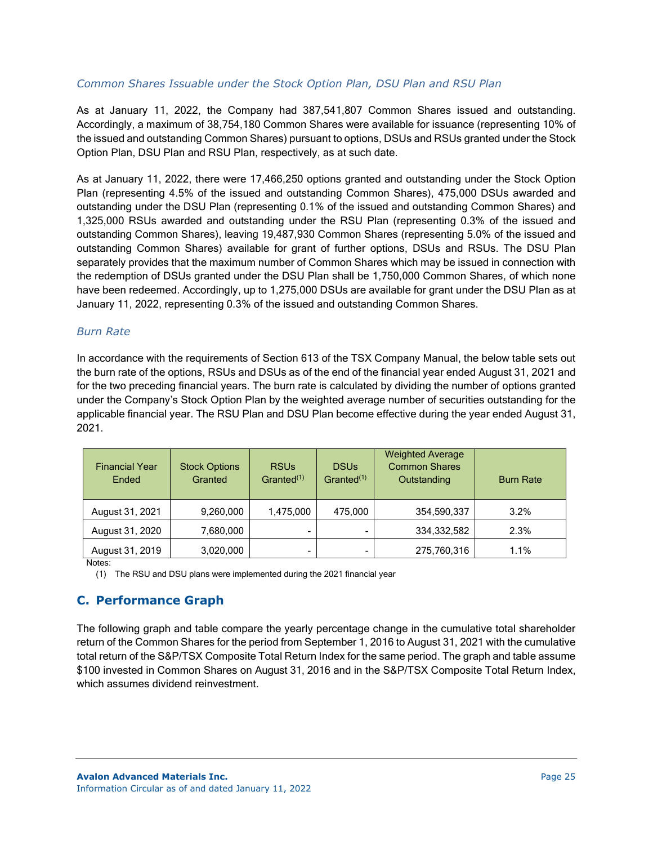## *Common Shares Issuable under the Stock Option Plan, DSU Plan and RSU Plan*

As at January 11, 2022, the Company had 387,541,807 Common Shares issued and outstanding. Accordingly, a maximum of 38,754,180 Common Shares were available for issuance (representing 10% of the issued and outstanding Common Shares) pursuant to options, DSUs and RSUs granted under the Stock Option Plan, DSU Plan and RSU Plan, respectively, as at such date.

As at January 11, 2022, there were 17,466,250 options granted and outstanding under the Stock Option Plan (representing 4.5% of the issued and outstanding Common Shares), 475,000 DSUs awarded and outstanding under the DSU Plan (representing 0.1% of the issued and outstanding Common Shares) and 1,325,000 RSUs awarded and outstanding under the RSU Plan (representing 0.3% of the issued and outstanding Common Shares), leaving 19,487,930 Common Shares (representing 5.0% of the issued and outstanding Common Shares) available for grant of further options, DSUs and RSUs. The DSU Plan separately provides that the maximum number of Common Shares which may be issued in connection with the redemption of DSUs granted under the DSU Plan shall be 1,750,000 Common Shares, of which none have been redeemed. Accordingly, up to 1,275,000 DSUs are available for grant under the DSU Plan as at January 11, 2022, representing 0.3% of the issued and outstanding Common Shares.

# *Burn Rate*

In accordance with the requirements of Section 613 of the TSX Company Manual, the below table sets out the burn rate of the options, RSUs and DSUs as of the end of the financial year ended August 31, 2021 and for the two preceding financial years. The burn rate is calculated by dividing the number of options granted under the Company's Stock Option Plan by the weighted average number of securities outstanding for the applicable financial year. The RSU Plan and DSU Plan become effective during the year ended August 31, 2021.

| <b>Financial Year</b><br>Ended | <b>Stock Options</b><br>Granted | <b>RSUs</b><br>Granted <sup>(1)</sup> | <b>DSUs</b><br>Granted $(1)$ | <b>Weighted Average</b><br><b>Common Shares</b><br>Outstanding | <b>Burn Rate</b> |
|--------------------------------|---------------------------------|---------------------------------------|------------------------------|----------------------------------------------------------------|------------------|
| August 31, 2021                | 9,260,000                       | 1,475,000                             | 475.000                      | 354,590,337                                                    | 3.2%             |
| August 31, 2020                | 7,680,000                       | $\blacksquare$                        | -                            | 334,332,582                                                    | 2.3%             |
| August 31, 2019                | 3,020,000                       | $\blacksquare$                        | -                            | 275,760,316                                                    | 1.1%             |

Notes:

(1) The RSU and DSU plans were implemented during the 2021 financial year

# **C. Performance Graph**

The following graph and table compare the yearly percentage change in the cumulative total shareholder return of the Common Shares for the period from September 1, 2016 to August 31, 2021 with the cumulative total return of the S&P/TSX Composite Total Return Index for the same period. The graph and table assume \$100 invested in Common Shares on August 31, 2016 and in the S&P/TSX Composite Total Return Index, which assumes dividend reinvestment.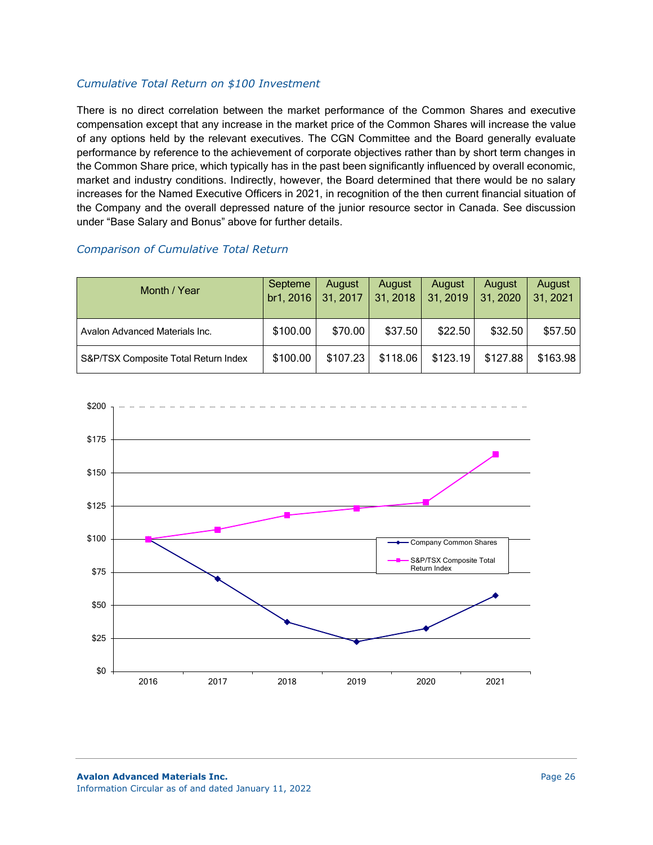### *Cumulative Total Return on \$100 Investment*

There is no direct correlation between the market performance of the Common Shares and executive compensation except that any increase in the market price of the Common Shares will increase the value of any options held by the relevant executives. The CGN Committee and the Board generally evaluate performance by reference to the achievement of corporate objectives rather than by short term changes in the Common Share price, which typically has in the past been significantly influenced by overall economic, market and industry conditions. Indirectly, however, the Board determined that there would be no salary increases for the Named Executive Officers in 2021, in recognition of the then current financial situation of the Company and the overall depressed nature of the junior resource sector in Canada. See discussion under "Base Salary and Bonus" above for further details.

## *Comparison of Cumulative Total Return*

| Month / Year                         | Septeme<br>br1, 2016 31, 2017 | August   | August<br>31, 2018 | August<br>31, 2019 | August<br>31, 2020 | August<br>31, 2021 |
|--------------------------------------|-------------------------------|----------|--------------------|--------------------|--------------------|--------------------|
| Avalon Advanced Materials Inc.       | \$100.00                      | \$70.00  | \$37.50            | \$22.50            | \$32.50            | \$57.50            |
| S&P/TSX Composite Total Return Index | \$100.00                      | \$107.23 | \$118.06           | \$123.19           | \$127.88           | \$163.98           |

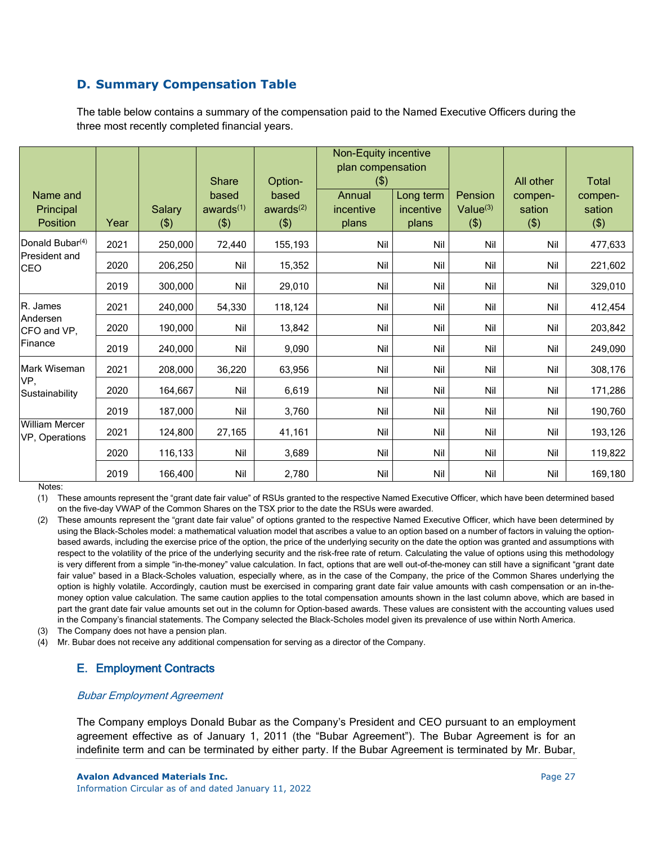# **D. Summary Compensation Table**

The table below contains a summary of the compensation paid to the Named Executive Officers during the three most recently completed financial years.

| Name and<br>Principal                   |      | Salary  | <b>Share</b><br>based<br>awards <sup>(1)</sup> | Option-<br>based<br>awards $(2)$ | <b>Non-Equity incentive</b><br>plan compensation<br>$($ \$)<br>Annual<br>incentive | Long term<br>incentive | Pension<br>Value $(3)$ | All other<br>compen-<br>sation | <b>Total</b><br>compen-<br>sation |
|-----------------------------------------|------|---------|------------------------------------------------|----------------------------------|------------------------------------------------------------------------------------|------------------------|------------------------|--------------------------------|-----------------------------------|
| <b>Position</b>                         | Year | $($ \$) | (3)                                            | $($ \$)                          | plans                                                                              | plans                  | (3)                    | (3)                            | (3)                               |
| Donald Bubar <sup>(4)</sup>             | 2021 | 250,000 | 72,440                                         | 155,193                          | Nil                                                                                | Nil                    | Nil                    | Nil                            | 477,633                           |
| President and<br><b>CEO</b>             | 2020 | 206,250 | Nil                                            | 15,352                           | Nil                                                                                | Nil                    | Nil                    | Nil                            | 221,602                           |
|                                         | 2019 | 300,000 | Nil                                            | 29,010                           | Nil                                                                                | Nil                    | Nil                    | Nil                            | 329,010                           |
| R. James                                | 2021 | 240,000 | 54,330                                         | 118,124                          | Nil                                                                                | Nil                    | Nil                    | Nil                            | 412,454                           |
| Andersen<br>CFO and VP,                 | 2020 | 190,000 | Nil                                            | 13,842                           | Nil                                                                                | Nil                    | Nil                    | Nil                            | 203,842                           |
| Finance                                 | 2019 | 240,000 | Nil                                            | 9,090                            | Nil                                                                                | Nil                    | Nil                    | Nil                            | 249,090                           |
| Mark Wiseman                            | 2021 | 208,000 | 36,220                                         | 63,956                           | Nil                                                                                | Nil                    | Nil                    | Nil                            | 308,176                           |
| VP,<br>Sustainability                   | 2020 | 164,667 | Nil                                            | 6,619                            | Nil                                                                                | Nil                    | Nil                    | Nil                            | 171,286                           |
|                                         | 2019 | 187,000 | Nil                                            | 3,760                            | Nil                                                                                | Nil                    | Nil                    | Nil                            | 190,760                           |
| <b>William Mercer</b><br>VP, Operations | 2021 | 124,800 | 27,165                                         | 41,161                           | Nil                                                                                | Nil                    | Nil                    | Nil                            | 193,126                           |
|                                         | 2020 | 116,133 | Nil                                            | 3,689                            | Nil                                                                                | Nil                    | Nil                    | Nil                            | 119,822                           |
|                                         | 2019 | 166,400 | Nil                                            | 2,780                            | Nil                                                                                | Nil                    | Nil                    | Nil                            | 169,180                           |

Notes:

(1) These amounts represent the "grant date fair value" of RSUs granted to the respective Named Executive Officer, which have been determined based on the five-day VWAP of the Common Shares on the TSX prior to the date the RSUs were awarded.

- (2) These amounts represent the "grant date fair value" of options granted to the respective Named Executive Officer, which have been determined by using the Black-Scholes model: a mathematical valuation model that ascribes a value to an option based on a number of factors in valuing the optionbased awards, including the exercise price of the option, the price of the underlying security on the date the option was granted and assumptions with respect to the volatility of the price of the underlying security and the risk-free rate of return. Calculating the value of options using this methodology is very different from a simple "in-the-money" value calculation. In fact, options that are well out-of-the-money can still have a significant "grant date fair value" based in a Black-Scholes valuation, especially where, as in the case of the Company, the price of the Common Shares underlying the option is highly volatile. Accordingly, caution must be exercised in comparing grant date fair value amounts with cash compensation or an in-themoney option value calculation. The same caution applies to the total compensation amounts shown in the last column above, which are based in part the grant date fair value amounts set out in the column for Option-based awards. These values are consistent with the accounting values used in the Company's financial statements. The Company selected the Black-Scholes model given its prevalence of use within North America.
- (3) The Company does not have a pension plan.
- (4) Mr. Bubar does not receive any additional compensation for serving as a director of the Company.

# E. Employment Contracts

#### Bubar Employment Agreement

The Company employs Donald Bubar as the Company's President and CEO pursuant to an employment agreement effective as of January 1, 2011 (the "Bubar Agreement"). The Bubar Agreement is for an indefinite term and can be terminated by either party. If the Bubar Agreement is terminated by Mr. Bubar,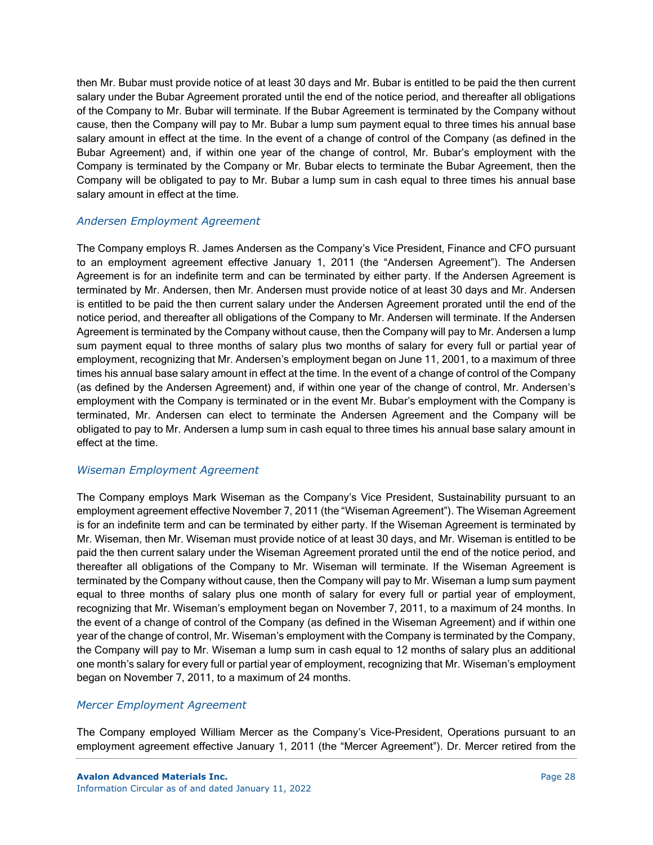then Mr. Bubar must provide notice of at least 30 days and Mr. Bubar is entitled to be paid the then current salary under the Bubar Agreement prorated until the end of the notice period, and thereafter all obligations of the Company to Mr. Bubar will terminate. If the Bubar Agreement is terminated by the Company without cause, then the Company will pay to Mr. Bubar a lump sum payment equal to three times his annual base salary amount in effect at the time. In the event of a change of control of the Company (as defined in the Bubar Agreement) and, if within one year of the change of control, Mr. Bubar's employment with the Company is terminated by the Company or Mr. Bubar elects to terminate the Bubar Agreement, then the Company will be obligated to pay to Mr. Bubar a lump sum in cash equal to three times his annual base salary amount in effect at the time.

## *Andersen Employment Agreement*

The Company employs R. James Andersen as the Company's Vice President, Finance and CFO pursuant to an employment agreement effective January 1, 2011 (the "Andersen Agreement"). The Andersen Agreement is for an indefinite term and can be terminated by either party. If the Andersen Agreement is terminated by Mr. Andersen, then Mr. Andersen must provide notice of at least 30 days and Mr. Andersen is entitled to be paid the then current salary under the Andersen Agreement prorated until the end of the notice period, and thereafter all obligations of the Company to Mr. Andersen will terminate. If the Andersen Agreement is terminated by the Company without cause, then the Company will pay to Mr. Andersen a lump sum payment equal to three months of salary plus two months of salary for every full or partial year of employment, recognizing that Mr. Andersen's employment began on June 11, 2001, to a maximum of three times his annual base salary amount in effect at the time. In the event of a change of control of the Company (as defined by the Andersen Agreement) and, if within one year of the change of control, Mr. Andersen's employment with the Company is terminated or in the event Mr. Bubar's employment with the Company is terminated, Mr. Andersen can elect to terminate the Andersen Agreement and the Company will be obligated to pay to Mr. Andersen a lump sum in cash equal to three times his annual base salary amount in effect at the time.

# *Wiseman Employment Agreement*

The Company employs Mark Wiseman as the Company's Vice President, Sustainability pursuant to an employment agreement effective November 7, 2011 (the "Wiseman Agreement"). The Wiseman Agreement is for an indefinite term and can be terminated by either party. If the Wiseman Agreement is terminated by Mr. Wiseman, then Mr. Wiseman must provide notice of at least 30 days, and Mr. Wiseman is entitled to be paid the then current salary under the Wiseman Agreement prorated until the end of the notice period, and thereafter all obligations of the Company to Mr. Wiseman will terminate. If the Wiseman Agreement is terminated by the Company without cause, then the Company will pay to Mr. Wiseman a lump sum payment equal to three months of salary plus one month of salary for every full or partial year of employment, recognizing that Mr. Wiseman's employment began on November 7, 2011, to a maximum of 24 months. In the event of a change of control of the Company (as defined in the Wiseman Agreement) and if within one year of the change of control, Mr. Wiseman's employment with the Company is terminated by the Company, the Company will pay to Mr. Wiseman a lump sum in cash equal to 12 months of salary plus an additional one month's salary for every full or partial year of employment, recognizing that Mr. Wiseman's employment began on November 7, 2011, to a maximum of 24 months.

## *Mercer Employment Agreement*

The Company employed William Mercer as the Company's Vice-President, Operations pursuant to an employment agreement effective January 1, 2011 (the "Mercer Agreement"). Dr. Mercer retired from the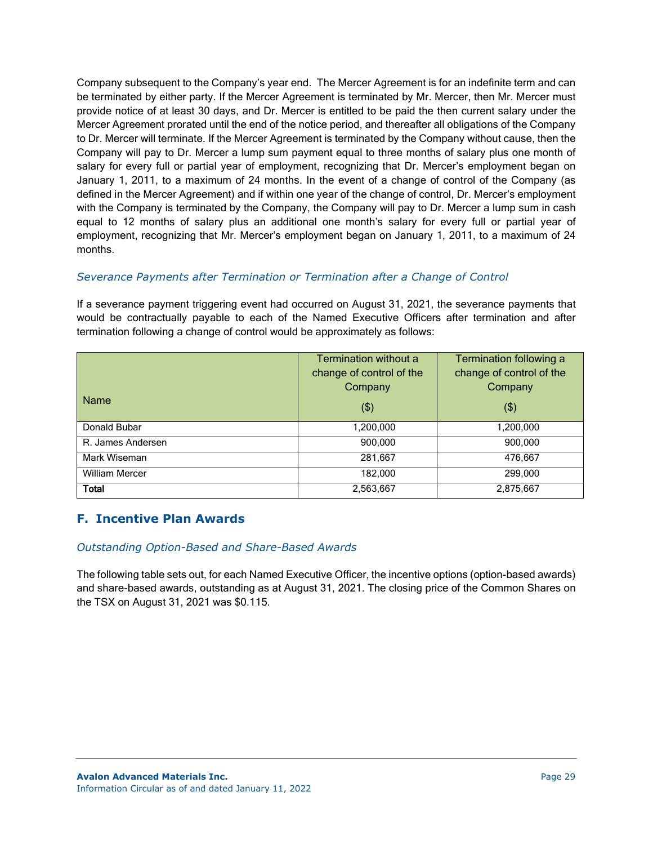Company subsequent to the Company's year end. The Mercer Agreement is for an indefinite term and can be terminated by either party. If the Mercer Agreement is terminated by Mr. Mercer, then Mr. Mercer must provide notice of at least 30 days, and Dr. Mercer is entitled to be paid the then current salary under the Mercer Agreement prorated until the end of the notice period, and thereafter all obligations of the Company to Dr. Mercer will terminate. If the Mercer Agreement is terminated by the Company without cause, then the Company will pay to Dr. Mercer a lump sum payment equal to three months of salary plus one month of salary for every full or partial year of employment, recognizing that Dr. Mercer's employment began on January 1, 2011, to a maximum of 24 months. In the event of a change of control of the Company (as defined in the Mercer Agreement) and if within one year of the change of control, Dr. Mercer's employment with the Company is terminated by the Company, the Company will pay to Dr. Mercer a lump sum in cash equal to 12 months of salary plus an additional one month's salary for every full or partial year of employment, recognizing that Mr. Mercer's employment began on January 1, 2011, to a maximum of 24 months.

## *Severance Payments after Termination or Termination after a Change of Control*

If a severance payment triggering event had occurred on August 31, 2021, the severance payments that would be contractually payable to each of the Named Executive Officers after termination and after termination following a change of control would be approximately as follows:

|                       | Termination without a    | Termination following a  |
|-----------------------|--------------------------|--------------------------|
|                       | change of control of the | change of control of the |
|                       | Company                  | Company                  |
| <b>Name</b>           | $($ \$)                  | $($ \$)                  |
| Donald Bubar          | 1,200,000                | 1,200,000                |
| R. James Andersen     | 900,000                  | 900,000                  |
| Mark Wiseman          | 281,667                  | 476,667                  |
| <b>William Mercer</b> | 182,000                  | 299,000                  |
| <b>Total</b>          | 2,563,667                | 2,875,667                |

# **F. Incentive Plan Awards**

## *Outstanding Option-Based and Share-Based Awards*

The following table sets out, for each Named Executive Officer, the incentive options (option-based awards) and share-based awards, outstanding as at August 31, 2021. The closing price of the Common Shares on the TSX on August 31, 2021 was \$0.115.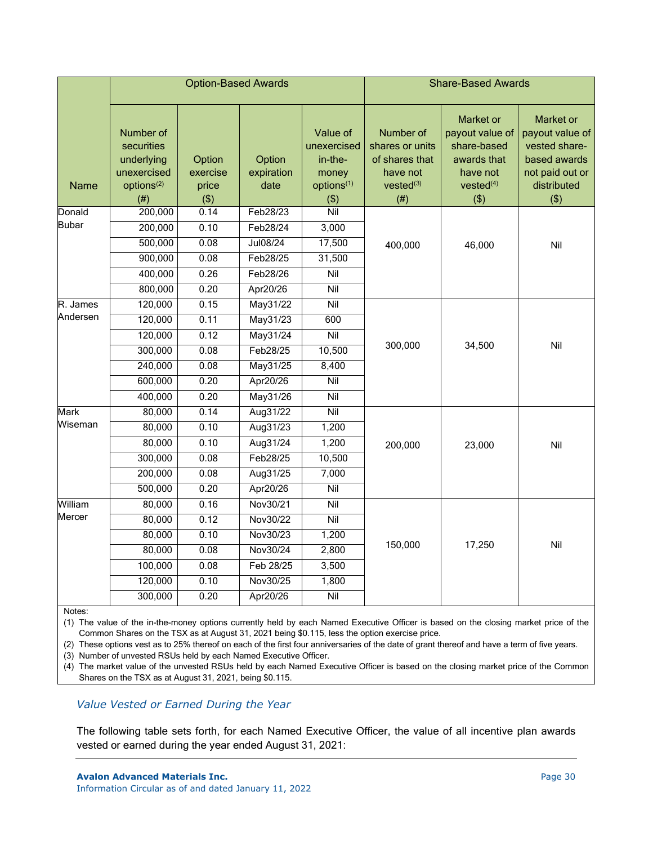|              | <b>Option-Based Awards</b>                           |                    |                      | <b>Share-Based Awards</b>                   |                                                            |                                                                        |                                                                                  |
|--------------|------------------------------------------------------|--------------------|----------------------|---------------------------------------------|------------------------------------------------------------|------------------------------------------------------------------------|----------------------------------------------------------------------------------|
|              | Number of<br>securities<br>underlying<br>unexercised | Option<br>exercise | Option<br>expiration | Value of<br>unexercised<br>in-the-<br>money | Number of<br>shares or units<br>of shares that<br>have not | Market or<br>payout value of<br>share-based<br>awards that<br>have not | Market or<br>payout value of<br>vested share-<br>based awards<br>not paid out or |
| <b>Name</b>  | options <sup>(2)</sup><br>(# )                       | price<br>( \$)     | date                 | options <sup>(1)</sup><br>( \$)             | $vested^{(3)}$<br>(# )                                     | vested <sup>(4)</sup><br>(3)                                           | distributed<br>(3)                                                               |
| Donald       | 200,000                                              | 0.14               | Feb28/23             | Nil                                         |                                                            |                                                                        |                                                                                  |
| <b>Bubar</b> | 200,000                                              | 0.10               | Feb28/24             | 3,000                                       |                                                            |                                                                        |                                                                                  |
|              | 500,000                                              | 0.08               | Jul08/24             | 17,500                                      | 400,000                                                    | 46,000                                                                 | Nil                                                                              |
|              | 900,000                                              | 0.08               | Feb28/25             | 31,500                                      |                                                            |                                                                        |                                                                                  |
|              | 400,000                                              | 0.26               | Feb28/26             | Nil                                         |                                                            |                                                                        |                                                                                  |
|              | 800,000                                              | 0.20               | Apr20/26             | $\overline{\text{Nil}}$                     |                                                            |                                                                        |                                                                                  |
| R. James     | 120,000                                              | 0.15               | May31/22             | Nil                                         |                                                            |                                                                        |                                                                                  |
| Andersen     | 120,000                                              | 0.11               | May31/23             | 600                                         |                                                            |                                                                        |                                                                                  |
|              | 120,000                                              | 0.12               | May31/24             | Nil                                         |                                                            | 34,500                                                                 | Nil                                                                              |
|              | 300,000                                              | 0.08               | Feb28/25             | 10,500                                      | 300,000                                                    |                                                                        |                                                                                  |
|              | 240,000                                              | 0.08               | May31/25             | 8,400                                       |                                                            |                                                                        |                                                                                  |
|              | 600,000                                              | 0.20               | Apr20/26             | Nil                                         |                                                            |                                                                        |                                                                                  |
|              | 400,000                                              | 0.20               | May31/26             | $\overline{\text{Nil}}$                     |                                                            |                                                                        |                                                                                  |
| <b>Mark</b>  | 80,000                                               | 0.14               | Aug31/22             | $\overline{\text{Nil}}$                     |                                                            |                                                                        |                                                                                  |
| Wiseman      | 80,000                                               | 0.10               | Aug31/23             | 1,200                                       |                                                            |                                                                        |                                                                                  |
|              | 80,000                                               | 0.10               | Aug31/24             | 1,200                                       | 200,000                                                    | 23,000                                                                 | Nil                                                                              |
|              | 300,000                                              | 0.08               | Feb28/25             | 10,500                                      |                                                            |                                                                        |                                                                                  |
|              | 200,000                                              | 0.08               | Aug31/25             | 7,000                                       |                                                            |                                                                        |                                                                                  |
|              | 500,000                                              | 0.20               | Apr20/26             | Nil                                         |                                                            |                                                                        |                                                                                  |
| William      | 80,000                                               | 0.16               | Nov30/21             | Nil                                         |                                                            |                                                                        |                                                                                  |
| Mercer       | 80,000                                               | 0.12               | Nov30/22             | $\overline{\text{Nil}}$                     |                                                            |                                                                        |                                                                                  |
|              | 80,000                                               | 0.10               | Nov30/23             | 1,200                                       |                                                            |                                                                        |                                                                                  |
|              | 80,000                                               | 0.08               | Nov30/24             | 2,800                                       | 150,000                                                    | 17,250                                                                 | Nil                                                                              |
|              | 100,000                                              | 0.08               | Feb 28/25            | 3,500                                       |                                                            |                                                                        |                                                                                  |
|              | 120,000                                              | 0.10               | Nov30/25             | 1,800                                       |                                                            |                                                                        |                                                                                  |
|              | 300,000                                              | 0.20               | Apr20/26             | Nil                                         |                                                            |                                                                        |                                                                                  |

(1) The value of the in-the-money options currently held by each Named Executive Officer is based on the closing market price of the Common Shares on the TSX as at August 31, 2021 being \$0.115, less the option exercise price.

(2) These options vest as to 25% thereof on each of the first four anniversaries of the date of grant thereof and have a term of five years.

(3) Number of unvested RSUs held by each Named Executive Officer.

(4) The market value of the unvested RSUs held by each Named Executive Officer is based on the closing market price of the Common Shares on the TSX as at August 31, 2021, being \$0.115.

## *Value Vested or Earned During the Year*

The following table sets forth, for each Named Executive Officer, the value of all incentive plan awards vested or earned during the year ended August 31, 2021: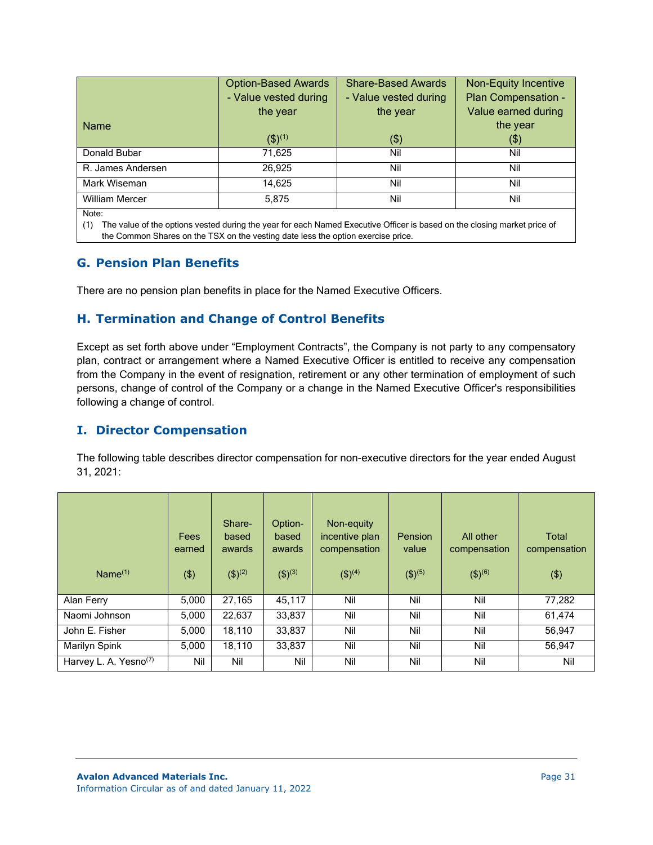|                       | <b>Option-Based Awards</b> | <b>Share-Based Awards</b> | <b>Non-Equity Incentive</b> |
|-----------------------|----------------------------|---------------------------|-----------------------------|
|                       | - Value vested during      | - Value vested during     | Plan Compensation -         |
|                       | the year                   | the year                  | Value earned during         |
| <b>Name</b>           |                            |                           | the year                    |
|                       | $(5)^{(1)}$                | \$)                       | (3)                         |
| Donald Bubar          | 71,625                     | Nil                       | Nil                         |
| R. James Andersen     | 26,925                     | Nil                       | Nil                         |
| Mark Wiseman          | 14,625                     | Nil                       | Nil                         |
| <b>William Mercer</b> | 5,875                      | Nil                       | Nil                         |
| Note:                 |                            |                           |                             |

(1) The value of the options vested during the year for each Named Executive Officer is based on the closing market price of the Common Shares on the TSX on the vesting date less the option exercise price.

# **G. Pension Plan Benefits**

There are no pension plan benefits in place for the Named Executive Officers.

# **H. Termination and Change of Control Benefits**

Except as set forth above under "Employment Contracts", the Company is not party to any compensatory plan, contract or arrangement where a Named Executive Officer is entitled to receive any compensation from the Company in the event of resignation, retirement or any other termination of employment of such persons, change of control of the Company or a change in the Named Executive Officer's responsibilities following a change of control.

# **I. Director Compensation**

The following table describes director compensation for non-executive directors for the year ended August 31, 2021:

|                                   | Fees<br>earned | Share-<br>based<br>awards | Option-<br>based<br>awards | Non-equity<br>incentive plan<br>compensation | <b>Pension</b><br>value | All other<br>compensation | Total<br>compensation |
|-----------------------------------|----------------|---------------------------|----------------------------|----------------------------------------------|-------------------------|---------------------------|-----------------------|
| Name $(1)$                        | (3)            | (3)(2)                    | $( $)^{(3)}$               | (3)(4)                                       | $(5)^{(5)}$             | $(5)^{(6)}$               | $($ \$)               |
| Alan Ferry                        | 5.000          | 27,165                    | 45,117                     | Nil                                          | Nil                     | Nil                       | 77,282                |
| Naomi Johnson                     | 5.000          | 22,637                    | 33,837                     | Nil                                          | Nil                     | Nil                       | 61,474                |
| John E. Fisher                    | 5,000          | 18,110                    | 33,837                     | Nil                                          | Nil                     | Nil                       | 56,947                |
| Marilyn Spink                     | 5,000          | 18,110                    | 33,837                     | Nil                                          | Nil                     | Nil                       | 56,947                |
| Harvey L. A. Yesno <sup>(7)</sup> | Nil            | Nil                       | Nil                        | Nil                                          | Nil                     | Nil                       | Nil                   |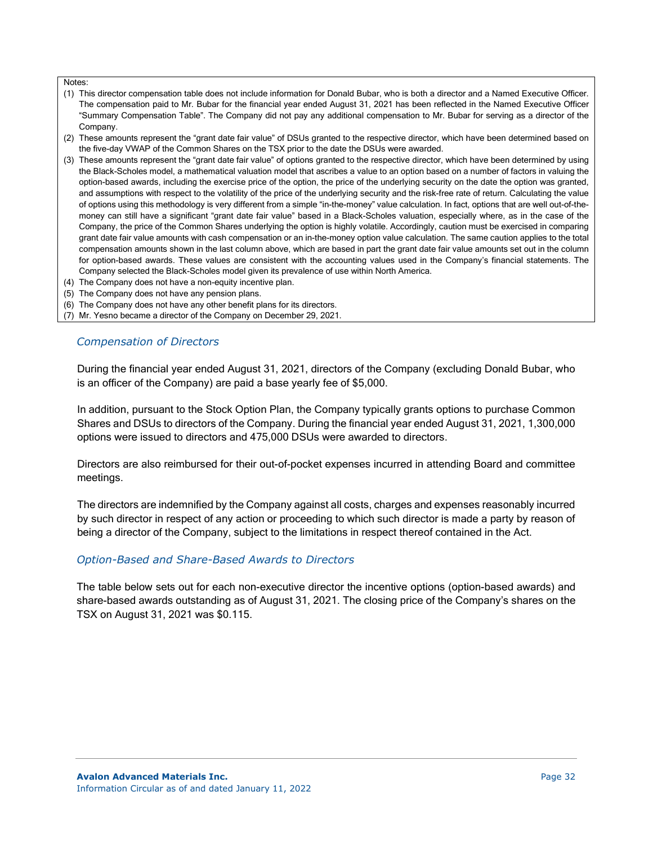- (1) This director compensation table does not include information for Donald Bubar, who is both a director and a Named Executive Officer. The compensation paid to Mr. Bubar for the financial year ended August 31, 2021 has been reflected in the Named Executive Officer "Summary Compensation Table". The Company did not pay any additional compensation to Mr. Bubar for serving as a director of the Company.
- (2) These amounts represent the "grant date fair value" of DSUs granted to the respective director, which have been determined based on the five-day VWAP of the Common Shares on the TSX prior to the date the DSUs were awarded.
- (3) These amounts represent the "grant date fair value" of options granted to the respective director, which have been determined by using the Black-Scholes model, a mathematical valuation model that ascribes a value to an option based on a number of factors in valuing the option-based awards, including the exercise price of the option, the price of the underlying security on the date the option was granted, and assumptions with respect to the volatility of the price of the underlying security and the risk-free rate of return. Calculating the value of options using this methodology is very different from a simple "in-the-money" value calculation. In fact, options that are well out-of-themoney can still have a significant "grant date fair value" based in a Black-Scholes valuation, especially where, as in the case of the Company, the price of the Common Shares underlying the option is highly volatile. Accordingly, caution must be exercised in comparing grant date fair value amounts with cash compensation or an in-the-money option value calculation. The same caution applies to the total compensation amounts shown in the last column above, which are based in part the grant date fair value amounts set out in the column for option-based awards. These values are consistent with the accounting values used in the Company's financial statements. The Company selected the Black-Scholes model given its prevalence of use within North America.
- (4) The Company does not have a non-equity incentive plan.
- (5) The Company does not have any pension plans.
- (6) The Company does not have any other benefit plans for its directors.

(7) Mr. Yesno became a director of the Company on December 29, 2021.

#### *Compensation of Directors*

During the financial year ended August 31, 2021, directors of the Company (excluding Donald Bubar, who is an officer of the Company) are paid a base yearly fee of \$5,000.

In addition, pursuant to the Stock Option Plan, the Company typically grants options to purchase Common Shares and DSUs to directors of the Company. During the financial year ended August 31, 2021, 1,300,000 options were issued to directors and 475,000 DSUs were awarded to directors.

Directors are also reimbursed for their out-of-pocket expenses incurred in attending Board and committee meetings.

The directors are indemnified by the Company against all costs, charges and expenses reasonably incurred by such director in respect of any action or proceeding to which such director is made a party by reason of being a director of the Company, subject to the limitations in respect thereof contained in the Act.

#### *Option-Based and Share-Based Awards to Directors*

The table below sets out for each non-executive director the incentive options (option-based awards) and share-based awards outstanding as of August 31, 2021. The closing price of the Company's shares on the TSX on August 31, 2021 was \$0.115.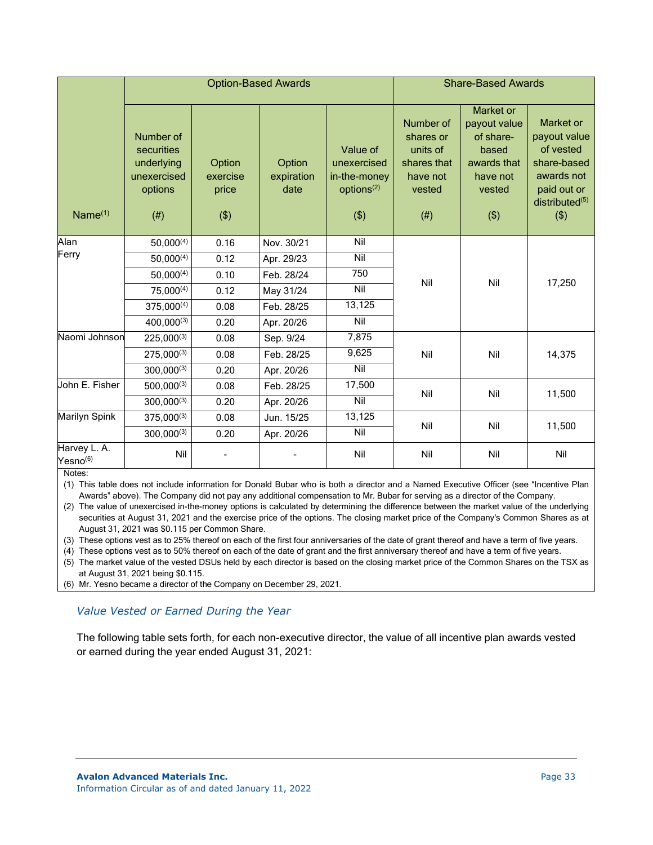|                                      |                                                                         |                                    | <b>Option-Based Awards</b>   | <b>Share-Based Awards</b>                                                |                                                                                |                                                                                             |                                                                                                                |
|--------------------------------------|-------------------------------------------------------------------------|------------------------------------|------------------------------|--------------------------------------------------------------------------|--------------------------------------------------------------------------------|---------------------------------------------------------------------------------------------|----------------------------------------------------------------------------------------------------------------|
| Name <sup>(1)</sup>                  | Number of<br>securities<br>underlying<br>unexercised<br>options<br>(# ) | Option<br>exercise<br>price<br>(3) | Option<br>expiration<br>date | Value of<br>unexercised<br>in-the-money<br>options <sup>(2)</sup><br>(3) | Number of<br>shares or<br>units of<br>shares that<br>have not<br>vested<br>(#) | Market or<br>payout value<br>of share-<br>based<br>awards that<br>have not<br>vested<br>(3) | Market or<br>payout value<br>of vested<br>share-based<br>awards not<br>paid out or<br>distributed $(5)$<br>(3) |
| Alan                                 | $50,000^{(4)}$                                                          | 0.16                               | Nov. 30/21                   | Nil                                                                      |                                                                                |                                                                                             | 17,250                                                                                                         |
| Ferry                                | $50,000^{(4)}$                                                          | 0.12                               | Apr. 29/23                   | Nil                                                                      |                                                                                | Nil                                                                                         |                                                                                                                |
|                                      | $50,000^{(4)}$                                                          | 0.10                               | Feb. 28/24                   | 750                                                                      | Nil                                                                            |                                                                                             |                                                                                                                |
|                                      | 75,000(4)                                                               | 0.12                               | May 31/24                    | Nil                                                                      |                                                                                |                                                                                             |                                                                                                                |
|                                      | $375,000^{(4)}$                                                         | 0.08                               | Feb. 28/25                   | 13,125                                                                   |                                                                                |                                                                                             |                                                                                                                |
|                                      | 400,000(3)                                                              | 0.20                               | Apr. 20/26                   | Nil                                                                      |                                                                                |                                                                                             |                                                                                                                |
| Naomi Johnson                        | $225,000^{(3)}$                                                         | 0.08                               | Sep. 9/24                    | 7,875                                                                    |                                                                                |                                                                                             |                                                                                                                |
|                                      | $275,000^{(3)}$                                                         | 0.08                               | Feb. 28/25                   | 9,625                                                                    | Nil                                                                            | Nil                                                                                         | 14,375                                                                                                         |
|                                      | $300,000^{(3)}$                                                         | 0.20                               | Apr. 20/26                   | Nil                                                                      |                                                                                |                                                                                             |                                                                                                                |
| John E. Fisher                       | $500,000^{(3)}$                                                         | 0.08                               | Feb. 28/25                   | 17,500                                                                   | Nil                                                                            | Nil                                                                                         | 11,500                                                                                                         |
|                                      | $300,000^{(3)}$                                                         | 0.20                               | Apr. 20/26                   | $\overline{N}$                                                           |                                                                                |                                                                                             |                                                                                                                |
| Marilyn Spink                        | $375,000^{(3)}$                                                         | 0.08                               | Jun. 15/25                   | 13,125                                                                   | Nil                                                                            | Nil                                                                                         | 11,500                                                                                                         |
|                                      | $300,000^{(3)}$                                                         | 0.20                               | Apr. 20/26                   | Nil                                                                      |                                                                                |                                                                                             |                                                                                                                |
| Harvey L. A.<br>Yesno <sup>(6)</sup> | Nil                                                                     |                                    |                              | Nil                                                                      | Nil                                                                            | Nil                                                                                         | Nil                                                                                                            |

(1) This table does not include information for Donald Bubar who is both a director and a Named Executive Officer (see "Incentive Plan Awards" above). The Company did not pay any additional compensation to Mr. Bubar for serving as a director of the Company.

(2) The value of unexercised in-the-money options is calculated by determining the difference between the market value of the underlying securities at August 31, 2021 and the exercise price of the options. The closing market price of the Company's Common Shares as at August 31, 2021 was \$0.115 per Common Share.

(3) These options vest as to 25% thereof on each of the first four anniversaries of the date of grant thereof and have a term of five years.

(4) These options vest as to 50% thereof on each of the date of grant and the first anniversary thereof and have a term of five years.

(5) The market value of the vested DSUs held by each director is based on the closing market price of the Common Shares on the TSX as at August 31, 2021 being \$0.115.

(6) Mr. Yesno became a director of the Company on December 29, 2021.

*Value Vested or Earned During the Year*

The following table sets forth, for each non-executive director, the value of all incentive plan awards vested or earned during the year ended August 31, 2021: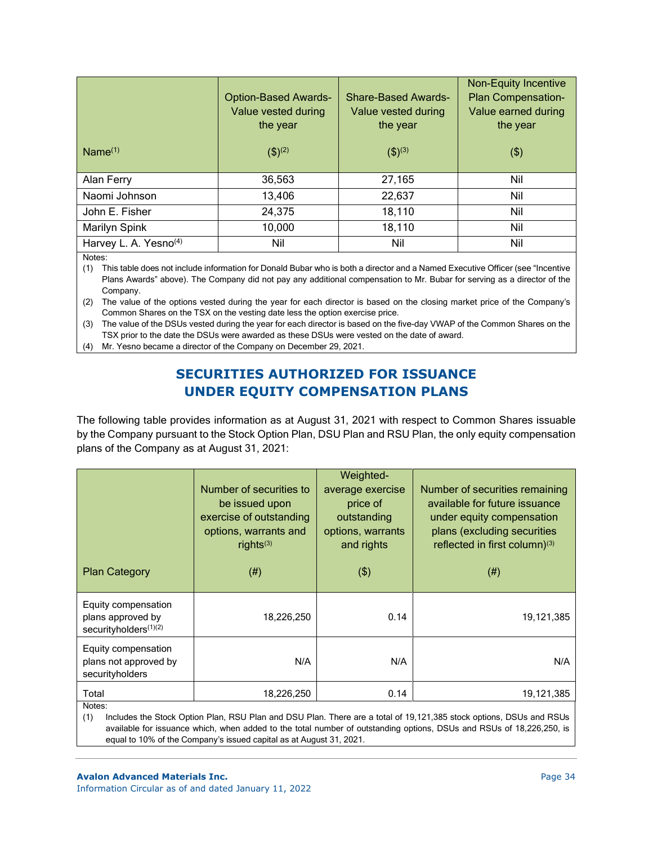| Name <sup>(1)</sup>               | <b>Option-Based Awards-</b><br>Value vested during<br>the year<br>$($ \$) <sup>(2)</sup> | <b>Share-Based Awards-</b><br>Value vested during<br>the year<br>$(5)^{(3)}$ | <b>Non-Equity Incentive</b><br><b>Plan Compensation-</b><br>Value earned during<br>the year<br>$($ \$) |
|-----------------------------------|------------------------------------------------------------------------------------------|------------------------------------------------------------------------------|--------------------------------------------------------------------------------------------------------|
| Alan Ferry                        | 36,563                                                                                   | 27,165                                                                       | Nil                                                                                                    |
| Naomi Johnson                     | 13,406                                                                                   | 22,637                                                                       | Nil                                                                                                    |
| John E. Fisher                    | 24,375                                                                                   | 18,110                                                                       | Nil                                                                                                    |
| Marilyn Spink                     | 10,000                                                                                   | 18,110                                                                       | Nil                                                                                                    |
| Harvey L. A. Yesno <sup>(4)</sup> | Nil                                                                                      | Nil                                                                          | Nil                                                                                                    |

(1) This table does not include information for Donald Bubar who is both a director and a Named Executive Officer (see "Incentive Plans Awards" above). The Company did not pay any additional compensation to Mr. Bubar for serving as a director of the Company.

(2) The value of the options vested during the year for each director is based on the closing market price of the Company's Common Shares on the TSX on the vesting date less the option exercise price.

(3) The value of the DSUs vested during the year for each director is based on the five-day VWAP of the Common Shares on the TSX prior to the date the DSUs were awarded as these DSUs were vested on the date of award.

(4) Mr. Yesno became a director of the Company on December 29, 2021.

# **SECURITIES AUTHORIZED FOR ISSUANCE UNDER EQUITY COMPENSATION PLANS**

The following table provides information as at August 31, 2021 with respect to Common Shares issuable by the Company pursuant to the Stock Option Plan, DSU Plan and RSU Plan, the only equity compensation plans of the Company as at August 31, 2021:

| <b>Plan Category</b>                                                          | Number of securities to<br>be issued upon<br>exercise of outstanding<br>options, warrants and<br>rights $(3)$<br>$(\#)$ | Weighted-<br>average exercise<br>price of<br>outstanding<br>options, warrants<br>and rights<br>$($ \$) | Number of securities remaining<br>available for future issuance<br>under equity compensation<br>plans (excluding securities<br>reflected in first column)(3)<br>(# <sup>2</sup> ) |
|-------------------------------------------------------------------------------|-------------------------------------------------------------------------------------------------------------------------|--------------------------------------------------------------------------------------------------------|-----------------------------------------------------------------------------------------------------------------------------------------------------------------------------------|
| Equity compensation<br>plans approved by<br>securityholders <sup>(1)(2)</sup> | 18,226,250                                                                                                              | 0.14                                                                                                   | 19,121,385                                                                                                                                                                        |
| Equity compensation<br>plans not approved by<br>securityholders               | N/A                                                                                                                     | N/A                                                                                                    | N/A                                                                                                                                                                               |
| Total<br>Notes:                                                               | 18,226,250                                                                                                              | 0.14                                                                                                   | 19,121,385                                                                                                                                                                        |

(1) Includes the Stock Option Plan, RSU Plan and DSU Plan. There are a total of 19,121,385 stock options, DSUs and RSUs available for issuance which, when added to the total number of outstanding options, DSUs and RSUs of 18,226,250, is equal to 10% of the Company's issued capital as at August 31, 2021.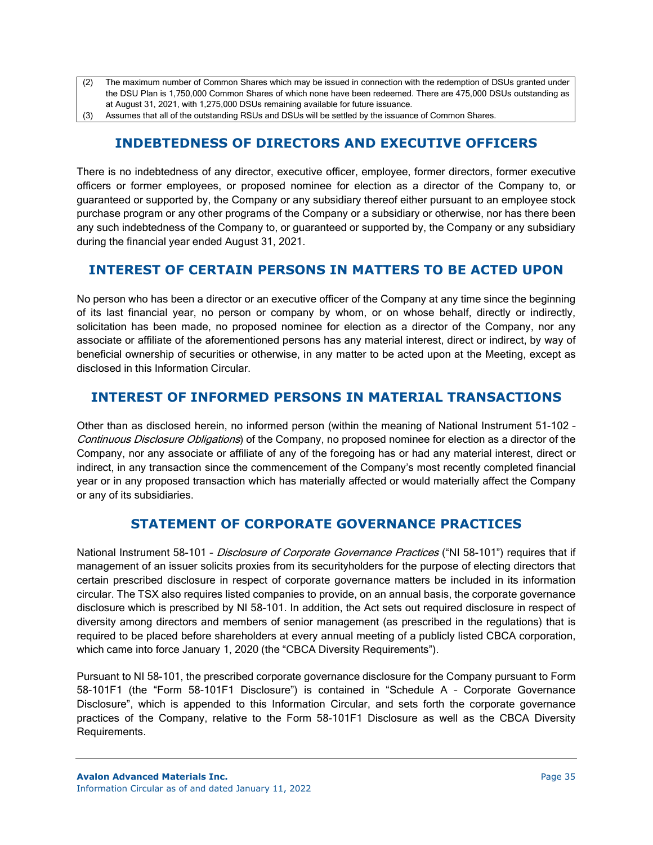- (2) The maximum number of Common Shares which may be issued in connection with the redemption of DSUs granted under the DSU Plan is 1,750,000 Common Shares of which none have been redeemed. There are 475,000 DSUs outstanding as at August 31, 2021, with 1,275,000 DSUs remaining available for future issuance.
- (3) Assumes that all of the outstanding RSUs and DSUs will be settled by the issuance of Common Shares.

# **INDEBTEDNESS OF DIRECTORS AND EXECUTIVE OFFICERS**

There is no indebtedness of any director, executive officer, employee, former directors, former executive officers or former employees, or proposed nominee for election as a director of the Company to, or guaranteed or supported by, the Company or any subsidiary thereof either pursuant to an employee stock purchase program or any other programs of the Company or a subsidiary or otherwise, nor has there been any such indebtedness of the Company to, or guaranteed or supported by, the Company or any subsidiary during the financial year ended August 31, 2021.

# **INTEREST OF CERTAIN PERSONS IN MATTERS TO BE ACTED UPON**

No person who has been a director or an executive officer of the Company at any time since the beginning of its last financial year, no person or company by whom, or on whose behalf, directly or indirectly, solicitation has been made, no proposed nominee for election as a director of the Company, nor any associate or affiliate of the aforementioned persons has any material interest, direct or indirect, by way of beneficial ownership of securities or otherwise, in any matter to be acted upon at the Meeting, except as disclosed in this Information Circular.

# **INTEREST OF INFORMED PERSONS IN MATERIAL TRANSACTIONS**

Other than as disclosed herein, no informed person (within the meaning of National Instrument 51-102 – Continuous Disclosure Obligations) of the Company, no proposed nominee for election as a director of the Company, nor any associate or affiliate of any of the foregoing has or had any material interest, direct or indirect, in any transaction since the commencement of the Company's most recently completed financial year or in any proposed transaction which has materially affected or would materially affect the Company or any of its subsidiaries.

# **STATEMENT OF CORPORATE GOVERNANCE PRACTICES**

National Instrument 58-101 - Disclosure of Corporate Governance Practices ("NI 58-101") requires that if management of an issuer solicits proxies from its securityholders for the purpose of electing directors that certain prescribed disclosure in respect of corporate governance matters be included in its information circular. The TSX also requires listed companies to provide, on an annual basis, the corporate governance disclosure which is prescribed by NI 58-101. In addition, the Act sets out required disclosure in respect of diversity among directors and members of senior management (as prescribed in the regulations) that is required to be placed before shareholders at every annual meeting of a publicly listed CBCA corporation, which came into force January 1, 2020 (the "CBCA Diversity Requirements").

Pursuant to NI 58-101, the prescribed corporate governance disclosure for the Company pursuant to Form 58-101F1 (the "Form 58-101F1 Disclosure") is contained in "Schedule A – Corporate Governance Disclosure", which is appended to this Information Circular, and sets forth the corporate governance practices of the Company, relative to the Form 58-101F1 Disclosure as well as the CBCA Diversity Requirements.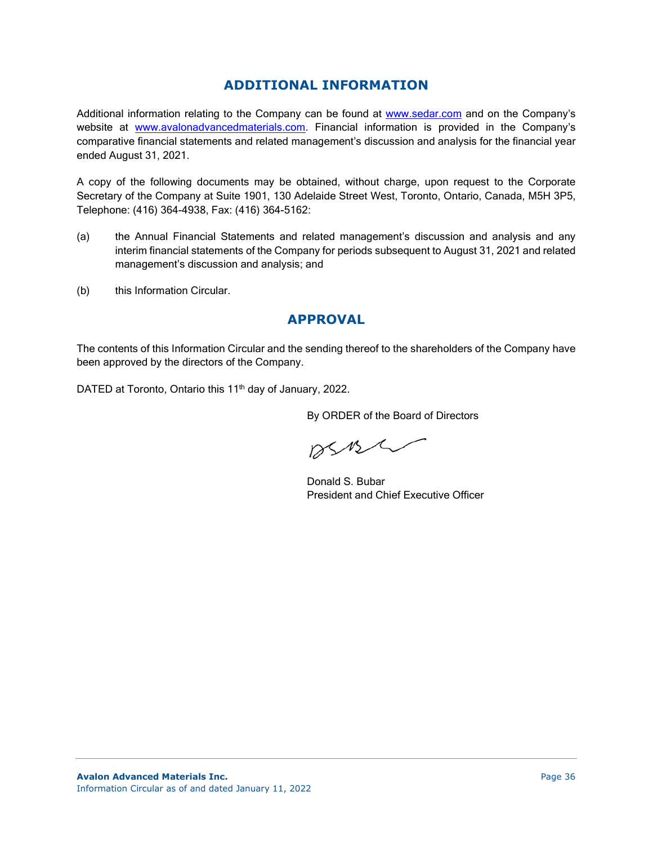# **ADDITIONAL INFORMATION**

Additional information relating to the Company can be found at [www.sedar.com](http://www.sedar.com/) and on the Company's website at [www.avalonadvancedmaterials.com.](http://www.avalonadvancedmaterials.com/) Financial information is provided in the Company's comparative financial statements and related management's discussion and analysis for the financial year ended August 31, 2021.

A copy of the following documents may be obtained, without charge, upon request to the Corporate Secretary of the Company at Suite 1901, 130 Adelaide Street West, Toronto, Ontario, Canada, M5H 3P5, Telephone: (416) 364-4938, Fax: (416) 364-5162:

- (a) the Annual Financial Statements and related management's discussion and analysis and any interim financial statements of the Company for periods subsequent to August 31, 2021 and related management's discussion and analysis; and
- (b) this Information Circular.

# **APPROVAL**

The contents of this Information Circular and the sending thereof to the shareholders of the Company have been approved by the directors of the Company.

DATED at Toronto, Ontario this 11<sup>th</sup> day of January, 2022.

By ORDER of the Board of Directors

 $DSMS$ 

Donald S. Bubar President and Chief Executive Officer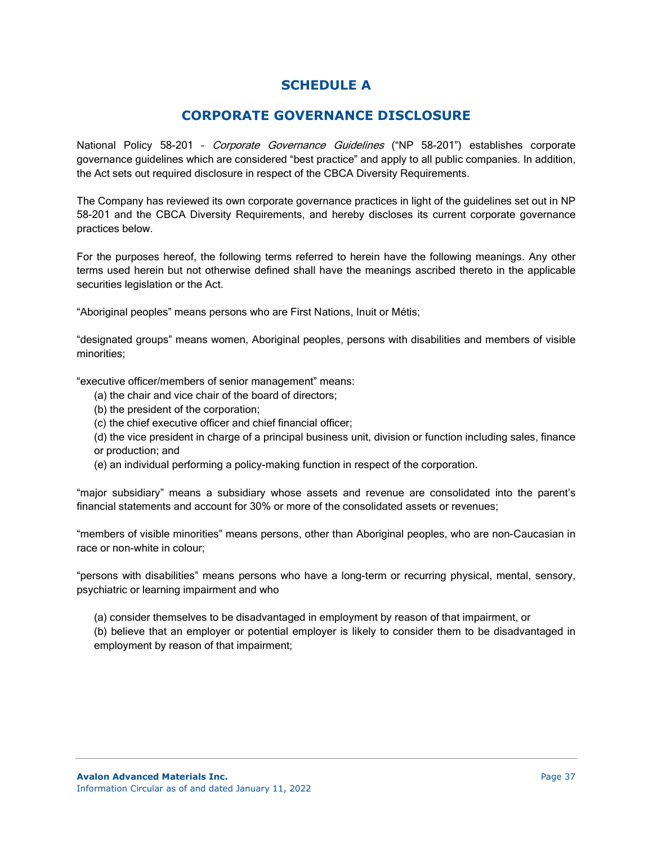# **SCHEDULE A**

# **CORPORATE GOVERNANCE DISCLOSURE**

National Policy 58-201 - Corporate Governance Guidelines ("NP 58-201") establishes corporate governance guidelines which are considered "best practice" and apply to all public companies. In addition, the Act sets out required disclosure in respect of the CBCA Diversity Requirements.

The Company has reviewed its own corporate governance practices in light of the guidelines set out in NP 58-201 and the CBCA Diversity Requirements, and hereby discloses its current corporate governance practices below.

For the purposes hereof, the following terms referred to herein have the following meanings. Any other terms used herein but not otherwise defined shall have the meanings ascribed thereto in the applicable securities legislation or the Act.

"Aboriginal peoples" means persons who are First Nations, Inuit or Métis;

"designated groups" means women, Aboriginal peoples, persons with disabilities and members of visible minorities;

"executive officer/members of senior management" means:

- (a) the chair and vice chair of the board of directors;
- (b) the president of the corporation;
- (c) the chief executive officer and chief financial officer;
- (d) the vice president in charge of a principal business unit, division or function including sales, finance or production; and
- (e) an individual performing a policy-making function in respect of the corporation.

"major subsidiary" means a subsidiary whose assets and revenue are consolidated into the parent's financial statements and account for 30% or more of the consolidated assets or revenues;

"members of visible minorities" means persons, other than Aboriginal peoples, who are non-Caucasian in race or non-white in colour;

"persons with disabilities" means persons who have a long-term or recurring physical, mental, sensory, psychiatric or learning impairment and who

(a) consider themselves to be disadvantaged in employment by reason of that impairment, or

(b) believe that an employer or potential employer is likely to consider them to be disadvantaged in employment by reason of that impairment;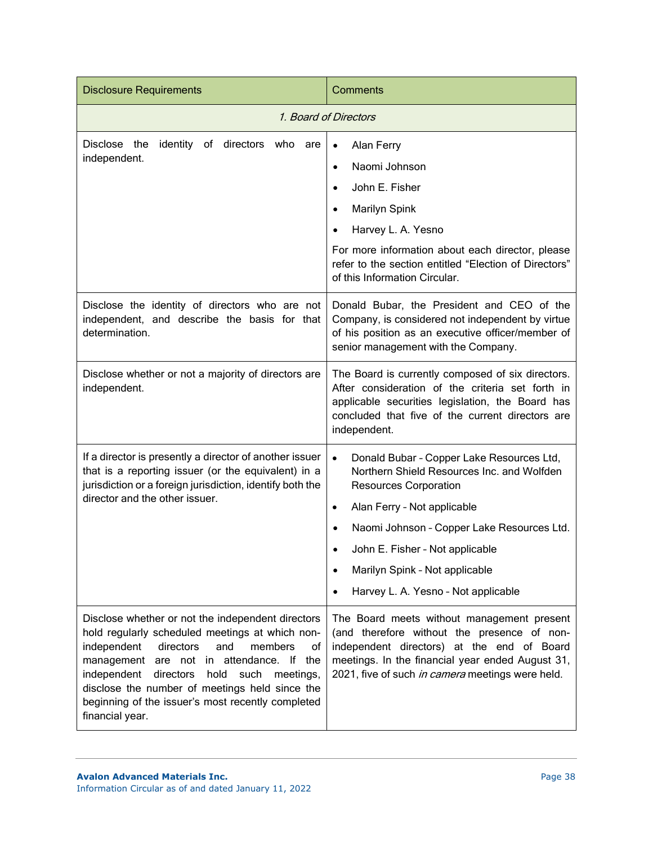| <b>Disclosure Requirements</b>                                                                                                                                                                                                                                                                                                                                                             | Comments                                                                                                                                                                                                                                                                                                                                                             |
|--------------------------------------------------------------------------------------------------------------------------------------------------------------------------------------------------------------------------------------------------------------------------------------------------------------------------------------------------------------------------------------------|----------------------------------------------------------------------------------------------------------------------------------------------------------------------------------------------------------------------------------------------------------------------------------------------------------------------------------------------------------------------|
| 1. Board of Directors                                                                                                                                                                                                                                                                                                                                                                      |                                                                                                                                                                                                                                                                                                                                                                      |
| Disclose the<br>identity of directors who are<br>independent.                                                                                                                                                                                                                                                                                                                              | Alan Ferry<br>$\bullet$<br>Naomi Johnson<br>$\bullet$<br>John E. Fisher<br><b>Marilyn Spink</b><br>Harvey L. A. Yesno<br>For more information about each director, please<br>refer to the section entitled "Election of Directors"<br>of this Information Circular.                                                                                                  |
| Disclose the identity of directors who are not<br>independent, and describe the basis for that<br>determination.                                                                                                                                                                                                                                                                           | Donald Bubar, the President and CEO of the<br>Company, is considered not independent by virtue<br>of his position as an executive officer/member of<br>senior management with the Company.                                                                                                                                                                           |
| Disclose whether or not a majority of directors are<br>independent.                                                                                                                                                                                                                                                                                                                        | The Board is currently composed of six directors.<br>After consideration of the criteria set forth in<br>applicable securities legislation, the Board has<br>concluded that five of the current directors are<br>independent.                                                                                                                                        |
| If a director is presently a director of another issuer<br>that is a reporting issuer (or the equivalent) in a<br>jurisdiction or a foreign jurisdiction, identify both the<br>director and the other issuer.                                                                                                                                                                              | Donald Bubar - Copper Lake Resources Ltd,<br>$\bullet$<br>Northern Shield Resources Inc. and Wolfden<br><b>Resources Corporation</b><br>Alan Ferry - Not applicable<br>$\bullet$<br>Naomi Johnson - Copper Lake Resources Ltd.<br>$\bullet$<br>John E. Fisher - Not applicable<br>Marilyn Spink - Not applicable<br>Harvey L. A. Yesno - Not applicable<br>$\bullet$ |
| Disclose whether or not the independent directors<br>hold regularly scheduled meetings at which non-<br>members<br>independent<br>directors<br>and<br>οf<br>are not in attendance. If the<br>management<br>independent<br>directors<br>hold<br>such<br>meetings,<br>disclose the number of meetings held since the<br>beginning of the issuer's most recently completed<br>financial year. | The Board meets without management present<br>(and therefore without the presence of non-<br>independent directors) at the end of Board<br>meetings. In the financial year ended August 31,<br>2021, five of such in camera meetings were held.                                                                                                                      |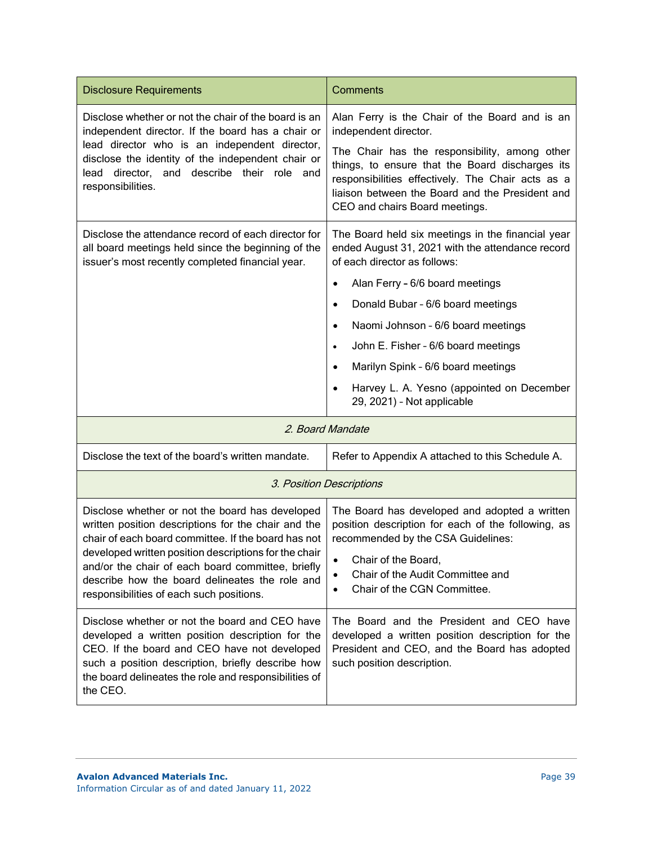| <b>Disclosure Requirements</b>                                                                                                                                                                                                                                                                                                                                            | Comments                                                                                                                                                                                                                                                                                                                                                                                                                                                                                  |
|---------------------------------------------------------------------------------------------------------------------------------------------------------------------------------------------------------------------------------------------------------------------------------------------------------------------------------------------------------------------------|-------------------------------------------------------------------------------------------------------------------------------------------------------------------------------------------------------------------------------------------------------------------------------------------------------------------------------------------------------------------------------------------------------------------------------------------------------------------------------------------|
| Disclose whether or not the chair of the board is an<br>independent director. If the board has a chair or<br>lead director who is an independent director,<br>disclose the identity of the independent chair or<br>lead director, and describe their role and<br>responsibilities.                                                                                        | Alan Ferry is the Chair of the Board and is an<br>independent director.<br>The Chair has the responsibility, among other<br>things, to ensure that the Board discharges its<br>responsibilities effectively. The Chair acts as a<br>liaison between the Board and the President and<br>CEO and chairs Board meetings.                                                                                                                                                                     |
| Disclose the attendance record of each director for<br>all board meetings held since the beginning of the<br>issuer's most recently completed financial year.                                                                                                                                                                                                             | The Board held six meetings in the financial year<br>ended August 31, 2021 with the attendance record<br>of each director as follows:<br>Alan Ferry - 6/6 board meetings<br>$\bullet$<br>Donald Bubar - 6/6 board meetings<br>$\bullet$<br>Naomi Johnson - 6/6 board meetings<br>$\bullet$<br>John E. Fisher - 6/6 board meetings<br>$\bullet$<br>Marilyn Spink - 6/6 board meetings<br>$\bullet$<br>Harvey L. A. Yesno (appointed on December<br>$\bullet$<br>29, 2021) - Not applicable |
| 2. Board Mandate                                                                                                                                                                                                                                                                                                                                                          |                                                                                                                                                                                                                                                                                                                                                                                                                                                                                           |
| Disclose the text of the board's written mandate.                                                                                                                                                                                                                                                                                                                         | Refer to Appendix A attached to this Schedule A.                                                                                                                                                                                                                                                                                                                                                                                                                                          |
| 3. Position Descriptions                                                                                                                                                                                                                                                                                                                                                  |                                                                                                                                                                                                                                                                                                                                                                                                                                                                                           |
| Disclose whether or not the board has developed<br>written position descriptions for the chair and the<br>chair of each board committee. If the board has not<br>developed written position descriptions for the chair<br>and/or the chair of each board committee, briefly<br>describe how the board delineates the role and<br>responsibilities of each such positions. | The Board has developed and adopted a written<br>position description for each of the following, as<br>recommended by the CSA Guidelines:<br>Chair of the Board,<br>$\bullet$<br>Chair of the Audit Committee and<br>Chair of the CGN Committee.                                                                                                                                                                                                                                          |
| Disclose whether or not the board and CEO have<br>developed a written position description for the<br>CEO. If the board and CEO have not developed<br>such a position description, briefly describe how<br>the board delineates the role and responsibilities of<br>the CEO.                                                                                              | The Board and the President and CEO have<br>developed a written position description for the<br>President and CEO, and the Board has adopted<br>such position description.                                                                                                                                                                                                                                                                                                                |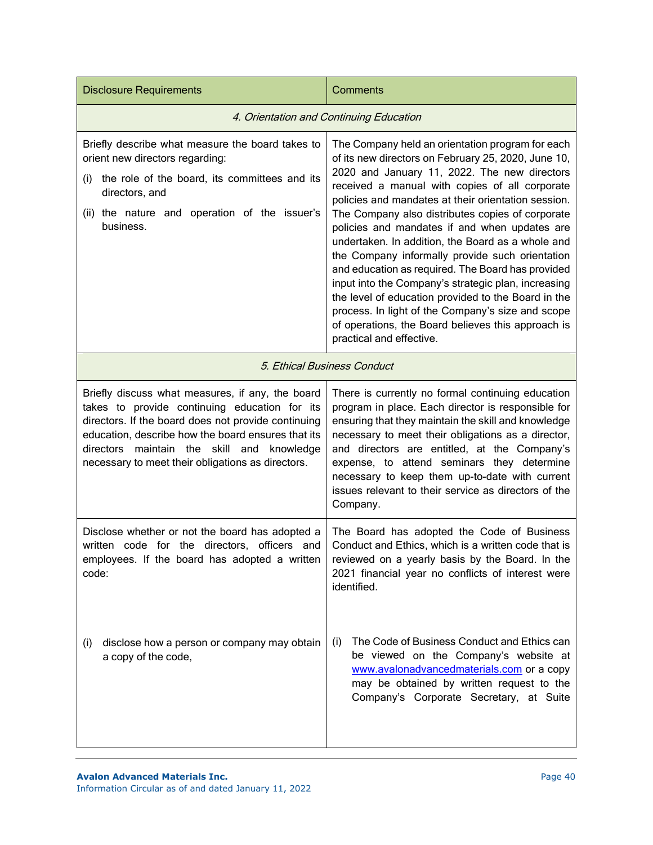| <b>Disclosure Requirements</b>                                                                                                                                                                                                                                                                                             | <b>Comments</b>                                                                                                                                                                                                                                                                                                                                                                                                                                                                                                                                                                                                                                                                                                                                                                         |
|----------------------------------------------------------------------------------------------------------------------------------------------------------------------------------------------------------------------------------------------------------------------------------------------------------------------------|-----------------------------------------------------------------------------------------------------------------------------------------------------------------------------------------------------------------------------------------------------------------------------------------------------------------------------------------------------------------------------------------------------------------------------------------------------------------------------------------------------------------------------------------------------------------------------------------------------------------------------------------------------------------------------------------------------------------------------------------------------------------------------------------|
| 4. Orientation and Continuing Education                                                                                                                                                                                                                                                                                    |                                                                                                                                                                                                                                                                                                                                                                                                                                                                                                                                                                                                                                                                                                                                                                                         |
| Briefly describe what measure the board takes to<br>orient new directors regarding:<br>the role of the board, its committees and its<br>(i)<br>directors, and<br>(ii) the nature and operation of the issuer's<br>business.                                                                                                | The Company held an orientation program for each<br>of its new directors on February 25, 2020, June 10,<br>2020 and January 11, 2022. The new directors<br>received a manual with copies of all corporate<br>policies and mandates at their orientation session.<br>The Company also distributes copies of corporate<br>policies and mandates if and when updates are<br>undertaken. In addition, the Board as a whole and<br>the Company informally provide such orientation<br>and education as required. The Board has provided<br>input into the Company's strategic plan, increasing<br>the level of education provided to the Board in the<br>process. In light of the Company's size and scope<br>of operations, the Board believes this approach is<br>practical and effective. |
| 5. Ethical Business Conduct                                                                                                                                                                                                                                                                                                |                                                                                                                                                                                                                                                                                                                                                                                                                                                                                                                                                                                                                                                                                                                                                                                         |
| Briefly discuss what measures, if any, the board<br>takes to provide continuing education for its<br>directors. If the board does not provide continuing<br>education, describe how the board ensures that its<br>directors<br>maintain the<br>skill and<br>knowledge<br>necessary to meet their obligations as directors. | There is currently no formal continuing education<br>program in place. Each director is responsible for<br>ensuring that they maintain the skill and knowledge<br>necessary to meet their obligations as a director,<br>and directors are entitled, at the Company's<br>expense, to attend seminars they determine<br>necessary to keep them up-to-date with current<br>issues relevant to their service as directors of the<br>Company.                                                                                                                                                                                                                                                                                                                                                |
| Disclose whether or not the board has adopted a<br>written code for the directors, officers and<br>employees. If the board has adopted a written<br>code:                                                                                                                                                                  | The Board has adopted the Code of Business<br>Conduct and Ethics, which is a written code that is<br>reviewed on a yearly basis by the Board. In the<br>2021 financial year no conflicts of interest were<br>identified.                                                                                                                                                                                                                                                                                                                                                                                                                                                                                                                                                                |
| disclose how a person or company may obtain<br>(i)<br>a copy of the code,                                                                                                                                                                                                                                                  | The Code of Business Conduct and Ethics can<br>(i)<br>be viewed on the Company's website at<br>www.avalonadvancedmaterials.com or a copy<br>may be obtained by written request to the<br>Company's Corporate Secretary, at Suite                                                                                                                                                                                                                                                                                                                                                                                                                                                                                                                                                        |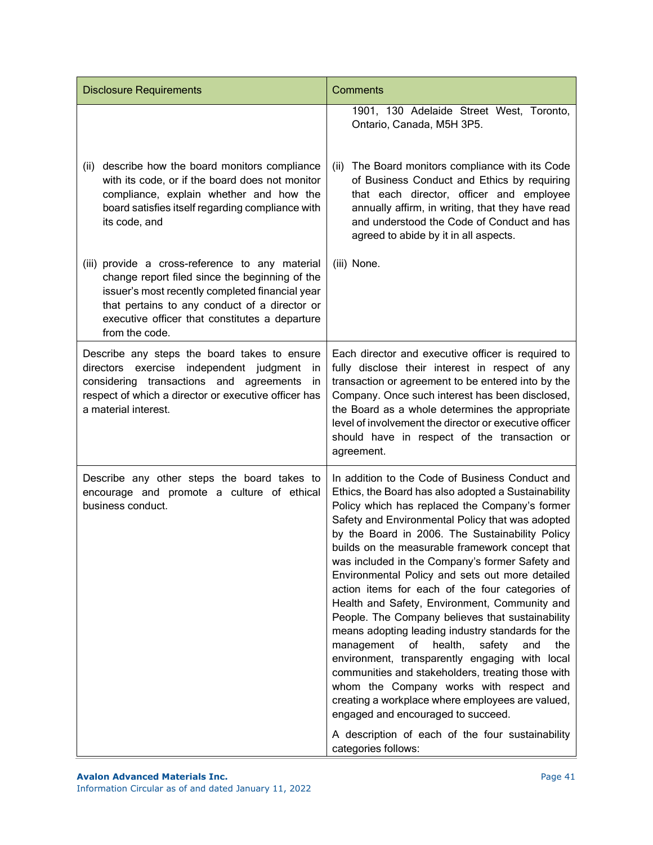| <b>Disclosure Requirements</b>                                                                                                                                                                                                                                            | Comments                                                                                                                                                                                                                                                                                                                                                                                                                                                                                                                                                                                                                                                                                                                                                                                                                                                                                                                                                                                                            |
|---------------------------------------------------------------------------------------------------------------------------------------------------------------------------------------------------------------------------------------------------------------------------|---------------------------------------------------------------------------------------------------------------------------------------------------------------------------------------------------------------------------------------------------------------------------------------------------------------------------------------------------------------------------------------------------------------------------------------------------------------------------------------------------------------------------------------------------------------------------------------------------------------------------------------------------------------------------------------------------------------------------------------------------------------------------------------------------------------------------------------------------------------------------------------------------------------------------------------------------------------------------------------------------------------------|
|                                                                                                                                                                                                                                                                           | 1901, 130 Adelaide Street West, Toronto,<br>Ontario, Canada, M5H 3P5.                                                                                                                                                                                                                                                                                                                                                                                                                                                                                                                                                                                                                                                                                                                                                                                                                                                                                                                                               |
| describe how the board monitors compliance<br>(ii)<br>with its code, or if the board does not monitor<br>compliance, explain whether and how the<br>board satisfies itself regarding compliance with<br>its code, and                                                     | The Board monitors compliance with its Code<br>(ii)<br>of Business Conduct and Ethics by requiring<br>that each director, officer and employee<br>annually affirm, in writing, that they have read<br>and understood the Code of Conduct and has<br>agreed to abide by it in all aspects.                                                                                                                                                                                                                                                                                                                                                                                                                                                                                                                                                                                                                                                                                                                           |
| (iii) provide a cross-reference to any material<br>change report filed since the beginning of the<br>issuer's most recently completed financial year<br>that pertains to any conduct of a director or<br>executive officer that constitutes a departure<br>from the code. | (iii) None.                                                                                                                                                                                                                                                                                                                                                                                                                                                                                                                                                                                                                                                                                                                                                                                                                                                                                                                                                                                                         |
| Describe any steps the board takes to ensure<br>directors exercise independent judgment<br>in<br>considering transactions and agreements<br>-in<br>respect of which a director or executive officer has<br>a material interest.                                           | Each director and executive officer is required to<br>fully disclose their interest in respect of any<br>transaction or agreement to be entered into by the<br>Company. Once such interest has been disclosed,<br>the Board as a whole determines the appropriate<br>level of involvement the director or executive officer<br>should have in respect of the transaction or<br>agreement.                                                                                                                                                                                                                                                                                                                                                                                                                                                                                                                                                                                                                           |
| Describe any other steps the board takes to<br>encourage and promote a culture of ethical<br>business conduct.                                                                                                                                                            | In addition to the Code of Business Conduct and<br>Ethics, the Board has also adopted a Sustainability<br>Policy which has replaced the Company's former<br>Safety and Environmental Policy that was adopted<br>by the Board in 2006. The Sustainability Policy<br>builds on the measurable framework concept that<br>was included in the Company's former Safety and<br>Environmental Policy and sets out more detailed<br>action items for each of the four categories of<br>Health and Safety, Environment, Community and<br>People. The Company believes that sustainability<br>means adopting leading industry standards for the<br>of<br>health,<br>safety<br>management<br>and<br>the<br>environment, transparently engaging with local<br>communities and stakeholders, treating those with<br>whom the Company works with respect and<br>creating a workplace where employees are valued,<br>engaged and encouraged to succeed.<br>A description of each of the four sustainability<br>categories follows: |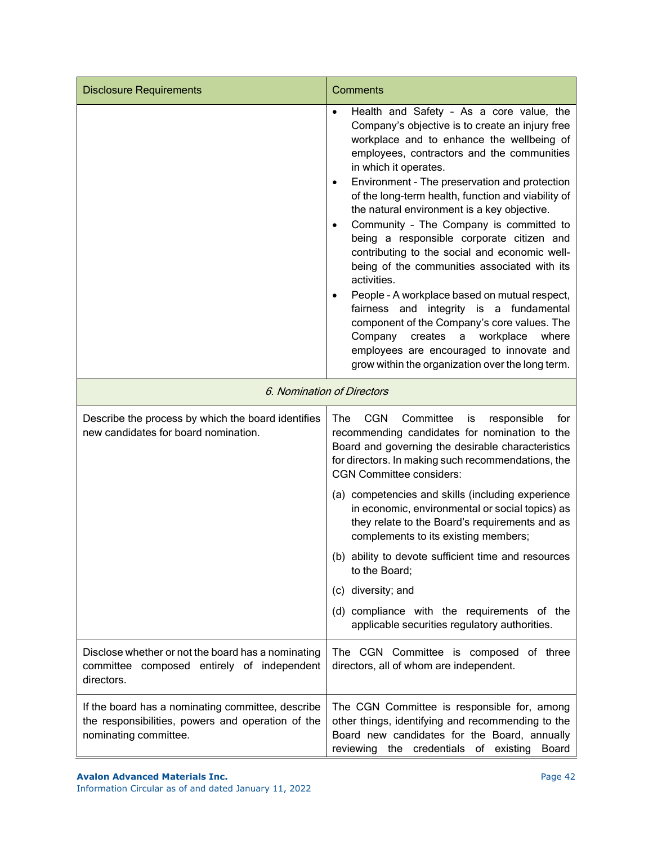| <b>Disclosure Requirements</b>                                                                                                  | Comments                                                                                                                                                                                                                                                                                                                                                                                                                                                                                                                                                                                                                                                                                                                                                                                                                                                                                                         |
|---------------------------------------------------------------------------------------------------------------------------------|------------------------------------------------------------------------------------------------------------------------------------------------------------------------------------------------------------------------------------------------------------------------------------------------------------------------------------------------------------------------------------------------------------------------------------------------------------------------------------------------------------------------------------------------------------------------------------------------------------------------------------------------------------------------------------------------------------------------------------------------------------------------------------------------------------------------------------------------------------------------------------------------------------------|
|                                                                                                                                 | Health and Safety - As a core value, the<br>$\bullet$<br>Company's objective is to create an injury free<br>workplace and to enhance the wellbeing of<br>employees, contractors and the communities<br>in which it operates.<br>Environment - The preservation and protection<br>$\bullet$<br>of the long-term health, function and viability of<br>the natural environment is a key objective.<br>Community - The Company is committed to<br>$\bullet$<br>being a responsible corporate citizen and<br>contributing to the social and economic well-<br>being of the communities associated with its<br>activities.<br>People - A workplace based on mutual respect,<br>fairness and integrity is a fundamental<br>component of the Company's core values. The<br>Company<br>workplace<br>creates<br>where<br>a<br>employees are encouraged to innovate and<br>grow within the organization over the long term. |
| 6. Nomination of Directors                                                                                                      |                                                                                                                                                                                                                                                                                                                                                                                                                                                                                                                                                                                                                                                                                                                                                                                                                                                                                                                  |
| Describe the process by which the board identifies<br>new candidates for board nomination.                                      | Committee<br>The<br><b>CGN</b><br>responsible<br>for<br>is<br>recommending candidates for nomination to the<br>Board and governing the desirable characteristics<br>for directors. In making such recommendations, the<br><b>CGN Committee considers:</b>                                                                                                                                                                                                                                                                                                                                                                                                                                                                                                                                                                                                                                                        |
|                                                                                                                                 | (a) competencies and skills (including experience<br>in economic, environmental or social topics) as<br>they relate to the Board's requirements and as<br>complements to its existing members;                                                                                                                                                                                                                                                                                                                                                                                                                                                                                                                                                                                                                                                                                                                   |
|                                                                                                                                 | (b) ability to devote sufficient time and resources<br>to the Board:                                                                                                                                                                                                                                                                                                                                                                                                                                                                                                                                                                                                                                                                                                                                                                                                                                             |
|                                                                                                                                 | (c) diversity; and                                                                                                                                                                                                                                                                                                                                                                                                                                                                                                                                                                                                                                                                                                                                                                                                                                                                                               |
|                                                                                                                                 | (d) compliance with the requirements of the<br>applicable securities regulatory authorities.                                                                                                                                                                                                                                                                                                                                                                                                                                                                                                                                                                                                                                                                                                                                                                                                                     |
| Disclose whether or not the board has a nominating<br>committee composed entirely of independent<br>directors.                  | The CGN Committee is composed of three<br>directors, all of whom are independent.                                                                                                                                                                                                                                                                                                                                                                                                                                                                                                                                                                                                                                                                                                                                                                                                                                |
| If the board has a nominating committee, describe<br>the responsibilities, powers and operation of the<br>nominating committee. | The CGN Committee is responsible for, among<br>other things, identifying and recommending to the<br>Board new candidates for the Board, annually<br>reviewing the credentials of existing Board                                                                                                                                                                                                                                                                                                                                                                                                                                                                                                                                                                                                                                                                                                                  |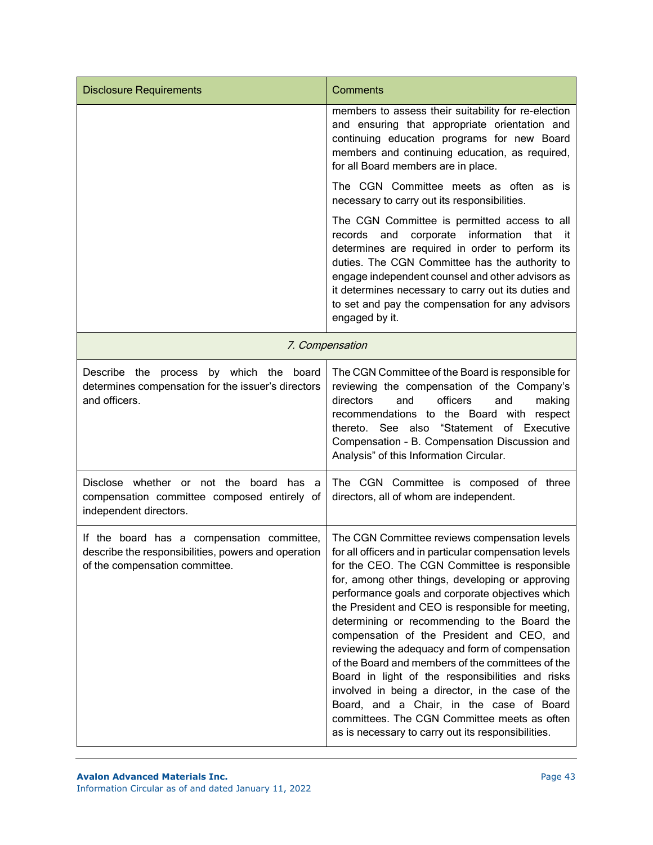| <b>Disclosure Requirements</b>                                                                                                      | <b>Comments</b>                                                                                                                                                                                                                                                                                                                                                                                                                                                                                                                                                                                                                                                                                                                                                                       |
|-------------------------------------------------------------------------------------------------------------------------------------|---------------------------------------------------------------------------------------------------------------------------------------------------------------------------------------------------------------------------------------------------------------------------------------------------------------------------------------------------------------------------------------------------------------------------------------------------------------------------------------------------------------------------------------------------------------------------------------------------------------------------------------------------------------------------------------------------------------------------------------------------------------------------------------|
|                                                                                                                                     | members to assess their suitability for re-election<br>and ensuring that appropriate orientation and<br>continuing education programs for new Board<br>members and continuing education, as required,<br>for all Board members are in place.                                                                                                                                                                                                                                                                                                                                                                                                                                                                                                                                          |
|                                                                                                                                     | The CGN Committee meets as often as is<br>necessary to carry out its responsibilities.                                                                                                                                                                                                                                                                                                                                                                                                                                                                                                                                                                                                                                                                                                |
|                                                                                                                                     | The CGN Committee is permitted access to all<br>corporate information<br>records<br>and<br>that<br>- it<br>determines are required in order to perform its<br>duties. The CGN Committee has the authority to<br>engage independent counsel and other advisors as<br>it determines necessary to carry out its duties and<br>to set and pay the compensation for any advisors<br>engaged by it.                                                                                                                                                                                                                                                                                                                                                                                         |
|                                                                                                                                     | 7. Compensation                                                                                                                                                                                                                                                                                                                                                                                                                                                                                                                                                                                                                                                                                                                                                                       |
| by which the board<br>Describe the<br>process<br>determines compensation for the issuer's directors<br>and officers.                | The CGN Committee of the Board is responsible for<br>reviewing the compensation of the Company's<br>officers<br>directors<br>and<br>and<br>making<br>recommendations to the Board with respect<br>thereto. See also "Statement of Executive<br>Compensation - B. Compensation Discussion and<br>Analysis" of this Information Circular.                                                                                                                                                                                                                                                                                                                                                                                                                                               |
| Disclose whether or not the board<br>has a<br>compensation committee composed entirely of<br>independent directors.                 | The CGN Committee is composed of three<br>directors, all of whom are independent.                                                                                                                                                                                                                                                                                                                                                                                                                                                                                                                                                                                                                                                                                                     |
| If the board has a compensation committee,<br>describe the responsibilities, powers and operation<br>of the compensation committee. | The CGN Committee reviews compensation levels<br>for all officers and in particular compensation levels<br>for the CEO. The CGN Committee is responsible<br>for, among other things, developing or approving<br>performance goals and corporate objectives which<br>the President and CEO is responsible for meeting,<br>determining or recommending to the Board the<br>compensation of the President and CEO, and<br>reviewing the adequacy and form of compensation<br>of the Board and members of the committees of the<br>Board in light of the responsibilities and risks<br>involved in being a director, in the case of the<br>Board, and a Chair, in the case of Board<br>committees. The CGN Committee meets as often<br>as is necessary to carry out its responsibilities. |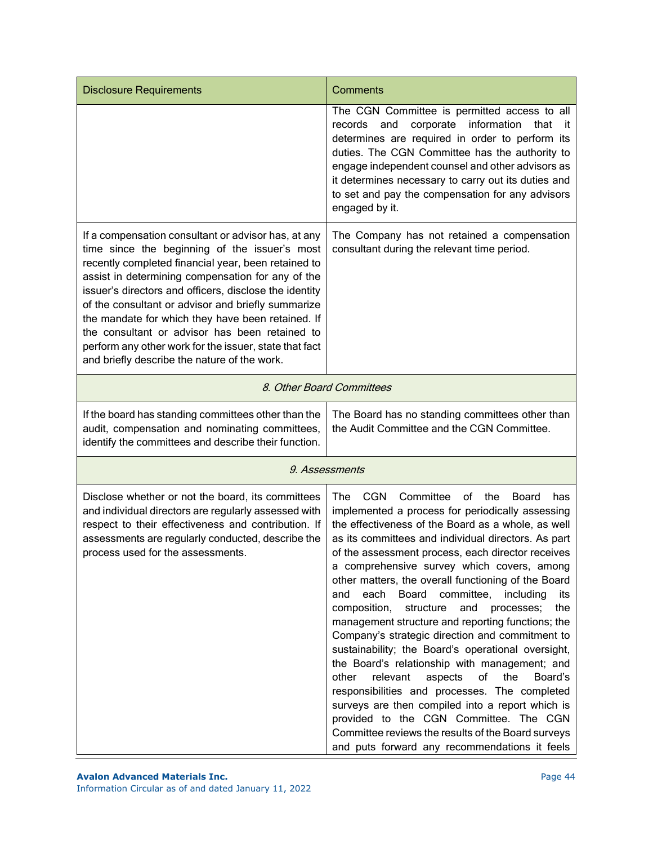| <b>Disclosure Requirements</b>                                                                                                                                                                                                                                                                                                                                                                                                                                                                                                                    | Comments                                                                                                                                                                                                                                                                                                                                                                                                                                                                                                                                                                                                                                                                                                                                                                                                                                                                                                                                                                                                                        |
|---------------------------------------------------------------------------------------------------------------------------------------------------------------------------------------------------------------------------------------------------------------------------------------------------------------------------------------------------------------------------------------------------------------------------------------------------------------------------------------------------------------------------------------------------|---------------------------------------------------------------------------------------------------------------------------------------------------------------------------------------------------------------------------------------------------------------------------------------------------------------------------------------------------------------------------------------------------------------------------------------------------------------------------------------------------------------------------------------------------------------------------------------------------------------------------------------------------------------------------------------------------------------------------------------------------------------------------------------------------------------------------------------------------------------------------------------------------------------------------------------------------------------------------------------------------------------------------------|
|                                                                                                                                                                                                                                                                                                                                                                                                                                                                                                                                                   | The CGN Committee is permitted access to all<br>records and<br>corporate information<br>that<br>- it<br>determines are required in order to perform its<br>duties. The CGN Committee has the authority to<br>engage independent counsel and other advisors as<br>it determines necessary to carry out its duties and<br>to set and pay the compensation for any advisors<br>engaged by it.                                                                                                                                                                                                                                                                                                                                                                                                                                                                                                                                                                                                                                      |
| If a compensation consultant or advisor has, at any<br>time since the beginning of the issuer's most<br>recently completed financial year, been retained to<br>assist in determining compensation for any of the<br>issuer's directors and officers, disclose the identity<br>of the consultant or advisor and briefly summarize<br>the mandate for which they have been retained. If<br>the consultant or advisor has been retained to<br>perform any other work for the issuer, state that fact<br>and briefly describe the nature of the work. | The Company has not retained a compensation<br>consultant during the relevant time period.                                                                                                                                                                                                                                                                                                                                                                                                                                                                                                                                                                                                                                                                                                                                                                                                                                                                                                                                      |
| 8. Other Board Committees                                                                                                                                                                                                                                                                                                                                                                                                                                                                                                                         |                                                                                                                                                                                                                                                                                                                                                                                                                                                                                                                                                                                                                                                                                                                                                                                                                                                                                                                                                                                                                                 |
| If the board has standing committees other than the<br>audit, compensation and nominating committees,<br>identify the committees and describe their function.                                                                                                                                                                                                                                                                                                                                                                                     | The Board has no standing committees other than<br>the Audit Committee and the CGN Committee.                                                                                                                                                                                                                                                                                                                                                                                                                                                                                                                                                                                                                                                                                                                                                                                                                                                                                                                                   |
|                                                                                                                                                                                                                                                                                                                                                                                                                                                                                                                                                   | 9. Assessments                                                                                                                                                                                                                                                                                                                                                                                                                                                                                                                                                                                                                                                                                                                                                                                                                                                                                                                                                                                                                  |
| Disclose whether or not the board, its committees<br>and individual directors are regularly assessed with<br>respect to their effectiveness and contribution. If<br>assessments are regularly conducted, describe the<br>process used for the assessments.                                                                                                                                                                                                                                                                                        | <b>CGN</b><br>Committee<br>of<br>The .<br>the<br>Board<br>has<br>implemented a process for periodically assessing<br>the effectiveness of the Board as a whole, as well<br>as its committees and individual directors. As part<br>of the assessment process, each director receives<br>a comprehensive survey which covers, among<br>other matters, the overall functioning of the Board<br>each Board committee, including<br>and<br>its<br>composition,<br>structure<br>and<br>the<br>processes;<br>management structure and reporting functions; the<br>Company's strategic direction and commitment to<br>sustainability; the Board's operational oversight,<br>the Board's relationship with management; and<br>other<br>relevant<br>of<br>the<br>aspects<br>Board's<br>responsibilities and processes. The completed<br>surveys are then compiled into a report which is<br>provided to the CGN Committee. The CGN<br>Committee reviews the results of the Board surveys<br>and puts forward any recommendations it feels |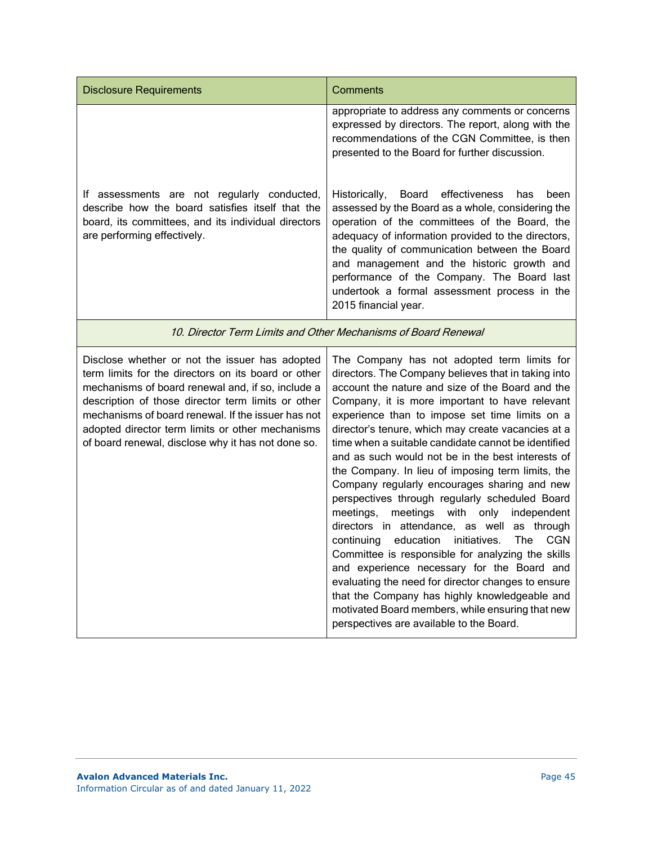| <b>Disclosure Requirements</b>                                                                                                                                                                                                                                                                                                                                                   | <b>Comments</b>                                                                                                                                                                                                                                                                                                                                                                                                                                                                                                                                                                                                                                                                                                                                                                                                                                                                                                                                                                                                                                                |
|----------------------------------------------------------------------------------------------------------------------------------------------------------------------------------------------------------------------------------------------------------------------------------------------------------------------------------------------------------------------------------|----------------------------------------------------------------------------------------------------------------------------------------------------------------------------------------------------------------------------------------------------------------------------------------------------------------------------------------------------------------------------------------------------------------------------------------------------------------------------------------------------------------------------------------------------------------------------------------------------------------------------------------------------------------------------------------------------------------------------------------------------------------------------------------------------------------------------------------------------------------------------------------------------------------------------------------------------------------------------------------------------------------------------------------------------------------|
|                                                                                                                                                                                                                                                                                                                                                                                  | appropriate to address any comments or concerns<br>expressed by directors. The report, along with the<br>recommendations of the CGN Committee, is then<br>presented to the Board for further discussion.                                                                                                                                                                                                                                                                                                                                                                                                                                                                                                                                                                                                                                                                                                                                                                                                                                                       |
| If assessments are not regularly conducted,<br>describe how the board satisfies itself that the<br>board, its committees, and its individual directors<br>are performing effectively.                                                                                                                                                                                            | effectiveness<br>Historically,<br>Board<br>has<br>been<br>assessed by the Board as a whole, considering the<br>operation of the committees of the Board, the<br>adequacy of information provided to the directors,<br>the quality of communication between the Board<br>and management and the historic growth and<br>performance of the Company. The Board last<br>undertook a formal assessment process in the<br>2015 financial year.                                                                                                                                                                                                                                                                                                                                                                                                                                                                                                                                                                                                                       |
| 10. Director Term Limits and Other Mechanisms of Board Renewal                                                                                                                                                                                                                                                                                                                   |                                                                                                                                                                                                                                                                                                                                                                                                                                                                                                                                                                                                                                                                                                                                                                                                                                                                                                                                                                                                                                                                |
| Disclose whether or not the issuer has adopted<br>term limits for the directors on its board or other<br>mechanisms of board renewal and, if so, include a<br>description of those director term limits or other<br>mechanisms of board renewal. If the issuer has not<br>adopted director term limits or other mechanisms<br>of board renewal, disclose why it has not done so. | The Company has not adopted term limits for<br>directors. The Company believes that in taking into<br>account the nature and size of the Board and the<br>Company, it is more important to have relevant<br>experience than to impose set time limits on a<br>director's tenure, which may create vacancies at a<br>time when a suitable candidate cannot be identified<br>and as such would not be in the best interests of<br>the Company. In lieu of imposing term limits, the<br>Company regularly encourages sharing and new<br>perspectives through regularly scheduled Board<br>meetings with only<br>meetings,<br>independent<br>directors in attendance, as well<br>as through<br>education initiatives.<br>The<br>continuing<br><b>CGN</b><br>Committee is responsible for analyzing the skills<br>and experience necessary for the Board and<br>evaluating the need for director changes to ensure<br>that the Company has highly knowledgeable and<br>motivated Board members, while ensuring that new<br>perspectives are available to the Board. |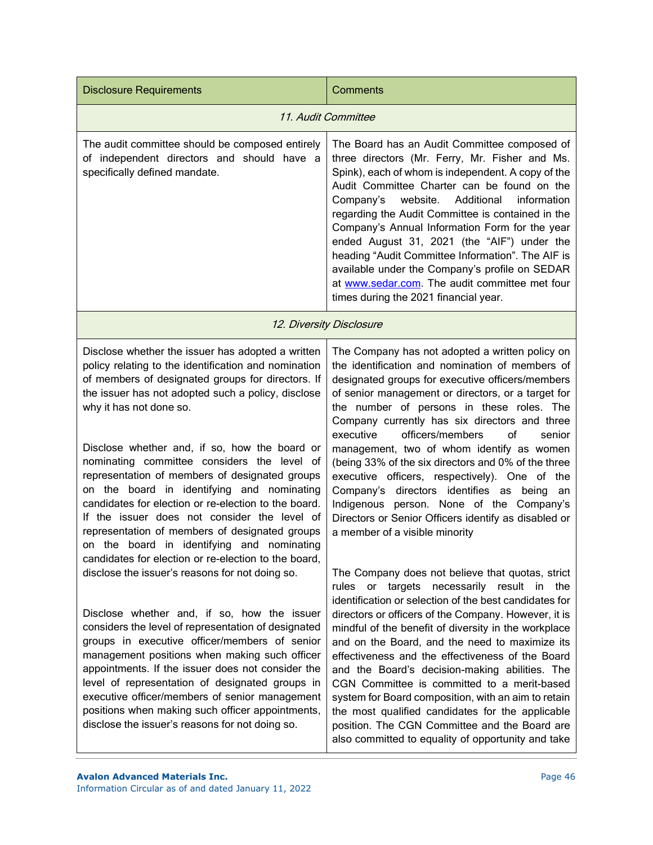| <b>Disclosure Requirements</b>                                                                                                                                                                                                                                                                                                                                                                                                                                                                                                                                                                                                                                                                                  | Comments                                                                                                                                                                                                                                                                                                                                                                                                                                                                                                                                                                                                                                                                                                   |
|-----------------------------------------------------------------------------------------------------------------------------------------------------------------------------------------------------------------------------------------------------------------------------------------------------------------------------------------------------------------------------------------------------------------------------------------------------------------------------------------------------------------------------------------------------------------------------------------------------------------------------------------------------------------------------------------------------------------|------------------------------------------------------------------------------------------------------------------------------------------------------------------------------------------------------------------------------------------------------------------------------------------------------------------------------------------------------------------------------------------------------------------------------------------------------------------------------------------------------------------------------------------------------------------------------------------------------------------------------------------------------------------------------------------------------------|
| 11. Audit Committee                                                                                                                                                                                                                                                                                                                                                                                                                                                                                                                                                                                                                                                                                             |                                                                                                                                                                                                                                                                                                                                                                                                                                                                                                                                                                                                                                                                                                            |
| The audit committee should be composed entirely<br>of independent directors and should have a<br>specifically defined mandate.                                                                                                                                                                                                                                                                                                                                                                                                                                                                                                                                                                                  | The Board has an Audit Committee composed of<br>three directors (Mr. Ferry, Mr. Fisher and Ms.<br>Spink), each of whom is independent. A copy of the<br>Audit Committee Charter can be found on the<br>Company's<br>website.<br>Additional<br>information<br>regarding the Audit Committee is contained in the<br>Company's Annual Information Form for the year<br>ended August 31, 2021 (the "AIF") under the<br>heading "Audit Committee Information". The AIF is<br>available under the Company's profile on SEDAR<br>at www.sedar.com. The audit committee met four<br>times during the 2021 financial year.                                                                                          |
| 12. Diversity Disclosure                                                                                                                                                                                                                                                                                                                                                                                                                                                                                                                                                                                                                                                                                        |                                                                                                                                                                                                                                                                                                                                                                                                                                                                                                                                                                                                                                                                                                            |
| Disclose whether the issuer has adopted a written<br>policy relating to the identification and nomination<br>of members of designated groups for directors. If<br>the issuer has not adopted such a policy, disclose<br>why it has not done so.<br>Disclose whether and, if so, how the board or<br>nominating committee considers the level of<br>representation of members of designated groups<br>on the board in identifying and nominating<br>candidates for election or re-election to the board.<br>If the issuer does not consider the level of<br>representation of members of designated groups<br>on the board in identifying and nominating<br>candidates for election or re-election to the board, | The Company has not adopted a written policy on<br>the identification and nomination of members of<br>designated groups for executive officers/members<br>of senior management or directors, or a target for<br>the number of persons in these roles. The<br>Company currently has six directors and three<br>executive<br>officers/members<br>of<br>senior<br>management, two of whom identify as women<br>(being 33% of the six directors and 0% of the three<br>executive officers, respectively). One of the<br>directors identifies as being<br>Company's<br>an<br>Indigenous person. None of the Company's<br>Directors or Senior Officers identify as disabled or<br>a member of a visible minority |
| disclose the issuer's reasons for not doing so.<br>Disclose whether and, if so, how the issuer<br>considers the level of representation of designated<br>groups in executive officer/members of senior<br>management positions when making such officer<br>appointments. If the issuer does not consider the<br>level of representation of designated groups in<br>executive officer/members of senior management<br>positions when making such officer appointments,<br>disclose the issuer's reasons for not doing so.                                                                                                                                                                                        | The Company does not believe that quotas, strict<br>or targets necessarily result in the<br>rules<br>identification or selection of the best candidates for<br>directors or officers of the Company. However, it is<br>mindful of the benefit of diversity in the workplace<br>and on the Board, and the need to maximize its<br>effectiveness and the effectiveness of the Board<br>and the Board's decision-making abilities. The<br>CGN Committee is committed to a merit-based<br>system for Board composition, with an aim to retain<br>the most qualified candidates for the applicable<br>position. The CGN Committee and the Board are<br>also committed to equality of opportunity and take       |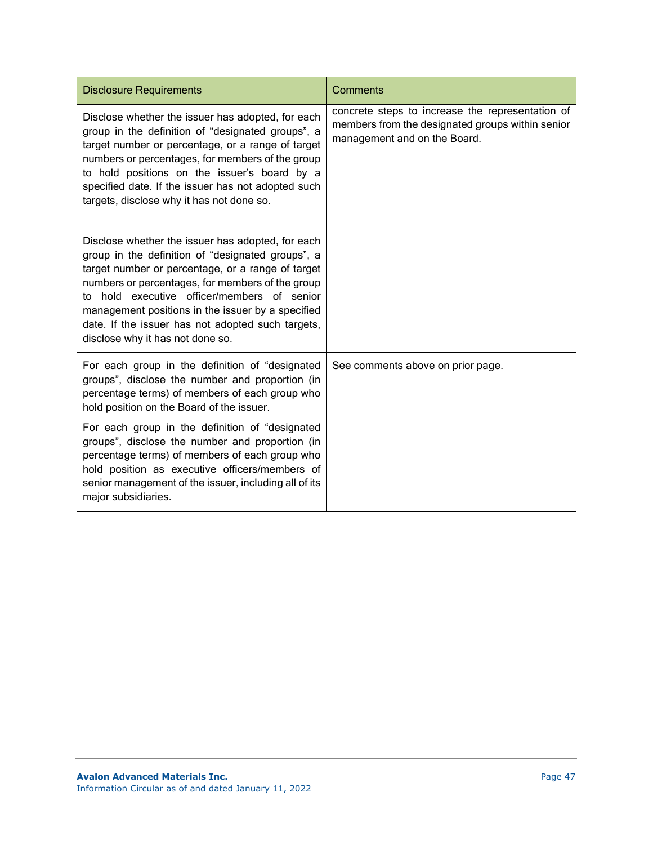| <b>Disclosure Requirements</b>                                                                                                                                                                                                                                                                                                                                                                               | Comments                                                                                                                             |
|--------------------------------------------------------------------------------------------------------------------------------------------------------------------------------------------------------------------------------------------------------------------------------------------------------------------------------------------------------------------------------------------------------------|--------------------------------------------------------------------------------------------------------------------------------------|
| Disclose whether the issuer has adopted, for each<br>group in the definition of "designated groups", a<br>target number or percentage, or a range of target<br>numbers or percentages, for members of the group<br>to hold positions on the issuer's board by a<br>specified date. If the issuer has not adopted such<br>targets, disclose why it has not done so.                                           | concrete steps to increase the representation of<br>members from the designated groups within senior<br>management and on the Board. |
| Disclose whether the issuer has adopted, for each<br>group in the definition of "designated groups", a<br>target number or percentage, or a range of target<br>numbers or percentages, for members of the group<br>to hold executive officer/members of senior<br>management positions in the issuer by a specified<br>date. If the issuer has not adopted such targets,<br>disclose why it has not done so. |                                                                                                                                      |
| For each group in the definition of "designated<br>groups", disclose the number and proportion (in<br>percentage terms) of members of each group who<br>hold position on the Board of the issuer.                                                                                                                                                                                                            | See comments above on prior page.                                                                                                    |
| For each group in the definition of "designated<br>groups", disclose the number and proportion (in<br>percentage terms) of members of each group who<br>hold position as executive officers/members of<br>senior management of the issuer, including all of its<br>major subsidiaries.                                                                                                                       |                                                                                                                                      |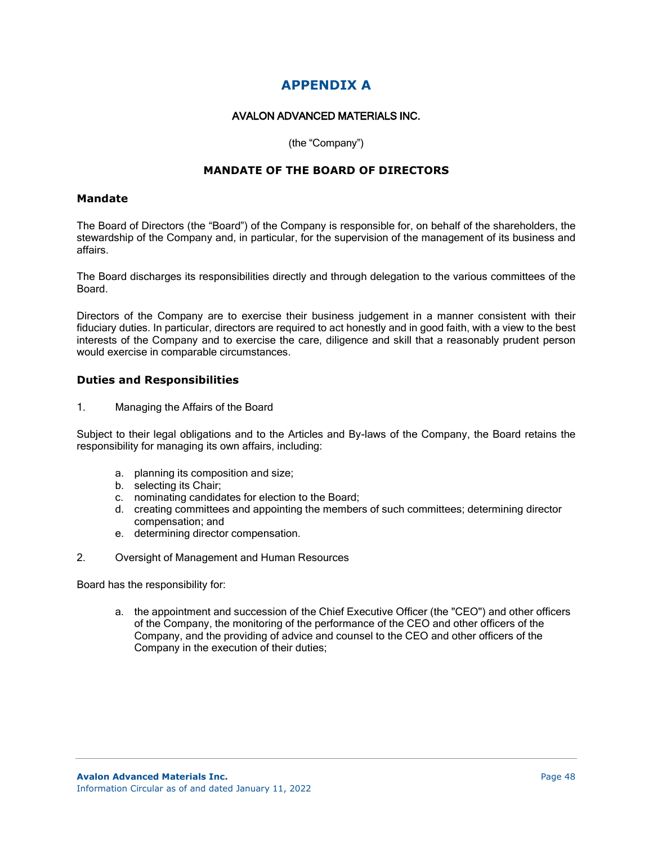# **APPENDIX A**

### AVALON ADVANCED MATERIALS INC.

#### (the "Company")

# **MANDATE OF THE BOARD OF DIRECTORS**

#### **Mandate**

The Board of Directors (the "Board") of the Company is responsible for, on behalf of the shareholders, the stewardship of the Company and, in particular, for the supervision of the management of its business and affairs.

The Board discharges its responsibilities directly and through delegation to the various committees of the Board.

Directors of the Company are to exercise their business judgement in a manner consistent with their fiduciary duties. In particular, directors are required to act honestly and in good faith, with a view to the best interests of the Company and to exercise the care, diligence and skill that a reasonably prudent person would exercise in comparable circumstances.

#### **Duties and Responsibilities**

1. Managing the Affairs of the Board

Subject to their legal obligations and to the Articles and By-laws of the Company, the Board retains the responsibility for managing its own affairs, including:

- a. planning its composition and size;
- b. selecting its Chair;
- c. nominating candidates for election to the Board;
- d. creating committees and appointing the members of such committees; determining director compensation; and
- e. determining director compensation.
- 2. Oversight of Management and Human Resources

Board has the responsibility for:

a. the appointment and succession of the Chief Executive Officer (the "CEO") and other officers of the Company, the monitoring of the performance of the CEO and other officers of the Company, and the providing of advice and counsel to the CEO and other officers of the Company in the execution of their duties;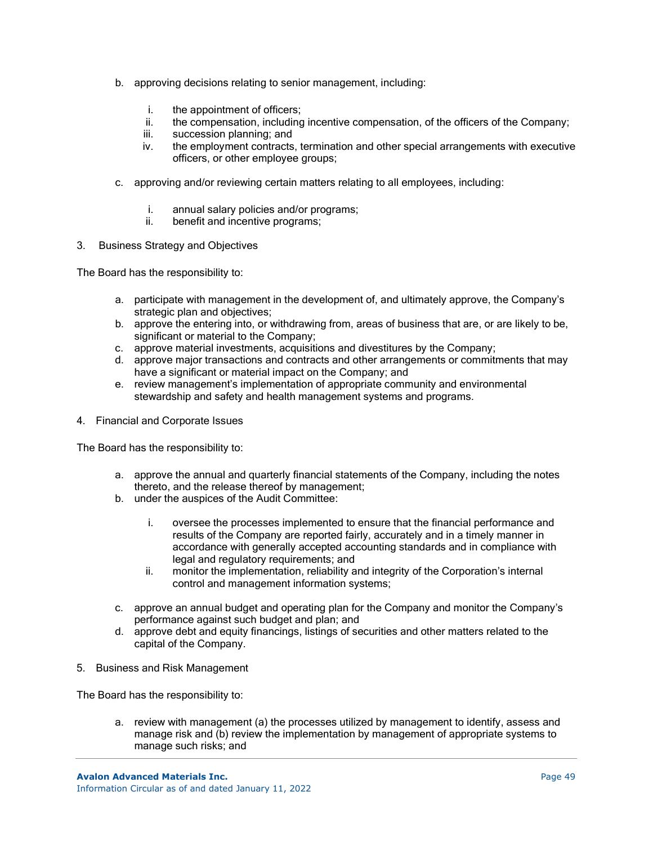- b. approving decisions relating to senior management, including:
	- i. the appointment of officers;
	- ii. the compensation, including incentive compensation, of the officers of the Company;
	- iii. succession planning; and
	- iv. the employment contracts, termination and other special arrangements with executive officers, or other employee groups;
- c. approving and/or reviewing certain matters relating to all employees, including:
	- i. annual salary policies and/or programs;
	- ii. benefit and incentive programs;
- 3. Business Strategy and Objectives

The Board has the responsibility to:

- a. participate with management in the development of, and ultimately approve, the Company's strategic plan and objectives;
- b. approve the entering into, or withdrawing from, areas of business that are, or are likely to be, significant or material to the Company;
- c. approve material investments, acquisitions and divestitures by the Company;
- d. approve major transactions and contracts and other arrangements or commitments that may have a significant or material impact on the Company; and
- e. review management's implementation of appropriate community and environmental stewardship and safety and health management systems and programs.
- 4. Financial and Corporate Issues

The Board has the responsibility to:

- a. approve the annual and quarterly financial statements of the Company, including the notes thereto, and the release thereof by management;
- b. under the auspices of the Audit Committee:
	- i. oversee the processes implemented to ensure that the financial performance and results of the Company are reported fairly, accurately and in a timely manner in accordance with generally accepted accounting standards and in compliance with legal and regulatory requirements; and
	- ii. monitor the implementation, reliability and integrity of the Corporation's internal control and management information systems;
- c. approve an annual budget and operating plan for the Company and monitor the Company's performance against such budget and plan; and
- d. approve debt and equity financings, listings of securities and other matters related to the capital of the Company.
- 5. Business and Risk Management

The Board has the responsibility to:

a. review with management (a) the processes utilized by management to identify, assess and manage risk and (b) review the implementation by management of appropriate systems to manage such risks; and